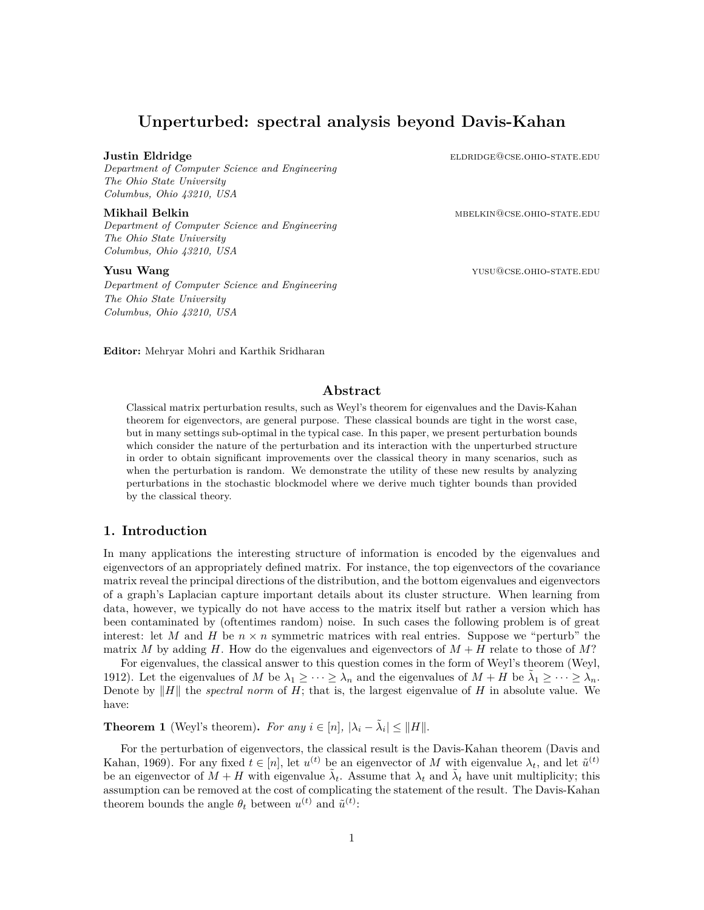# **Unperturbed: spectral analysis beyond Davis-Kahan**

*Department of Computer Science and Engineering The Ohio State University Columbus, Ohio 43210, USA*

*Department of Computer Science and Engineering The Ohio State University Columbus, Ohio 43210, USA*

*Department of Computer Science and Engineering The Ohio State University Columbus, Ohio 43210, USA*

**Justin Eldridge** elder elder elder elder elder elder elder elder elder elder elder elder elder elder elder eld

**Mikhail Belkin** mbelking metal metal metal metal metal metal metal metal metal metal metal metal metal metal metal

**Yusu Wang yusu Wang** yusu Wang and the state of the state of the state of the state  $\frac{1}{2}$  yusu @cse.ohio-state.edu

**Editor:** Mehryar Mohri and Karthik Sridharan

# **Abstract**

Classical matrix perturbation results, such as Weyl's theorem for eigenvalues and the Davis-Kahan theorem for eigenvectors, are general purpose. These classical bounds are tight in the worst case, but in many settings sub-optimal in the typical case. In this paper, we present perturbation bounds which consider the nature of the perturbation and its interaction with the unperturbed structure in order to obtain significant improvements over the classical theory in many scenarios, such as when the perturbation is random. We demonstrate the utility of these new results by analyzing perturbations in the stochastic blockmodel where we derive much tighter bounds than provided by the classical theory.

# **1. Introduction**

In many applications the interesting structure of information is encoded by the eigenvalues and eigenvectors of an appropriately defined matrix. For instance, the top eigenvectors of the covariance matrix reveal the principal directions of the distribution, and the bottom eigenvalues and eigenvectors of a graph's Laplacian capture important details about its cluster structure. When learning from data, however, we typically do not have access to the matrix itself but rather a version which has been contaminated by (oftentimes random) noise. In such cases the following problem is of great interest: let *M* and *H* be  $n \times n$  symmetric matrices with real entries. Suppose we "perturb" the matrix *M* by adding *H*. How do the eigenvalues and eigenvectors of  $M + H$  relate to those of M?

For eigenvalues, the classical answer to this question comes in the form of Weyl's theorem [\(Weyl](#page-11-0), [1912\)](#page-11-0). Let the eigenvalues of *M* be  $\lambda_1 \geq \cdots \geq \lambda_n$  and the eigenvalues of  $M + H$  be  $\tilde{\lambda}_1 \geq \cdots \geq \tilde{\lambda}_n$ . Denote by *∥H∥* the *spectral norm* of *H*; that is, the largest eigenvalue of *H* in absolute value. We have:

**Theorem 1** (Weyl's theorem). For any  $i \in [n]$ ,  $|\lambda_i - \tilde{\lambda}_i| \le ||H||$ .

For the perturbation of eigenvectors, the classical result is the Davis-Kahan theorem ([Davis and](#page-11-1) [Kahan,](#page-11-1) [1969\)](#page-11-1). For any fixed  $t \in [n]$ , let  $u^{(t)}$  be an eigenvector of M with eigenvalue  $\lambda_t$ , and let  $\tilde{u}^{(t)}$ be an eigenvector of  $\tilde{M} + H$  with eigenvalue  $\tilde{\lambda}_t$ . Assume that  $\lambda_t$  and  $\tilde{\lambda}_t$  have unit multiplicity; this assumption can be removed at the cost of complicating the statement of the result. The Davis-Kahan theorem bounds the angle  $\theta_t$  between  $u^{(t)}$  and  $\tilde{u}^{(t)}$ :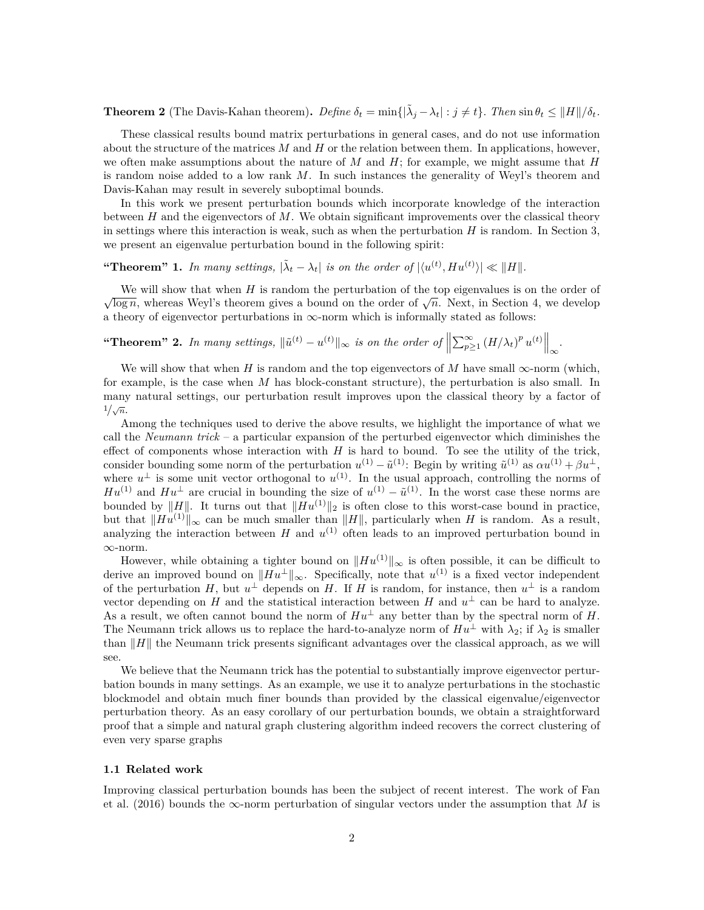**Theorem 2** (The Davis-Kahan theorem). Define  $\delta_t = \min\{|\tilde{\lambda}_j - \lambda_t| : j \neq t\}$ . Then  $\sin \theta_t \leq ||H||/\delta_t$ .

These classical results bound matrix perturbations in general cases, and do not use information about the structure of the matrices *M* and *H* or the relation between them. In applications, however, we often make assumptions about the nature of *M* and *H*; for example, we might assume that *H* is random noise added to a low rank *M*. In such instances the generality of Weyl's theorem and Davis-Kahan may result in severely suboptimal bounds.

In this work we present perturbation bounds which incorporate knowledge of the interaction between *H* and the eigenvectors of *M*. We obtain significant improvements over the classical theory in settings where this interaction is weak, such as when the perturbation *H* is random. In Section [3](#page-5-0), we present an eigenvalue perturbation bound in the following spirit:

"Theorem" 1. In many settings,  $|\tilde{\lambda}_t - \lambda_t|$  is on the order of  $|\langle u^{(t)}, H u^{(t)} \rangle| \ll ||H||$ .

We will show that when *H* is random the perturbation of the top eigenvalues is on the order of *√* $\log n$ , whereas Weyl's theorem gives a bound on the order of  $\sqrt{n}$ . Next, in Section [4](#page-7-0), we develop a theory of eigenvector perturbations in *∞*-norm which is informally stated as follows:

# "Theorem" 2. In many settings,  $\|\tilde{u}^{(t)} - u^{(t)}\|_{\infty}$  is on the order of  $\left\|\sum_{p\geq 1}^{\infty} (H/\lambda_t)^p u^{(t)}\right\|_{\infty}$ .

We will show that when *H* is random and the top eigenvectors of *M* have small  $\infty$ -norm (which, for example, is the case when *M* has block-constant structure), the perturbation is also small. In many natural settings, our perturbation result improves upon the classical theory by a factor of  $\frac{1}{\sqrt{n}}$ .

Among the techniques used to derive the above results, we highlight the importance of what we call the *Neumann trick* – a particular expansion of the perturbed eigenvector which diminishes the effect of components whose interaction with *H* is hard to bound. To see the utility of the trick, consider bounding some norm of the perturbation  $u^{(1)} - \tilde{u}^{(1)}$ : Begin by writing  $\tilde{u}^{(1)}$  as  $\alpha u^{(1)} + \beta u^{\perp}$ , where  $u^{\perp}$  is some unit vector orthogonal to  $u^{(1)}$ . In the usual approach, controlling the norms of  $Hu^{(1)}$  and  $Hu^{\perp}$  are crucial in bounding the size of  $u^{(1)} - \tilde{u}^{(1)}$ . In the worst case these norms are bounded by  $||H||$ . It turns out that  $||Hu^{(1)}||_2$  is often close to this worst-case bound in practice, but that  $||Hu^{(1)}||_{\infty}$  can be much smaller than  $||H||$ , particularly when *H* is random. As a result, analyzing the interaction between  $H$  and  $u^{(1)}$  often leads to an improved perturbation bound in *∞*-norm.

However, while obtaining a tighter bound on *∥Hu*(1)*∥<sup>∞</sup>* is often possible, it can be difficult to derive an improved bound on *∥Hu⊥∥∞*. Specifically, note that *u* (1) is a fixed vector independent of the perturbation *H*, but  $u^{\perp}$  depends on *H*. If *H* is random, for instance, then  $u^{\perp}$  is a random vector depending on *H* and the statistical interaction between *H* and  $u^{\perp}$  can be hard to analyze. As a result, we often cannot bound the norm of  $Hu^{\perp}$  any better than by the spectral norm of *H*. The Neumann trick allows us to replace the hard-to-analyze norm of  $Hu^{\perp}$  with  $\lambda_2$ ; if  $\lambda_2$  is smaller than *∥H∥* the Neumann trick presents significant advantages over the classical approach, as we will see.

We believe that the Neumann trick has the potential to substantially improve eigenvector perturbation bounds in many settings. As an example, we use it to analyze perturbations in the stochastic blockmodel and obtain much finer bounds than provided by the classical eigenvalue/eigenvector perturbation theory. As an easy corollary of our perturbation bounds, we obtain a straightforward proof that a simple and natural graph clustering algorithm indeed recovers the correct clustering of even very sparse graphs

#### <span id="page-1-0"></span>**1.1 Related work**

Improving classical perturbation bounds has been the subject of recent interest. The work of [Fan](#page-11-2) [et al.](#page-11-2) ([2016\)](#page-11-2) bounds the *∞*-norm perturbation of singular vectors under the assumption that *M* is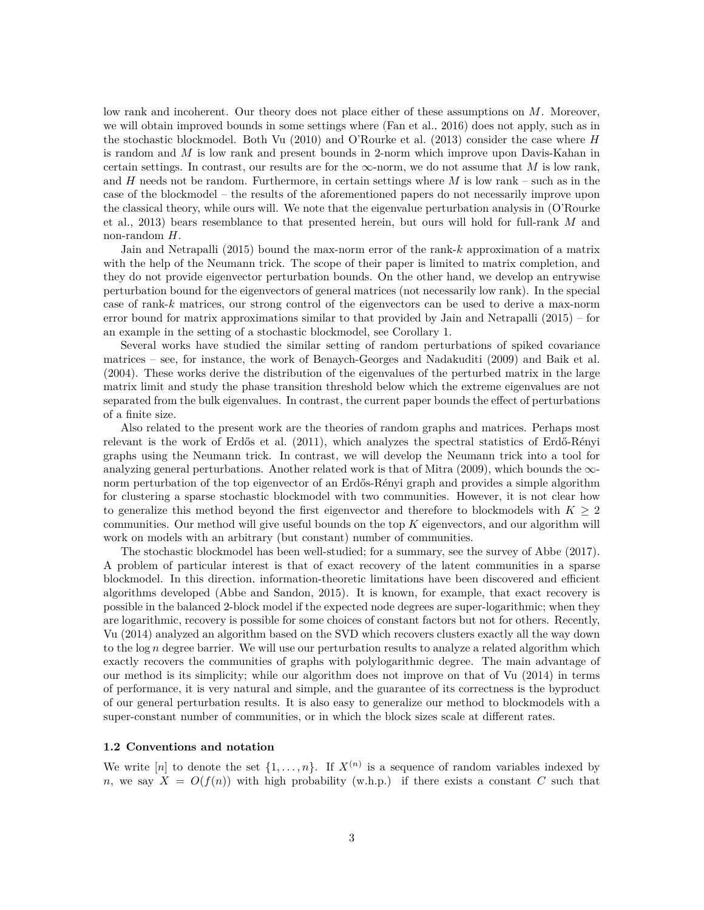low rank and incoherent. Our theory does not place either of these assumptions on *M*. Moreover, we will obtain improved bounds in some settings where ([Fan et al.,](#page-11-2) [2016\)](#page-11-2) does not apply, such as in the stochastic blockmodel. Both [Vu](#page-11-3) ([2010\)](#page-11-3) and [O'Rourke et al.](#page-11-4) [\(2013](#page-11-4)) consider the case where *H* is random and *M* is low rank and present bounds in 2-norm which improve upon Davis-Kahan in certain settings. In contrast, our results are for the  $\infty$ -norm, we do not assume that *M* is low rank, and *H* needs not be random. Furthermore, in certain settings where *M* is low rank – such as in the case of the blockmodel – the results of the aforementioned papers do not necessarily improve upon the classical theory, while ours will. We note that the eigenvalue perturbation analysis in [\(O'Rourke](#page-11-4) [et al.](#page-11-4), [2013](#page-11-4)) bears resemblance to that presented herein, but ours will hold for full-rank *M* and non-random *H*.

[Jain and Netrapalli](#page-11-5) [\(2015](#page-11-5)) bound the max-norm error of the rank-*k* approximation of a matrix with the help of the Neumann trick. The scope of their paper is limited to matrix completion, and they do not provide eigenvector perturbation bounds. On the other hand, we develop an entrywise perturbation bound for the eigenvectors of general matrices (not necessarily low rank). In the special case of rank-*k* matrices, our strong control of the eigenvectors can be used to derive a max-norm error bound for matrix approximations similar to that provided by [Jain and Netrapalli](#page-11-5) ([2015\)](#page-11-5) – for an example in the setting of a stochastic blockmodel, see Corollary [1.](#page-5-1)

Several works have studied the similar setting of random perturbations of spiked covariance matrices – see, for instance, the work of [Benaych-Georges and Nadakuditi](#page-11-6) [\(2009](#page-11-6)) and [Baik et al.](#page-11-7) ([2004\)](#page-11-7). These works derive the distribution of the eigenvalues of the perturbed matrix in the large matrix limit and study the phase transition threshold below which the extreme eigenvalues are not separated from the bulk eigenvalues. In contrast, the current paper bounds the effect of perturbations of a finite size.

Also related to the present work are the theories of random graphs and matrices. Perhaps most relevant is the work of [Erdős et al.](#page-11-8) [\(2011\)](#page-11-8), which analyzes the spectral statistics of Erdő-Rényi graphs using the Neumann trick. In contrast, we will develop the Neumann trick into a tool for analyzing general perturbations. Another related work is that of [Mitra](#page-11-9) ([2009\)](#page-11-9), which bounds the *∞* norm perturbation of the top eigenvector of an Erdős-Rényi graph and provides a simple algorithm for clustering a sparse stochastic blockmodel with two communities. However, it is not clear how to generalize this method beyond the first eigenvector and therefore to blockmodels with  $K \geq 2$ communities. Our method will give useful bounds on the top *K* eigenvectors, and our algorithm will work on models with an arbitrary (but constant) number of communities.

The stochastic blockmodel has been well-studied; for a summary, see the survey of [Abbe](#page-11-10) [\(2017](#page-11-10)). A problem of particular interest is that of exact recovery of the latent communities in a sparse blockmodel. In this direction, information-theoretic limitations have been discovered and efficient algorithms developed ([Abbe and Sandon](#page-11-11), [2015\)](#page-11-11). It is known, for example, that exact recovery is possible in the balanced 2-block model if the expected node degrees are super-logarithmic; when they are logarithmic, recovery is possible for some choices of constant factors but not for others. Recently, [Vu](#page-11-12) ([2014\)](#page-11-12) analyzed an algorithm based on the SVD which recovers clusters exactly all the way down to the log *n* degree barrier. We will use our perturbation results to analyze a related algorithm which exactly recovers the communities of graphs with polylogarithmic degree. The main advantage of our method is its simplicity; while our algorithm does not improve on that of [Vu](#page-11-12) ([2014\)](#page-11-12) in terms of performance, it is very natural and simple, and the guarantee of its correctness is the byproduct of our general perturbation results. It is also easy to generalize our method to blockmodels with a super-constant number of communities, or in which the block sizes scale at different rates.

### <span id="page-2-0"></span>**1.2 Conventions and notation**

We write  $[n]$  to denote the set  $\{1, \ldots, n\}$ . If  $X^{(n)}$  is a sequence of random variables indexed by *n*, we say  $X = O(f(n))$  with high probability (w.h.p.) if there exists a constant *C* such that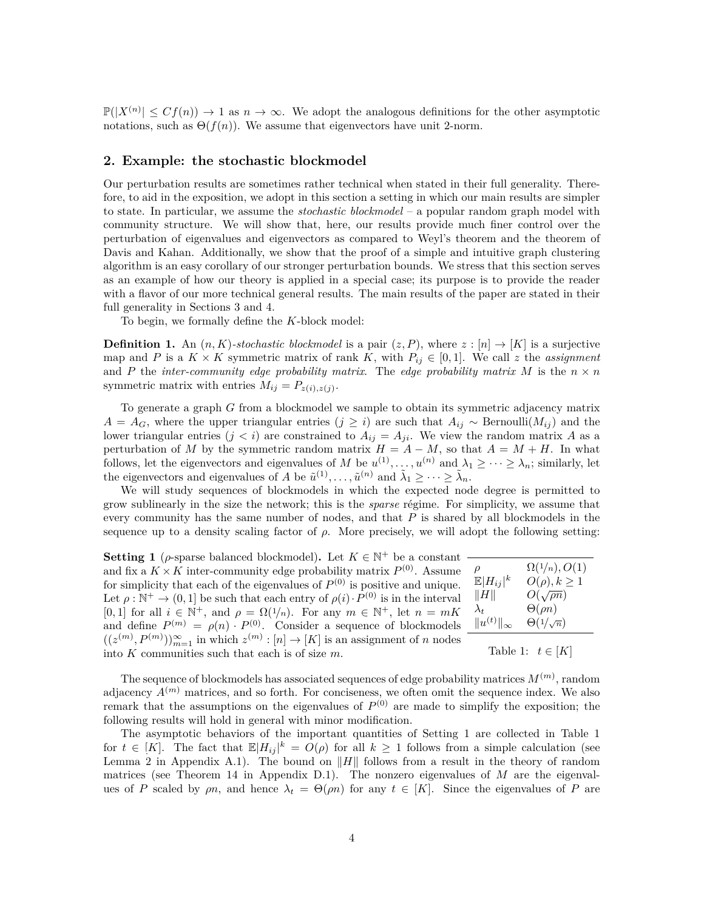$\mathbb{P}(|X^{(n)}| \leq C f(n)) \to 1$  as  $n \to \infty$ . We adopt the analogous definitions for the other asymptotic notations, such as  $\Theta(f(n))$ . We assume that eigenvectors have unit 2-norm.

# <span id="page-3-2"></span>**2. Example: the stochastic blockmodel**

Our perturbation results are sometimes rather technical when stated in their full generality. Therefore, to aid in the exposition, we adopt in this section a setting in which our main results are simpler to state. In particular, we assume the *stochastic blockmodel* – a popular random graph model with community structure. We will show that, here, our results provide much finer control over the perturbation of eigenvalues and eigenvectors as compared to Weyl's theorem and the theorem of Davis and Kahan. Additionally, we show that the proof of a simple and intuitive graph clustering algorithm is an easy corollary of our stronger perturbation bounds. We stress that this section serves as an example of how our theory is applied in a special case; its purpose is to provide the reader with a flavor of our more technical general results. The main results of the paper are stated in their full generality in Sections [3](#page-5-0) and [4](#page-7-0).

To begin, we formally define the *K*-block model:

**Definition 1.** An  $(n, K)$ -stochastic blockmodel is a pair  $(z, P)$ , where  $z : [n] \rightarrow [K]$  is a surjective map and *P* is a  $K \times K$  symmetric matrix of rank  $K$ , with  $P_{ij} \in [0,1]$ . We call z the *assignment* and *P* the *inter-community edge probability matrix*. The *edge probability matrix M* is the  $n \times n$ symmetric matrix with entries  $M_{ij} = P_{z(i),z(j)}$ .

To generate a graph *G* from a blockmodel we sample to obtain its symmetric adjacency matrix *A* = *A<sub>G</sub>*, where the upper triangular entries  $(j ≥ i)$  are such that  $A_{ij} ∼$  Bernoulli $(M_{ij})$  and the lower triangular entries  $(j < i)$  are constrained to  $A_{ij} = A_{ji}$ . We view the random matrix *A* as a perturbation of *M* by the symmetric random matrix  $H = A - M$ , so that  $A = M + H$ . In what follows, let the eigenvectors and eigenvalues of *M* be  $u^{(1)}, \ldots, u^{(n)}$  and  $\lambda_1 \geq \cdots \geq \lambda_n$ ; similarly, let the eigenvectors and eigenvalues of *A* be  $\tilde{u}^{(1)}, \ldots, \tilde{u}^{(n)}$  and  $\tilde{\lambda}_1 \geq \cdots \geq \tilde{\lambda}_n$ .

We will study sequences of blockmodels in which the expected node degree is permitted to grow sublinearly in the size the network; this is the *sparse* régime. For simplicity, we assume that every community has the same number of nodes, and that *P* is shared by all blockmodels in the sequence up to a density scaling factor of  $\rho$ . More precisely, we will adopt the following setting:

<span id="page-3-0"></span>**Setting 1** ( $\rho$ -sparse balanced blockmodel). Let  $K \in \mathbb{N}^+$  be a constant and fix a  $K \times K$  inter-community edge probability matrix  $P^{(0)}$ . Assume for simplicity that each of the eigenvalues of  $P^{(0)}$  is positive and unique. Let  $\rho : \mathbb{N}^+ \to (0,1]$  be such that each entry of  $\rho(i) \cdot P^{(0)}$  is in the interval [0, 1] for all  $i \in \mathbb{N}^+$ , and  $\rho = \Omega(1/n)$ . For any  $m \in \mathbb{N}^+$ , let  $n = mK$ and define  $P^{(m)} = \rho(n) \cdot P^{(0)}$ . Consider a sequence of blockmodels  $((z^{(m)}, P^{(m)}))_{m=1}^{\infty}$  in which  $z^{(m)} : [n] \to [K]$  is an assignment of *n* nodes into *K* communities such that each is of size *m*.

| ρ                      | $\Omega(1/n), O(1)$  |
|------------------------|----------------------|
| $\mathbb{E} H_{ij} ^k$ | $O(\rho), k \geq 1$  |
| $\ H\ $                | $O(\sqrt{\rho n})$   |
| $\lambda_t$            | $\Theta(\rho n)$     |
| $  u^{(t)}  _{\infty}$ | $\Theta(1/\sqrt{n})$ |
|                        |                      |

<span id="page-3-1"></span>Table 1:  $t \in [K]$ 

The sequence of blockmodels has associated sequences of edge probability matrices *M*(*m*) , random adjacency  $A^{(m)}$  matrices, and so forth. For conciseness, we often omit the sequence index. We also remark that the assumptions on the eigenvalues of  $P^{(0)}$  are made to simplify the exposition; the following results will hold in general with minor modification.

The asymptotic behaviors of the important quantities of Setting [1](#page-3-0) are collected in Table [1](#page-3-1) for  $t \in [K]$ . The fact that  $\mathbb{E}|H_{ij}|^k = O(\rho)$  for all  $k \geq 1$  follows from a simple calculation (see Lemma [2](#page-12-0) in Appendix [A.1\)](#page-1-0). The bound on *∥H∥* follows from a result in the theory of random matrices (see Theorem [14](#page-26-0) in Appendix [D.1](#page-26-0)). The nonzero eigenvalues of *M* are the eigenvalues of *P* scaled by  $\rho n$ , and hence  $\lambda_t = \Theta(\rho n)$  for any  $t \in [K]$ . Since the eigenvalues of *P* are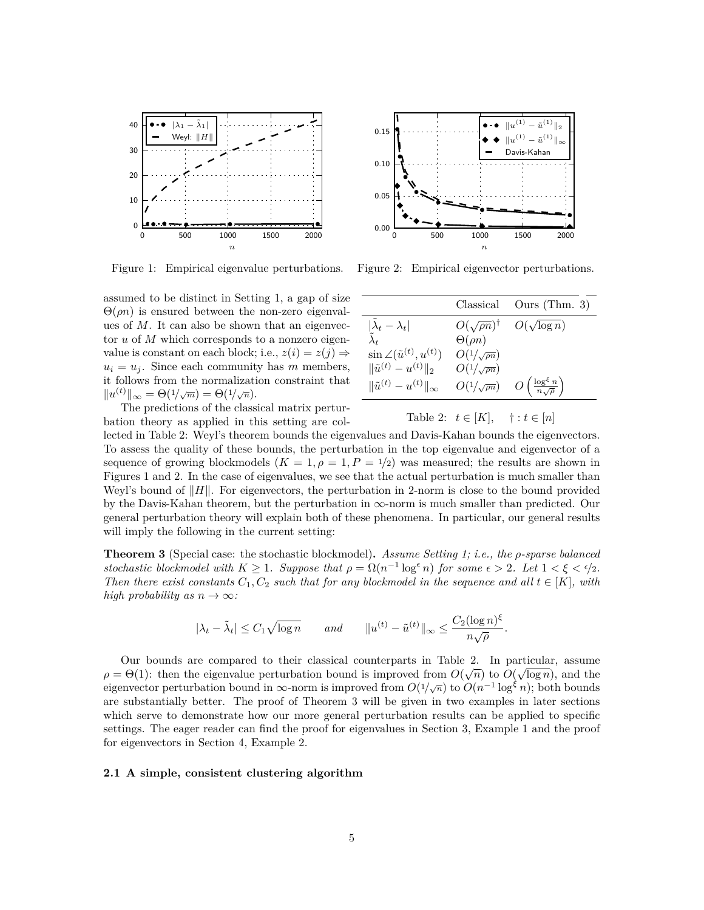<span id="page-4-2"></span>

Figure 1: Empirical eigenvalue perturbations.

assumed to be distinct in Setting [1,](#page-3-0) a gap of size Θ(*ρn*) is ensured between the non-zero eigenvalues of *M*. It can also be shown that an eigenvector *u* of *M* which corresponds to a nonzero eigenvalue is constant on each block; i.e.,  $z(i) = z(j) \Rightarrow$  $u_i = u_j$ . Since each community has *m* members, it follows from the normalization constraint that  $||u^{(t)}||_{\infty} = \Theta(1/\sqrt{m}) = \Theta(1/\sqrt{n}).$ 

The predictions of the classical matrix perturbation theory as applied in this setting are col-



Figure 2: Empirical eigenvector perturbations.

<span id="page-4-1"></span>

|                                                                      | Classical                    | Ours (Thm. $3)$ )                               |
|----------------------------------------------------------------------|------------------------------|-------------------------------------------------|
| $\left \frac{\tilde{\lambda}_t-\lambda_t}{\tilde{\lambda}_t}\right $ | $O(\sqrt{\rho n})^{\dagger}$ | $O(\sqrt{\log n})$                              |
|                                                                      | $\Theta(\rho n)$             |                                                 |
| $\sin \angle(\tilde{u}^{(t)}, u^{(t)})$                              | $O(1/\sqrt{\rho n})$         |                                                 |
| $\ \tilde{u}^{(t)} - u^{(t)}\ _2$                                    | $O(1/\sqrt{\rho n})$         |                                                 |
| $\ \tilde{u}^{(t)} - u^{(t)}\ _{\infty}$                             | $O(1/\sqrt{\rho n})$         | $O\left(\frac{\log^\xi n}{n\sqrt{\rho}}\right)$ |
|                                                                      |                              |                                                 |

Table 2:  $t \in [K], \quad \dagger : t \in [n]$ 

lected in Table [2:](#page-4-1) Weyl's theorem bounds the eigenvalues and Davis-Kahan bounds the eigenvectors. To assess the quality of these bounds, the perturbation in the top eigenvalue and eigenvector of a sequence of growing blockmodels  $(K = 1, \rho = 1, P = \frac{1}{2})$  was measured; the results are shown in Figures [1](#page-4-2) and [2.](#page-4-2) In the case of eigenvalues, we see that the actual perturbation is much smaller than Weyl's bound of *∥H∥*. For eigenvectors, the perturbation in 2-norm is close to the bound provided by the Davis-Kahan theorem, but the perturbation in *∞*-norm is much smaller than predicted. Our general perturbation theory will explain both of these phenomena. In particular, our general results will imply the following in the current setting:

<span id="page-4-0"></span>**Theorem 3** (Special case: the stochastic blockmodel)**.** *Assume Setting [1;](#page-3-0) i.e., the ρ-sparse balanced stochastic blockmodel with*  $K \geq 1$ *. Suppose that*  $\rho = \Omega(n^{-1} \log^{\epsilon} n)$  *for some*  $\epsilon > 2$ *. Let*  $1 < \xi < \epsilon/2$ *. Then there exist constants*  $C_1$ ,  $C_2$  *such that for any blockmodel in the sequence and all*  $t \in [K]$ *, with high probability as*  $n \to \infty$ *:* 

$$
|\lambda_t - \tilde{\lambda}_t| \leq C_1 \sqrt{\log n}
$$
 and  $||u^{(t)} - \tilde{u}^{(t)}||_{\infty} \leq \frac{C_2 (\log n)^{\xi}}{n \sqrt{\rho}}$ .

Our bounds are compared to their classical counterparts in Table [2](#page-4-1). In particular, assume *√ √*  $\rho = \Theta(1)$ : then the eigenvalue perturbation bound is improved from  $O(\sqrt{n})$  to  $O(\sqrt{\log n})$ , and the eigenvector perturbation bound in  $\infty$ -norm is improved from  $O(1/\sqrt{n})$  to  $O(n^{-1} \log^{\xi} n)$ ; both bounds are substantially better. The proof of Theorem [3](#page-4-0) will be given in two examples in later sections which serve to demonstrate how our more general perturbation results can be applied to specific settings. The eager reader can find the proof for eigenvalues in Section [3](#page-5-0), Example [1](#page-6-0) and the proof for eigenvectors in Section [4](#page-7-0), Example [2.](#page-9-0)

#### **2.1 A simple, consistent clustering algorithm**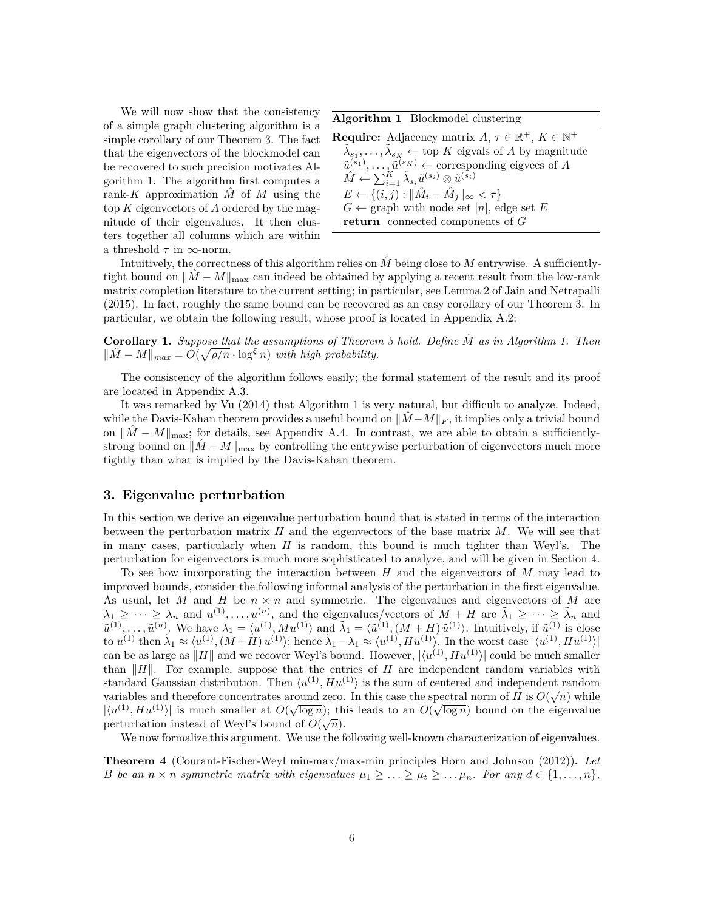We will now show that the consistency of a simple graph clustering algorithm is a simple corollary of our Theorem [3.](#page-4-0) The fact that the eigenvectors of the blockmodel can be recovered to such precision motivates Algorithm [1](#page-5-2). The algorithm first computes a rank-*K* approximation  $\tilde{M}$  of  $M$  using the top *K* eigenvectors of *A* ordered by the magnitude of their eigenvalues. It then clusters together all columns which are within a threshold *τ* in *∞*-norm.

<span id="page-5-2"></span>**Algorithm 1** Blockmodel clustering

**Require:** Adjacency matrix  $A, \tau \in \mathbb{R}^+, K \in \mathbb{N}^+$  $\tilde{\lambda}_{s_1}, \ldots, \tilde{\lambda}_{s_K} \leftarrow \text{top } K$  eigvals of *A* by magnitude  $\tilde{u}^{(s_1)}, \ldots, \tilde{u}^{(s_K)} \leftarrow$  corresponding eigvecs of *A*  $\hat{M} \leftarrow \sum_{i=1}^K \tilde{\lambda}_{s_i} \tilde{u}^{(s_i)} \otimes \tilde{u}^{(s_i)}$  $E \leftarrow \{(i, j) : ||\hat{M}_i - \hat{M}_j||_{\infty} < \tau\}$  $G \leftarrow$  graph with node set [*n*], edge set *E* **return** connected components of *G*

Intuitively, the correctness of this algorithm relies on *M*ˆ being close to *M* entrywise. A sufficientlytight bound on  $||\hat{M} - M||_{\text{max}}$  can indeed be obtained by applying a recent result from the low-rank matrix completion literature to the current setting; in particular, see Lemma 2 of [Jain and Netrapalli](#page-11-5) ([2015\)](#page-11-5). In fact, roughly the same bound can be recovered as an easy corollary of our Theorem [3.](#page-4-0) In particular, we obtain the following result, whose proof is located in Appendix [A.2:](#page-2-0)

<span id="page-5-1"></span>**Corollary 1.** *Suppose that the assumptions of Theorem [3](#page-4-0) hold. Define M*ˆ *as in Algorithm [1.](#page-5-2) Then*  $||M - M||_{max} = O(\sqrt{\rho/n} \cdot \log^{\xi} n)$  *with high probability.* 

The consistency of the algorithm follows easily; the formal statement of the result and its proof are located in Appendix [A.3.](#page-13-0)

It was remarked by [Vu](#page-11-12) ([2014\)](#page-11-12) that Algorithm [1](#page-5-2) is very natural, but difficult to analyze. Indeed, while the Davis-Kahan theorem provides a useful bound on  $||\tilde{M}-M||_F$ , it implies only a trivial bound on  $||M - M||_{\text{max}}$ ; for details, see Appendix [A.4](#page-14-0). In contrast, we are able to obtain a sufficientlystrong bound on  $||\tilde{M} - M||_{\text{max}}$  by controlling the entrywise perturbation of eigenvectors much more tightly than what is implied by the Davis-Kahan theorem.

# <span id="page-5-0"></span>**3. Eigenvalue perturbation**

In this section we derive an eigenvalue perturbation bound that is stated in terms of the interaction between the perturbation matrix *H* and the eigenvectors of the base matrix *M*. We will see that in many cases, particularly when *H* is random, this bound is much tighter than Weyl's. The perturbation for eigenvectors is much more sophisticated to analyze, and will be given in Section [4](#page-7-0).

To see how incorporating the interaction between *H* and the eigenvectors of *M* may lead to improved bounds, consider the following informal analysis of the perturbation in the first eigenvalue. As usual, let *M* and *H* be *n × n* and symmetric. The eigenvalues and eigenvectors of *M* are  $\lambda_1 \geq \cdots \geq \lambda_n$  and  $u^{(1)}, \ldots, u^{(n)}$ , and the eigenvalues/vectors of  $M + H$  are  $\tilde{\lambda}_1 \geq \cdots \geq \tilde{\lambda}_n$  and  $\tilde{u}^{(1)},\ldots,\tilde{u}^{(n)}$ . We have  $\lambda_1=\langle u^{(1)},Mu^{(1)}\rangle$  and  $\tilde{\lambda}_1=\langle \tilde{u}^{(1)},(M+H)\tilde{u}^{(1)}\rangle$ . Intuitively, if  $\tilde{u}^{(1)}$  is close to  $u^{(1)}$  then  $\tilde{\lambda}_1 \approx \langle u^{(1)}, (M+H) u^{(1)} \rangle$ ; hence  $\tilde{\lambda}_1 - \lambda_1 \approx \langle u^{(1)}, H u^{(1)} \rangle$ . In the worst case  $|\langle u^{(1)}, H u^{(1)} \rangle|$ can be as large as  $||H||$  and we recover Weyl's bound. However,  $|\langle u^{(1)}, H u^{(1)} \rangle|$  could be much smaller than *∥H∥*. For example, suppose that the entries of *H* are independent random variables with standard Gaussian distribution. Then  $\langle u^{(1)}, H u^{(1)} \rangle$  is the sum of centered and independent random variables and therefore concentrates around zero. In this case the spectral norm of *H* is  $O(\sqrt{n})$  while  $|\langle u^{(1)}, H u^{(1)} \rangle|$  is much smaller at  $O(\sqrt{\log n})$ ; this leads to an  $O(\sqrt{\log n})$  bound on the eigenvalue perturbation instead of Weyl's bound of  $O(\sqrt{n})$ .

We now formalize this argument. We use the following well-known characterization of eigenvalues.

**Theorem 4** (Courant-Fischer-Weyl min-max/max-min principles [Horn and Johnson](#page-11-13) [\(2012](#page-11-13)))**.** *Let* B be an  $n \times n$  symmetric matrix with eigenvalues  $\mu_1 \geq \ldots \geq \mu_t \geq \ldots \mu_n$ . For any  $d \in \{1, \ldots, n\}$ ,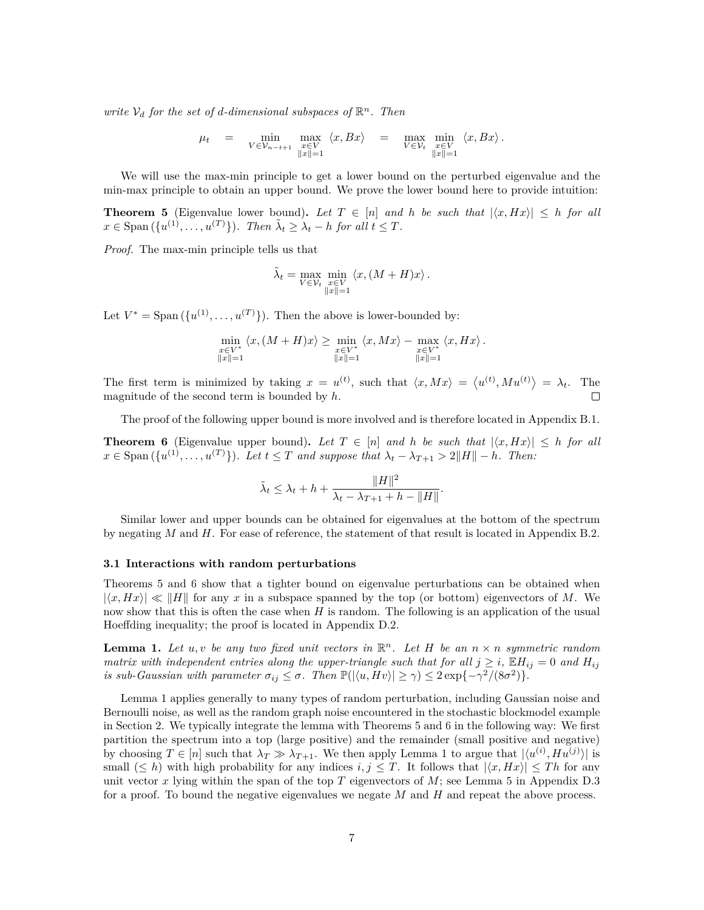*write*  $V_d$  *for the set of d-dimensional subspaces of*  $\mathbb{R}^n$ *. Then* 

$$
\mu_t = \min_{V \in \mathcal{V}_{n-t+1}} \max_{\substack{x \in V \\ \|x\|=1}} \langle x, Bx \rangle = \max_{V \in \mathcal{V}_t} \min_{\substack{x \in V \\ \|x\|=1}} \langle x, Bx \rangle.
$$

We will use the max-min principle to get a lower bound on the perturbed eigenvalue and the min-max principle to obtain an upper bound. We prove the lower bound here to provide intuition:

<span id="page-6-1"></span>**Theorem 5** (Eigenvalue lower bound). Let  $T \in [n]$  and h be such that  $|\langle x, Hx \rangle| \leq h$  for all  $x \in \text{Span}\left(\lbrace u^{(1)}, \ldots, u^{(T)} \rbrace\right)$ *. Then*  $\tilde{\lambda}_t \geq \lambda_t - h$  for all  $t \leq T$ *.* 

*Proof.* The max-min principle tells us that

$$
\tilde{\lambda}_t = \max_{V \in \mathcal{V}_t} \min_{\substack{x \in V \\ \|x\| = 1}} \langle x, (M + H)x \rangle.
$$

Let  $V^* = \text{Span}(\{u^{(1)}, \ldots, u^{(T)}\})$ . Then the above is lower-bounded by:

$$
\min_{\substack{x \in V^*\\||x||=1}} \langle x, (M+H)x \rangle \ge \min_{\substack{x \in V^*\\||x||=1}} \langle x, Mx \rangle - \max_{\substack{x \in V^*\\||x||=1}} \langle x, Hx \rangle.
$$

The first term is minimized by taking  $x = u^{(t)}$ , such that  $\langle x, Mx \rangle = \langle u^{(t)}, M u^{(t)} \rangle = \lambda_t$ . The magnitude of the second term is bounded by *h*.  $\Box$ 

The proof of the following upper bound is more involved and is therefore located in Appendix [B.1](#page-15-0).

<span id="page-6-2"></span>**Theorem 6** (Eigenvalue upper bound). Let  $T \in [n]$  and h be such that  $|\langle x, Hx \rangle| \leq h$  for all  $x \in \text{Span}(\{u^{(1)}, \ldots, u^{(T)}\})$ . Let  $t \leq T$  and suppose that  $\lambda_t - \lambda_{T+1} > 2||H|| - h$ . Then:

$$
\tilde{\lambda}_t \leq \lambda_t + h + \frac{\|H\|^2}{\lambda_t - \lambda_{T+1} + h - \|H\|}.
$$

Similar lower and upper bounds can be obtained for eigenvalues at the bottom of the spectrum by negating *M* and *H*. For ease of reference, the statement of that result is located in Appendix [B.2](#page-16-0).

#### **3.1 Interactions with random perturbations**

Theorems [5](#page-6-1) and [6](#page-6-2) show that a tighter bound on eigenvalue perturbations can be obtained when  $|\langle x, Hx \rangle| \ll ||H||$  for any x in a subspace spanned by the top (or bottom) eigenvectors of M. We now show that this is often the case when *H* is random. The following is an application of the usual Hoeffding inequality; the proof is located in Appendix [D.2.](#page-26-1)

<span id="page-6-3"></span>**Lemma 1.** Let  $u, v$  be any two fixed unit vectors in  $\mathbb{R}^n$ . Let H be an  $n \times n$  symmetric random *matrix with independent entries along the upper-triangle such that for all*  $j \geq i$ ,  $\mathbb{E} H_{ij} = 0$  and  $H_{ij}$ *is sub-Gaussian with parameter*  $\sigma_{ij} \leq \sigma$ . Then  $\mathbb{P}(|\langle u, Hv \rangle| \geq \gamma) \leq 2 \exp\{-\gamma^2/(8\sigma^2)\}.$ 

<span id="page-6-0"></span>Lemma [1](#page-6-3) applies generally to many types of random perturbation, including Gaussian noise and Bernoulli noise, as well as the random graph noise encountered in the stochastic blockmodel example in Section [2](#page-3-2). We typically integrate the lemma with Theorems [5](#page-6-1) and [6](#page-6-2) in the following way: We first partition the spectrum into a top (large positive) and the remainder (small positive and negative) by choosing  $T \in [n]$  such that  $\lambda_T \gg \lambda_{T+1}$  $\lambda_T \gg \lambda_{T+1}$  $\lambda_T \gg \lambda_{T+1}$ . We then apply Lemma 1 to argue that  $|\langle u^{(i)}, H u^{(j)} \rangle|$  is small  $(\leq h)$  with high probability for any indices  $i, j \leq T$ . It follows that  $|\langle x, Hx \rangle| \leq Th$  for any unit vector *x* lying within the span of the top *T* eigenvectors of *M*; see Lemma [5](#page-27-0) in Appendix [D.3](#page-27-0) for a proof. To bound the negative eigenvalues we negate *M* and *H* and repeat the above process.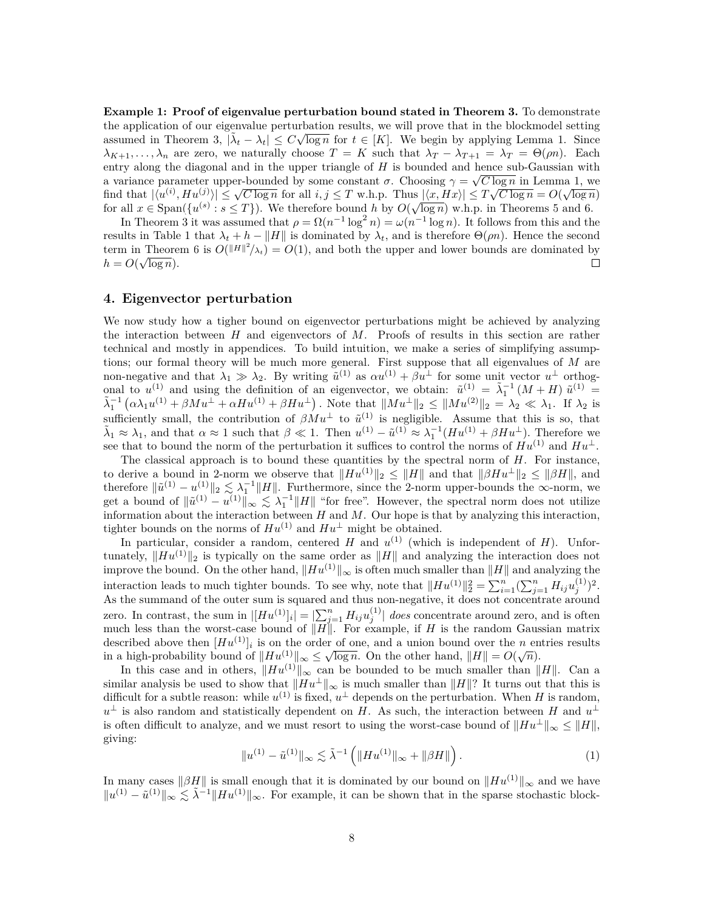**Example 1: Proof of eigenvalue perturbation bound stated in Theorem [3.](#page-4-0)** To demonstrate the application of our eigenvalue perturbation results, we will prove that in the blockmodel setting assumed in Theorem [3,](#page-4-0)  $|\tilde{\lambda}_t - \lambda_t| \leq C \sqrt{\log n}$  for  $t \in [K]$ . We begin by applying Lemma [1](#page-6-3). Since  $\lambda_{K+1}, \ldots, \lambda_n$  are zero, we naturally choose  $T = K$  such that  $\lambda_T - \lambda_{T+1} = \lambda_T = \Theta(\rho n)$ . Each entry along the diagonal and in the upper triangle of *H* is bounded and hence sub-Gaussian with *√* a variance parameter upper-bounded by some constant  $\sigma$ . Choosing  $\gamma = \sqrt{C \log n}$  in Lemma [1](#page-6-3), we a variance parameter upper-bounded by some constant  $\partial$ . Choosing  $\gamma = \sqrt{C \log n}$  in Lemma 1, we<br>find that  $|\langle u^{(i)}, Hu^{(j)} \rangle| \le \sqrt{C \log n}$  for all  $i, j \le T$  w.h.p. Thus  $|\langle x, Hx \rangle| \le T\sqrt{C \log n} = O(\sqrt{\log n})$ for all  $x \in \text{Span}(\{u^{(s)} : s \leq T\})$ . We therefore bound *h* by  $O(\sqrt{\log n})$  w.h.p. in Theorems [5](#page-6-1) and [6.](#page-6-2)

In Theorem [3](#page-4-0) it was assumed that  $\rho = \Omega(n^{-1} \log^2 n) = \omega(n^{-1} \log n)$ . It follows from this and the results in Table [1](#page-3-1) that  $\lambda_t + h - ||H||$  is dominated by  $\lambda_t$ , and is therefore  $\Theta(\rho n)$ . Hence the second term in Theorem [6](#page-6-2) is  $O(|H||^2/\lambda_t) = O(1)$ , and both the upper and lower bounds are dominated by  $h = O(\sqrt{\log n}).$  $\Box$ 

# <span id="page-7-0"></span>**4. Eigenvector perturbation**

We now study how a tigher bound on eigenvector perturbations might be achieved by analyzing the interaction between *H* and eigenvectors of *M*. Proofs of results in this section are rather technical and mostly in appendices. To build intuition, we make a series of simplifying assumptions; our formal theory will be much more general. First suppose that all eigenvalues of *M* are non-negative and that  $\lambda_1 \gg \lambda_2$ . By writing  $\tilde{u}^{(1)}$  as  $\alpha u^{(1)} + \beta u^{\perp}$  for some unit vector  $u^{\perp}$  orthogonal to  $u^{(1)}$  and using the definition of an eigenvector, we obtain:  $\tilde{u}^{(1)} = \tilde{\lambda}_1^{-1} (M + H) \tilde{u}^{(1)} =$  $\tilde{\lambda}_1^{-1} \left( \alpha \lambda_1 u^{(1)} + \beta M u^{\perp} + \alpha H u^{(1)} + \beta H u^{\perp} \right)$ . Note that  $\| M u^{\perp} \|_2 \leq \| M u^{(2)} \|_2 = \lambda_2 \ll \lambda_1$ . If  $\lambda_2$  is sufficiently small, the contribution of  $\beta M u^{\perp}$  to  $\tilde{u}^{(1)}$  is negligible. Assume that this is so, that  $\tilde{\lambda}_1 \approx \lambda_1$ , and that  $\alpha \approx 1$  such that  $\beta \ll 1$ . Then  $u^{(1)} - \tilde{u}^{(1)} \approx \lambda_1^{-1} (H u^{(1)} + \beta H u^{\perp})$ . Therefore we see that to bound the norm of the perturbation it suffices to control the norms of  $Hu^{(1)}$  and  $Hu^{\perp}$ .

The classical approach is to bound these quantities by the spectral norm of *H*. For instance, to derive a bound in 2-norm we observe that  $||Hu^{(1)}||_2 \leq ||H||$  and that  $||\beta Hu^{\perp}||_2 \leq ||\beta H||$ , and therefore  $||\tilde{u}^{(1)} - u^{(1)}||_2 \lesssim \lambda_1^{-1} ||H||$ . Furthermore, since the 2-norm upper-bounds the *∞*-norm, we get a bound of  $\|\tilde{u}^{(1)} - u^{(1)}\|_{\infty} \lesssim \lambda_1^{-1} \|H\|$  "for free". However, the spectral norm does not utilize information about the interaction between *H* and *M*. Our hope is that by analyzing this interaction, tighter bounds on the norms of  $Hu^{(1)}$  and  $Hu^{\perp}$  might be obtained.

In particular, consider a random, centered  $H$  and  $u^{(1)}$  (which is independent of  $H$ ). Unfortunately,  $||Hu^{(1)}||_2$  is typically on the same order as  $||H||$  and analyzing the interaction does not improve the bound. On the other hand, *∥Hu*(1)*∥<sup>∞</sup>* is often much smaller than *∥H∥* and analyzing the interaction leads to much tighter bounds. To see why, note that  $||Hu^{(1)}||_2^2 = \sum_{i=1}^n (\sum_{j=1}^n H_{ij} u_j^{(1)})^2$ . As the summand of the outer sum is squared and thus non-negative, it does not concentrate around zero. In contrast, the sum in  $|[Hu^{(1)}]_i| = \sum_{j=1}^n H_{ij}u_j^{(1)}|$  *does* concentrate around zero, and is often much less than the worst-case bound of *∥H∥*. For example, if *H* is the random Gaussian matrix described above then  $[Hu^{(1)}]_i$  is on the order of one, and a union bound over the *n* entries results in a high-probability bound of  $||Hu^{(1)}||_{\infty} \leq \sqrt{\log n}$ . On the other hand,  $||H|| = O(\sqrt{n})$ .

In this case and in others,  $||Hu^{(1)}||_{\infty}$  can be bounded to be much smaller than  $||H||$ . Can a similar analysis be used to show that  $||Hu^{\perp}||_{\infty}$  is much smaller than  $||H||$ ? It turns out that this is difficult for a subtle reason: while  $u^{(1)}$  is fixed,  $u^{\perp}$  depends on the perturbation. When *H* is random, *u*<sup>⊥</sup> is also random and statistically dependent on *H*. As such, the interaction between *H* and  $u$ <sup>⊥</sup> is often difficult to analyze, and we must resort to using the worst-case bound of  $||Hu^{\perp}||_{\infty} \leq ||H||$ , giving:

$$
\|u^{(1)} - \tilde{u}^{(1)}\|_{\infty} \lesssim \tilde{\lambda}^{-1} \left( \|Hu^{(1)}\|_{\infty} + \|\beta H\|\right). \tag{1}
$$

<span id="page-7-1"></span>In many cases  $||\beta H||$  is small enough that it is dominated by our bound on  $||Hu^{(1)}||_{\infty}$  and we have *|* $||u^{(1)} - \tilde{u}^{(1)}||_{\infty} \leq \tilde{\lambda}^{-1} ||Hu^{(1)}||_{\infty}$ . For example, it can be shown that in the sparse stochastic block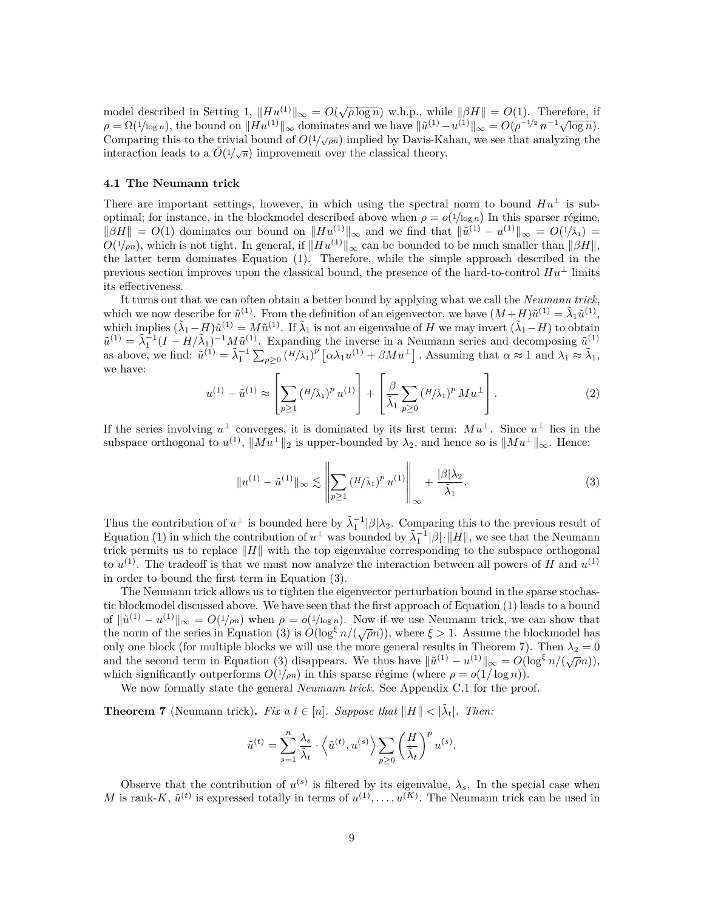model described in Setting [1,](#page-3-0)  $||Hu^{(1)}||_{\infty} = O(\sqrt{\rho \log n})$  w.h.p., while  $||\beta H|| = O(1)$ . Therefore, if moder described in setting 1,  $||Tu^{\gamma}||_{\infty} = O(\sqrt{\rho} \log n)$  w.n.p., while  $||DT|| = O(1)$ . Therefore, if  $\rho = \Omega(1/\log n)$ , the bound on  $||Hu^{(1)}||_{\infty}$  dominates and we have  $||\tilde{u}^{(1)} - u^{(1)}||_{\infty} = O(\rho^{-1/2} n^{-1} \sqrt{\log n})$ . Comparing this to the trivial bound of  $O(1/\sqrt{pn})$  implied by Davis-Kahan, we see that analyzing the interaction leads to a  $\tilde{O}(1/\sqrt{n})$  improvement over the classical theory.

### **4.1 The Neumann trick**

There are important settings, however, in which using the spectral norm to bound  $Hu^{\perp}$  is suboptimal; for instance, in the blockmodel described above when  $\rho = o(1/\log n)$  In this sparser régime,  $||\beta H|| = O(1)$  dominates our bound on  $||Hu^{(1)}||_{\infty}$  and we find that  $||\tilde{u}^{(1)} - u^{(1)}||_{\infty} = O(1/\tilde{\lambda}_1)$  =  $O(1/m)$ , which is not tight. In general, if  $||Hu^{(1)}||_{\infty}$  can be bounded to be much smaller than  $||\beta H||$ , the latter term dominates Equation ([1\)](#page-7-1). Therefore, while the simple approach described in the previous section improves upon the classical bound, the presence of the hard-to-control  $Hu^{\perp}$  limits its effectiveness.

It turns out that we can often obtain a better bound by applying what we call the *Neumann trick*, which we now describe for  $\tilde{u}^{(1)}$ . From the definition of an eigenvector, we have  $(M+H)\tilde{u}^{(1)} = \tilde{\lambda}_1 \tilde{u}^{(1)}$ , which implies  $(\tilde{\lambda}_1 - H)\tilde{u}^{(1)} = M\tilde{u}^{(1)}$ . If  $\tilde{\lambda}_1$  is not an eigenvalue of *H* we may invert  $(\tilde{\lambda}_1 - H)$  to obtain  $\tilde{u}^{(1)} = \tilde{\lambda}_1^{-1} (I - H/\tilde{\lambda}_1)^{-1} M \tilde{u}^{(1)}$ . Expanding the inverse in a Neumann series and decomposing  $\tilde{u}^{(1)}$ as above, we find:  $\tilde{u}^{(1)} = \tilde{\lambda}_1^{-1} \sum_{p \geq 0} (H/\tilde{\lambda}_1)^p [\alpha \lambda_1 u^{(1)} + \beta M u^{\perp}]$ . Assuming that  $\alpha \approx 1$  and  $\lambda_1 \approx \tilde{\lambda}_1$ , we have:

$$
u^{(1)} - \tilde{u}^{(1)} \approx \left[ \sum_{p \ge 1} (H/\tilde{\lambda}_1)^p u^{(1)} \right] + \left[ \frac{\beta}{\tilde{\lambda}_1} \sum_{p \ge 0} (H/\tilde{\lambda}_1)^p M u^{\perp} \right].
$$
 (2)

If the series involving  $u^{\perp}$  converges, it is dominated by its first term:  $Mu^{\perp}$ . Since  $u^{\perp}$  lies in the subspace orthogonal to  $u^{(1)}$ ,  $||Mu^{\perp}||_2$  is upper-bounded by  $\lambda_2$ , and hence so is  $||Mu^{\perp}||_{\infty}$ . Hence:

<span id="page-8-0"></span>
$$
\|u^{(1)} - \tilde{u}^{(1)}\|_{\infty} \lesssim \left\| \sum_{p \ge 1} (H/\tilde{\lambda}_1)^p u^{(1)} \right\|_{\infty} + \frac{|\beta|\lambda_2}{\tilde{\lambda}_1}.
$$
 (3)

Thus the contribution of  $u^{\perp}$  is bounded here by  $\tilde{\lambda}_1^{-1}|\beta|\lambda_2$ . Comparing this to the previous result of Equation [\(1](#page-7-1)) in which the contribution of  $u^{\perp}$  was bounded by  $\tilde{\lambda}_1^{-1}|\beta|\cdot||H||$ , we see that the Neumann trick permits us to replace *∥H∥* with the top eigenvalue corresponding to the subspace orthogonal to  $u^{(1)}$ . The tradeoff is that we must now analyze the interaction between all powers of *H* and  $u^{(1)}$ in order to bound the first term in Equation ([3\)](#page-8-0).

The Neumann trick allows us to tighten the eigenvector perturbation bound in the sparse stochastic blockmodel discussed above. We have seen that the first approach of Equation [\(1](#page-7-1)) leads to a bound of  $\|\tilde{u}^{(1)} - u^{(1)}\|_{\infty} = O(1/\rho n)$  when  $\rho = o(1/\log n)$ . Now if we use Neumann trick, we can show that the norm of the series in Equation ([3\)](#page-8-0) is  $O(\log^{\xi} n/(\sqrt{\rho}n))$ , where  $\xi > 1$ . Assume the blockmodel has only one block (for multiple blocks we will use the more general results in Theorem [7\)](#page-8-1). Then  $\lambda_2 = 0$ and the second term in Equation ([3\)](#page-8-0) disappears. We thus have  $||\tilde{u}^{(1)} - u^{(1)}||_{\infty} = O(\log^{\xi} n / (\sqrt{\rho} n))$ , which significantly outperforms  $O(1/m)$  in this sparse régime (where  $\rho = o(1/\log n)$ ).

We now formally state the general *Neumann trick*. See Appendix [C.1](#page-17-0) for the proof.

<span id="page-8-1"></span>**Theorem 7** (Neumann trick). Fix a  $t \in [n]$ . Suppose that  $||H|| < |\tilde{\lambda}_t|$ . Then:

$$
\tilde{u}^{(t)} = \sum_{s=1}^n \frac{\lambda_s}{\tilde{\lambda}_t} \cdot \left\langle \tilde{u}^{(t)}, u^{(s)} \right\rangle \sum_{p \geq 0} \left( \frac{H}{\tilde{\lambda}_t} \right)^p u^{(s)}.
$$

Observe that the contribution of  $u^{(s)}$  is filtered by its eigenvalue,  $\lambda_s$ . In the special case when *M* is rank-*K*,  $\tilde{u}^{(t)}$  is expressed totally in terms of  $u^{(1)}, \ldots, u^{(K)}$ . The Neumann trick can be used in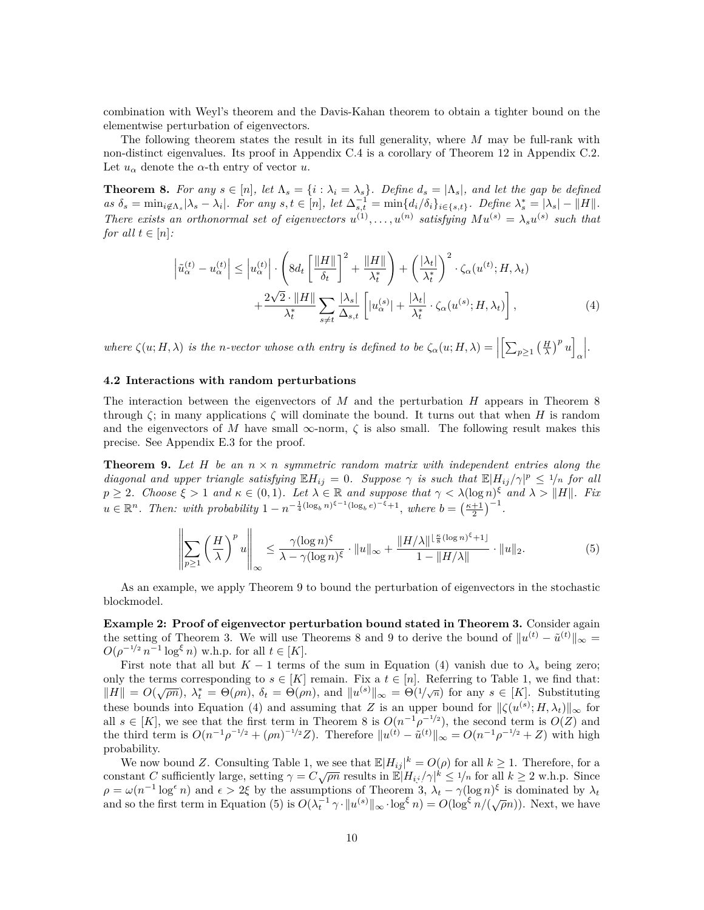combination with Weyl's theorem and the Davis-Kahan theorem to obtain a tighter bound on the elementwise perturbation of eigenvectors.

The following theorem states the result in its full generality, where *M* may be full-rank with non-distinct eigenvalues. Its proof in Appendix [C.4](#page-25-0) is a corollary of Theorem [12](#page-18-0) in Appendix [C.2](#page-18-0). Let  $u_{\alpha}$  denote the  $\alpha$ -th entry of vector  $u$ .

<span id="page-9-1"></span>**Theorem 8.** For any  $s \in [n]$ , let  $\Lambda_s = \{i : \lambda_i = \lambda_s\}$ . Define  $d_s = |\Lambda_s|$ , and let the gap be defined as  $\delta_s = \min_{i \notin \Lambda_s} |\lambda_s - \lambda_i|$ . For any  $s, t \in [n]$ , let  $\Delta_{s,t}^{-1} = \min\{d_i/\delta_i\}_{i \in \{s,t\}}$ . Define  $\lambda_s^* = |\lambda_s| - ||H||$ . *There exists an orthonormal set of eigenvectors*  $u^{(1)}, \ldots, u^{(n)}$  satisfying  $Mu^{(s)} = \lambda_s u^{(s)}$  such that *for all*  $t \in [n]$ *:* 

<span id="page-9-3"></span>
$$
\left|\tilde{u}_{\alpha}^{(t)} - u_{\alpha}^{(t)}\right| \leq \left|u_{\alpha}^{(t)}\right| \cdot \left(8d_t \left[\frac{\|H\|}{\delta_t}\right]^2 + \frac{\|H\|}{\lambda_t^*}\right) + \left(\frac{|\lambda_t|}{\lambda_t^*}\right)^2 \cdot \zeta_{\alpha}(u^{(t)}; H, \lambda_t) + \frac{2\sqrt{2} \cdot \|H\|}{\lambda_t^*} \sum_{s \neq t} \frac{|\lambda_s|}{\Delta_{s,t}} \left[|u_{\alpha}^{(s)}| + \frac{|\lambda_t|}{\lambda_t^*} \cdot \zeta_{\alpha}(u^{(s)}; H, \lambda_t)\right],\tag{4}
$$

where  $\zeta(u; H, \lambda)$  is the n-vector whose  $\alpha$ th entry is defined to be  $\zeta_{\alpha}(u; H, \lambda) = \left\|\left[\sum_{p \geq 1} \left(\frac{H}{\lambda}\right)^p u\right]\right\|$ *α .*

#### **4.2 Interactions with random perturbations**

The interaction between the eigenvectors of *M* and the perturbation *H* appears in Theorem [8](#page-9-1) through  $\zeta$ ; in many applications  $\zeta$  will dominate the bound. It turns out that when *H* is random and the eigenvectors of *M* have small  $\infty$ -norm,  $\zeta$  is also small. The following result makes this precise. See Appendix [E.3](#page-36-0) for the proof.

<span id="page-9-2"></span>**Theorem 9.** *Let H be an n × n symmetric random matrix with independent entries along the diagonal and upper triangle satisfying*  $\mathbb{E}[H_{ij} = 0$ *. Suppose*  $\gamma$  *is such that*  $\mathbb{E}[H_{ij}/\gamma]^p \leq 1/n$  *for all*  $p \geq 2$ . Choose  $\xi > 1$  and  $\kappa \in (0,1)$ . Let  $\lambda \in \mathbb{R}$  and suppose that  $\gamma < \lambda (\log n)^{\xi}$  and  $\lambda > ||H||$ . Fix  $u \in \mathbb{R}^n$ . Then: with probability  $1 - n^{-\frac{1}{4}(\log_b n)^{\xi-1}(\log_b e)^{-\xi}+1}$ , where  $b = \left(\frac{\kappa+1}{2}\right)^{-1}$ .

<span id="page-9-4"></span>
$$
\left\| \sum_{p\geq 1} \left(\frac{H}{\lambda}\right)^p u \right\|_{\infty} \leq \frac{\gamma(\log n)^{\xi}}{\lambda - \gamma(\log n)^{\xi}} \cdot \|u\|_{\infty} + \frac{\|H/\lambda\|^{\lfloor \frac{\kappa}{8}(\log n)^{\xi} + 1\rfloor}}{1 - \|H/\lambda\|} \cdot \|u\|_{2}.
$$
 (5)

As an example, we apply Theorem [9](#page-9-2) to bound the perturbation of eigenvectors in the stochastic blockmodel.

<span id="page-9-0"></span>**Example 2: Proof of eigenvector perturbation bound stated in Theorem [3.](#page-4-0)** Consider again the setting of Theorem [3.](#page-4-0) We will use Theorems [8](#page-9-1) and [9](#page-9-2) to derive the bound of  $||u^{(t)} - \tilde{u}^{(t)}||_{\infty} =$ *O*( $\rho^{-1/2} n^{-1} \log^{\xi} n$ ) w.h.p. for all  $t \in [K]$ .

First note that all but  $K-1$  terms of the sum in Equation [\(4](#page-9-3)) vanish due to  $\lambda_s$  being zero; only the terms corresponding to  $s \in [K]$  remain. Fix a  $t \in [n]$ . Referring to Table [1,](#page-3-1) we find that:  $||H|| = O(\sqrt{pn})$ ,  $\lambda_t^* = \Theta(\rho n)$ ,  $\delta_t = \Theta(\rho n)$ , and  $||u^{(s)}||_{\infty} = \Theta(1/\sqrt{n})$  for any  $s \in [K]$ . Substituting these bounds into Equation ([4\)](#page-9-3) and assuming that *Z* is an upper bound for  $\|\zeta(u^{(s)}; H, \lambda_t)\|_{\infty}$  for all  $s \in [K]$ , we see that the first term in Theorem [8](#page-9-1) is  $O(n^{-1}\rho^{-1/2})$ , the second term is  $O(Z)$  and the third term is  $O(n^{-1}\rho^{-1/2} + (\rho n)^{-1/2}Z)$ . Therefore  $||u^{(t)} - \tilde{u}^{(t)}||_{\infty} = O(n^{-1}\rho^{-1/2} + Z)$  with high probability.

We now bound *Z*. Consulting Table [1](#page-3-1), we see that  $\mathbb{E}|H_{ij}|^k = O(\rho)$  for all  $k \geq 1$ . Therefore, for a constant *C* sufficiently large, setting  $\gamma = C\sqrt{\rho n}$  results in  $\mathbb{E}|H_{ij}/\gamma|^{k} \leq 1/n$  for all  $k \geq 2$  w.h.p. Since  $\rho = \omega(n^{-1} \log^{\epsilon} n)$  and  $\epsilon > 2\xi$  by the assumptions of Theorem [3,](#page-4-0)  $\lambda_t - \gamma(\log n)^{\xi}$  is dominated by  $\lambda_t$ and so the first term in Equation [\(5](#page-9-4)) is  $O(\lambda_t^{-1} \gamma \cdot ||u^{(s)}||_{\infty} \cdot \log^{\xi} n) = O(\log^{\xi} n/(\sqrt{\rho}n))$ . Next, we have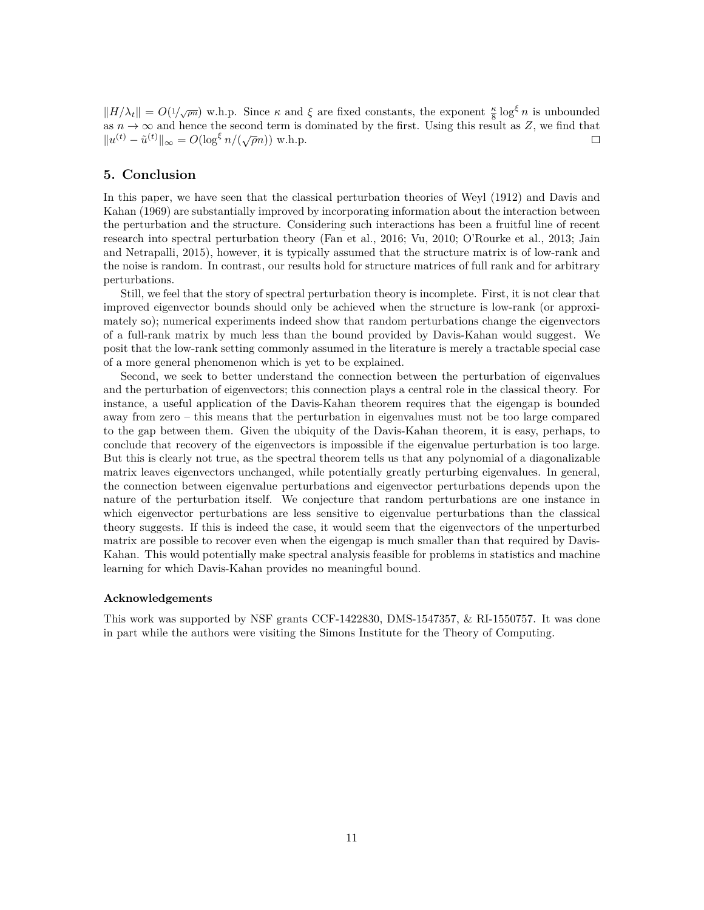$||H/\lambda_t|| = O(1/\sqrt{\rho n})$  w.h.p. Since  $\kappa$  and  $\xi$  are fixed constants, the exponent  $\frac{\kappa}{8} \log^{\xi} n$  is unbounded as  $n \to \infty$  and hence the second term is dominated by the first. Using this result as *Z*, we find that  $||u^{(t)} - \tilde{u}^{(t)}||_{\infty} = O(\log^{\xi} n/(\sqrt{\rho}n))$  w.h.p.  $\Box$ 

# **5. Conclusion**

In this paper, we have seen that the classical perturbation theories of [Weyl](#page-11-0) ([1912\)](#page-11-0) and [Davis and](#page-11-1) [Kahan](#page-11-1) [\(1969\)](#page-11-1) are substantially improved by incorporating information about the interaction between the perturbation and the structure. Considering such interactions has been a fruitful line of recent research into spectral perturbation theory [\(Fan et al.,](#page-11-2) [2016;](#page-11-2) [Vu,](#page-11-3) [2010](#page-11-3); [O'Rourke et al.,](#page-11-4) [2013](#page-11-4); [Jain](#page-11-5) [and Netrapalli,](#page-11-5) [2015\)](#page-11-5), however, it is typically assumed that the structure matrix is of low-rank and the noise is random. In contrast, our results hold for structure matrices of full rank and for arbitrary perturbations.

Still, we feel that the story of spectral perturbation theory is incomplete. First, it is not clear that improved eigenvector bounds should only be achieved when the structure is low-rank (or approximately so); numerical experiments indeed show that random perturbations change the eigenvectors of a full-rank matrix by much less than the bound provided by Davis-Kahan would suggest. We posit that the low-rank setting commonly assumed in the literature is merely a tractable special case of a more general phenomenon which is yet to be explained.

Second, we seek to better understand the connection between the perturbation of eigenvalues and the perturbation of eigenvectors; this connection plays a central role in the classical theory. For instance, a useful application of the Davis-Kahan theorem requires that the eigengap is bounded away from zero – this means that the perturbation in eigenvalues must not be too large compared to the gap between them. Given the ubiquity of the Davis-Kahan theorem, it is easy, perhaps, to conclude that recovery of the eigenvectors is impossible if the eigenvalue perturbation is too large. But this is clearly not true, as the spectral theorem tells us that any polynomial of a diagonalizable matrix leaves eigenvectors unchanged, while potentially greatly perturbing eigenvalues. In general, the connection between eigenvalue perturbations and eigenvector perturbations depends upon the nature of the perturbation itself. We conjecture that random perturbations are one instance in which eigenvector perturbations are less sensitive to eigenvalue perturbations than the classical theory suggests. If this is indeed the case, it would seem that the eigenvectors of the unperturbed matrix are possible to recover even when the eigengap is much smaller than that required by Davis-Kahan. This would potentially make spectral analysis feasible for problems in statistics and machine learning for which Davis-Kahan provides no meaningful bound.

#### **Acknowledgements**

This work was supported by NSF grants CCF-1422830, DMS-1547357, & RI-1550757. It was done in part while the authors were visiting the Simons Institute for the Theory of Computing.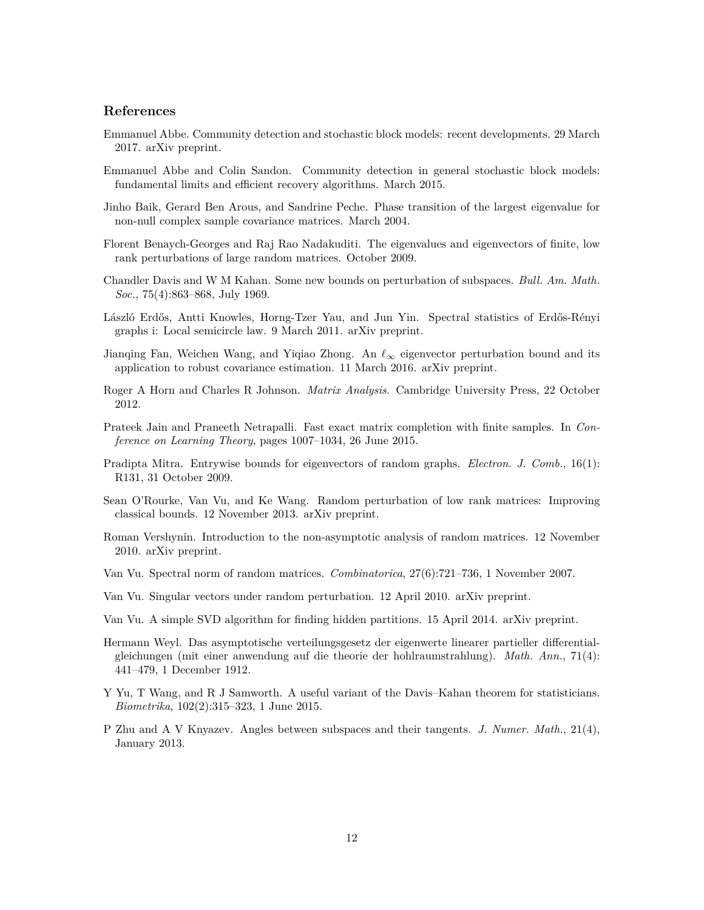# **References**

- <span id="page-11-10"></span>Emmanuel Abbe. Community detection and stochastic block models: recent developments. 29 March 2017. arXiv preprint.
- <span id="page-11-11"></span>Emmanuel Abbe and Colin Sandon. Community detection in general stochastic block models: fundamental limits and efficient recovery algorithms. March 2015.
- <span id="page-11-7"></span>Jinho Baik, Gerard Ben Arous, and Sandrine Peche. Phase transition of the largest eigenvalue for non-null complex sample covariance matrices. March 2004.
- <span id="page-11-6"></span>Florent Benaych-Georges and Raj Rao Nadakuditi. The eigenvalues and eigenvectors of finite, low rank perturbations of large random matrices. October 2009.
- <span id="page-11-1"></span>Chandler Davis and W M Kahan. Some new bounds on perturbation of subspaces. *Bull. Am. Math. Soc.*, 75(4):863–868, July 1969.
- <span id="page-11-8"></span>László Erdős, Antti Knowles, Horng-Tzer Yau, and Jun Yin. Spectral statistics of Erdős-Rényi graphs i: Local semicircle law. 9 March 2011. arXiv preprint.
- <span id="page-11-2"></span>Jianqing Fan, Weichen Wang, and Yiqiao Zhong. An *ℓ<sup>∞</sup>* eigenvector perturbation bound and its application to robust covariance estimation. 11 March 2016. arXiv preprint.
- <span id="page-11-13"></span>Roger A Horn and Charles R Johnson. *Matrix Analysis*. Cambridge University Press, 22 October 2012.
- <span id="page-11-5"></span>Prateek Jain and Praneeth Netrapalli. Fast exact matrix completion with finite samples. In *Conference on Learning Theory*, pages 1007–1034, 26 June 2015.
- <span id="page-11-9"></span>Pradipta Mitra. Entrywise bounds for eigenvectors of random graphs. *Electron. J. Comb.*, 16(1): R131, 31 October 2009.
- <span id="page-11-4"></span>Sean O'Rourke, Van Vu, and Ke Wang. Random perturbation of low rank matrices: Improving classical bounds. 12 November 2013. arXiv preprint.
- <span id="page-11-17"></span>Roman Vershynin. Introduction to the non-asymptotic analysis of random matrices. 12 November 2010. arXiv preprint.
- <span id="page-11-16"></span>Van Vu. Spectral norm of random matrices. *Combinatorica*, 27(6):721–736, 1 November 2007.
- <span id="page-11-3"></span>Van Vu. Singular vectors under random perturbation. 12 April 2010. arXiv preprint.
- <span id="page-11-12"></span>Van Vu. A simple SVD algorithm for finding hidden partitions. 15 April 2014. arXiv preprint.
- <span id="page-11-0"></span>Hermann Weyl. Das asymptotische verteilungsgesetz der eigenwerte linearer partieller differentialgleichungen (mit einer anwendung auf die theorie der hohlraumstrahlung). *Math. Ann.*, 71(4): 441–479, 1 December 1912.
- <span id="page-11-15"></span>Y Yu, T Wang, and R J Samworth. A useful variant of the Davis–Kahan theorem for statisticians. *Biometrika*, 102(2):315–323, 1 June 2015.
- <span id="page-11-14"></span>P Zhu and A V Knyazev. Angles between subspaces and their tangents. *J. Numer. Math.*, 21(4), January 2013.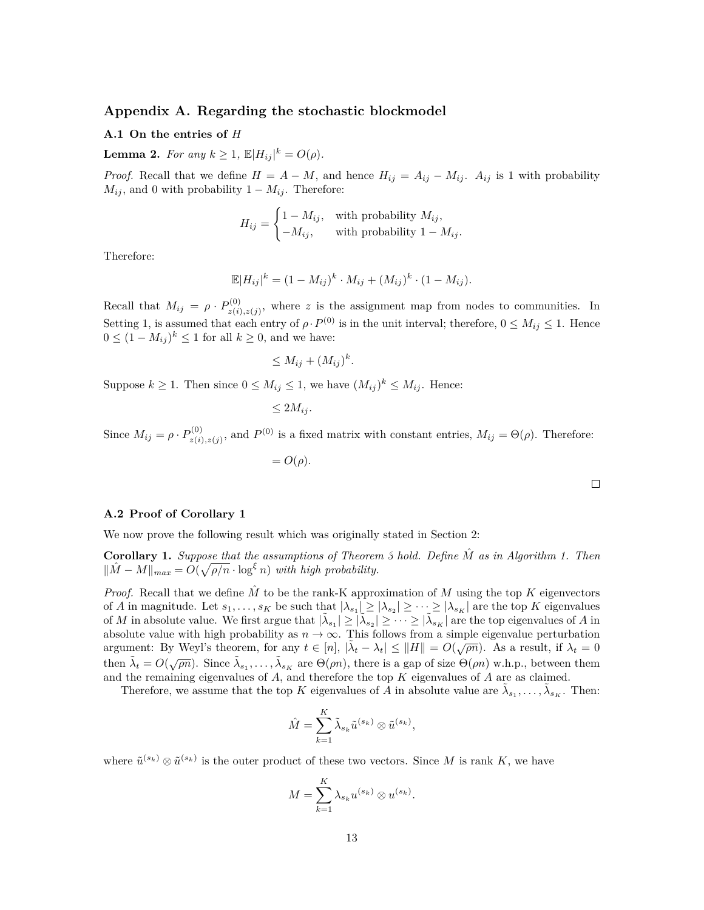# **Appendix A. Regarding the stochastic blockmodel**

# **A.1 On the entries of** *H*

<span id="page-12-0"></span>**Lemma 2.** *For any*  $k \ge 1$ ,  $\mathbb{E}|H_{ij}|^k = O(\rho)$ *.* 

*Proof.* Recall that we define  $H = A - M$ , and hence  $H_{ij} = A_{ij} - M_{ij}$ .  $A_{ij}$  is 1 with probability  $M_{ij}$ , and 0 with probability 1 *− Mij*. Therefore:

$$
H_{ij} = \begin{cases} 1 - M_{ij}, & \text{with probability } M_{ij}, \\ -M_{ij}, & \text{with probability } 1 - M_{ij}. \end{cases}
$$

Therefore:

$$
\mathbb{E}|H_{ij}|^k = (1 - M_{ij})^k \cdot M_{ij} + (M_{ij})^k \cdot (1 - M_{ij}).
$$

Recall that  $M_{ij} = \rho \cdot P_{z(i)}^{(0)}$  $z_{(i),z(j)}^{(0)}$ , where *z* is the assignment map from nodes to communities. In Setting [1,](#page-3-0) is assumed that each entry of  $\rho \cdot P^{(0)}$  is in the unit interval; therefore,  $0 \le M_{ij} \le 1$ . Hence 0 ≤  $(1 - M_{ij})^k$  ≤ 1 for all  $k \ge 0$ , and we have:

$$
\leq M_{ij} + (M_{ij})^k.
$$

Suppose  $k \geq 1$ . Then since  $0 \leq M_{ij} \leq 1$ , we have  $(M_{ij})^k \leq M_{ij}$ . Hence:

$$
\leq 2M_{ij}.
$$

Since  $M_{ij} = \rho \cdot P_{z(i)}^{(0)}$  $Z_{z(i),z(j)}^{(0)}$ , and  $P^{(0)}$  is a fixed matrix with constant entries,  $M_{ij} = \Theta(\rho)$ . Therefore:

 $= O(\rho)$ .

**A.2 Proof of Corollary [1](#page-5-1)**

We now prove the following result which was originally stated in Section [2:](#page-3-2)

**Corollary 1.** *Suppose that the assumptions of Theorem [3](#page-4-0) hold. Define M*ˆ *as in Algorithm [1.](#page-5-2) Then*  $||M - M||_{max} = O(\sqrt{\rho/n} \cdot \log^{\xi} n)$  *with high probability.* 

*Proof.* Recall that we define  $\tilde{M}$  to be the rank-K approximation of  $M$  using the top  $K$  eigenvectors of *A* in magnitude. Let  $s_1, \ldots, s_K$  be such that  $|\lambda_{s_1}| \geq |\lambda_{s_2}| \geq \cdots \geq |\lambda_{s_K}|$  are the top *K* eigenvalues of *M* in absolute value. We first argue that  $|\tilde{\lambda}_{s_1}| \geq |\tilde{\lambda}_{s_2}| \geq \cdots \geq |\tilde{\lambda}_{s_K}|$  are the top eigenvalues of *A* in absolute value with high probability as  $n \to \infty$ . This follows from a simple eigenvalue perturbation associate value with high probability as  $h \to \infty$ . This follows from a simple eigenvalue perturbation argument: By Weyl's theorem, for any  $t \in [n]$ ,  $|\tilde{\lambda}_t - \lambda_t| \le ||H|| = O(\sqrt{\rho n})$ . As a result, if  $\lambda_t = 0$ then  $\tilde{\lambda}_t = O(\sqrt{\rho n})$ . Since  $\tilde{\lambda}_{s_1}, \ldots, \tilde{\lambda}_{s_K}$  are  $\Theta(\rho n)$ , there is a gap of size  $\Theta(\rho n)$  w.h.p., between them and the remaining eigenvalues of *A*, and therefore the top *K* eigenvalues of *A* are as claimed.

Therefore, we assume that the top *K* eigenvalues of *A* in absolute value are  $\tilde{\lambda}_{s_1}, \ldots, \tilde{\lambda}_{s_K}$ . Then:

$$
\hat{M} = \sum_{k=1}^{K} \tilde{\lambda}_{s_k} \tilde{u}^{(s_k)} \otimes \tilde{u}^{(s_k)},
$$

where  $\tilde{u}^{(s_k)} \otimes \tilde{u}^{(s_k)}$  is the outer product of these two vectors. Since M is rank K, we have

$$
M = \sum_{k=1}^{K} \lambda_{s_k} u^{(s_k)} \otimes u^{(s_k)}.
$$

 $\Box$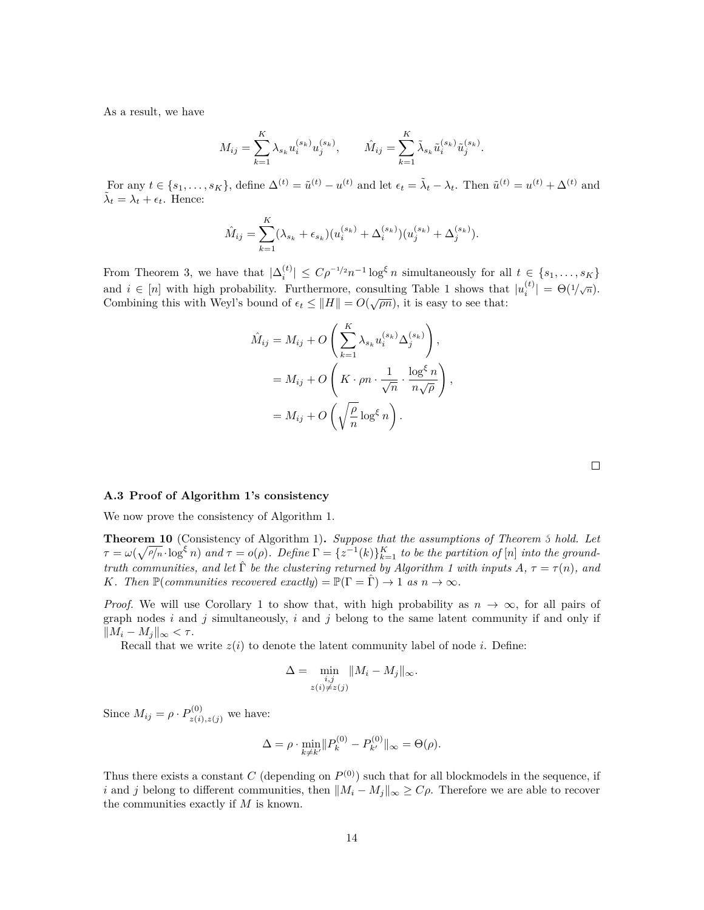As a result, we have

$$
M_{ij} = \sum_{k=1}^{K} \lambda_{s_k} u_i^{(s_k)} u_j^{(s_k)}, \qquad \hat{M}_{ij} = \sum_{k=1}^{K} \tilde{\lambda}_{s_k} \tilde{u}_i^{(s_k)} \tilde{u}_j^{(s_k)}.
$$

For any  $t \in \{s_1, \ldots, s_K\}$ , define  $\Delta^{(t)} = \tilde{u}^{(t)} - u^{(t)}$  and let  $\epsilon_t = \tilde{\lambda}_t - \lambda_t$ . Then  $\tilde{u}^{(t)} = u^{(t)} + \Delta^{(t)}$  and  $\tilde{\lambda}_t = \lambda_t + \epsilon_t$ . Hence:

$$
\hat{M}_{ij} = \sum_{k=1}^{K} (\lambda_{s_k} + \epsilon_{s_k}) (u_i^{(s_k)} + \Delta_i^{(s_k)}) (u_j^{(s_k)} + \Delta_j^{(s_k)}).
$$

From Theorem [3](#page-4-0), we have that  $|\Delta_i^{(t)}| \le C\rho^{-1/2} n^{-1} \log^{\xi} n$  simultaneously for all  $t \in \{s_1, \ldots, s_K\}$ and  $i \in [n]$  with high probability. Furthermore, consulting Table [1](#page-3-1) shows that  $|u_i^{(t)}| = \Theta(1/\sqrt{n})$ . Combining this with Weyl's bound of  $\epsilon_t \le ||H|| = O(\sqrt{\rho n})$ , it is easy to see that:

$$
\hat{M}_{ij} = M_{ij} + O\left(\sum_{k=1}^{K} \lambda_{s_k} u_i^{(s_k)} \Delta_j^{(s_k)}\right),
$$
  
=  $M_{ij} + O\left(K \cdot \rho n \cdot \frac{1}{\sqrt{n}} \cdot \frac{\log^{\xi} n}{n\sqrt{\rho}}\right),$   
=  $M_{ij} + O\left(\sqrt{\frac{\rho}{n}} \log^{\xi} n\right).$ 

#### <span id="page-13-0"></span>**A.3 Proof of Algorithm [1](#page-5-2)'s consistency**

<span id="page-13-1"></span>We now prove the consistency of Algorithm [1.](#page-5-2)

**Theorem 10** (Consistency of Algorithm [1](#page-5-2))**.** *Suppose that the assumptions of Theorem [3](#page-4-0) hold. Let*  $\tau = \omega(\sqrt{\rho/n} \cdot \log^{\xi} n)$  and  $\tau = o(\rho)$ . Define  $\Gamma = \{z^{-1}(k)\}_{k=1}^K$  to be the partition of  $[n]$  into the ground*truth communities, and let*  $\hat{\Gamma}$  *be the clustering returned by Algorithm [1](#page-5-2) with inputs*  $A, \tau = \tau(n)$ *, and K.* Then  $\mathbb{P}(\text{commuities recovered exactly}) = \mathbb{P}(\Gamma = \Gamma) \rightarrow 1 \text{ as } n \rightarrow \infty$ .

*Proof.* We will use Corollary [1](#page-5-1) to show that, with high probability as  $n \to \infty$ , for all pairs of graph nodes *i* and *j* simultaneously, *i* and *j* belong to the same latent community if and only if  $||M_i - M_j||_{\infty} < \tau$ .

Recall that we write  $z(i)$  to denote the latent community label of node *i*. Define:

$$
\Delta = \min_{\substack{i,j \\ z(i) \neq z(j)}} \|M_i - M_j\|_{\infty}.
$$

Since  $M_{ij} = \rho \cdot P_{z(i),z(j)}^{(0)}$  we have:

$$
\Delta = \rho \cdot \min_{k \neq k'} \| P_k^{(0)} - P_{k'}^{(0)} \|_{\infty} = \Theta(\rho).
$$

Thus there exists a constant *C* (depending on  $P^{(0)}$ ) such that for all blockmodels in the sequence, if *i* and *j* belong to different communities, then  $||M_i - M_j||_{\infty} \ge C\rho$ . Therefore we are able to recover the communities exactly if *M* is known.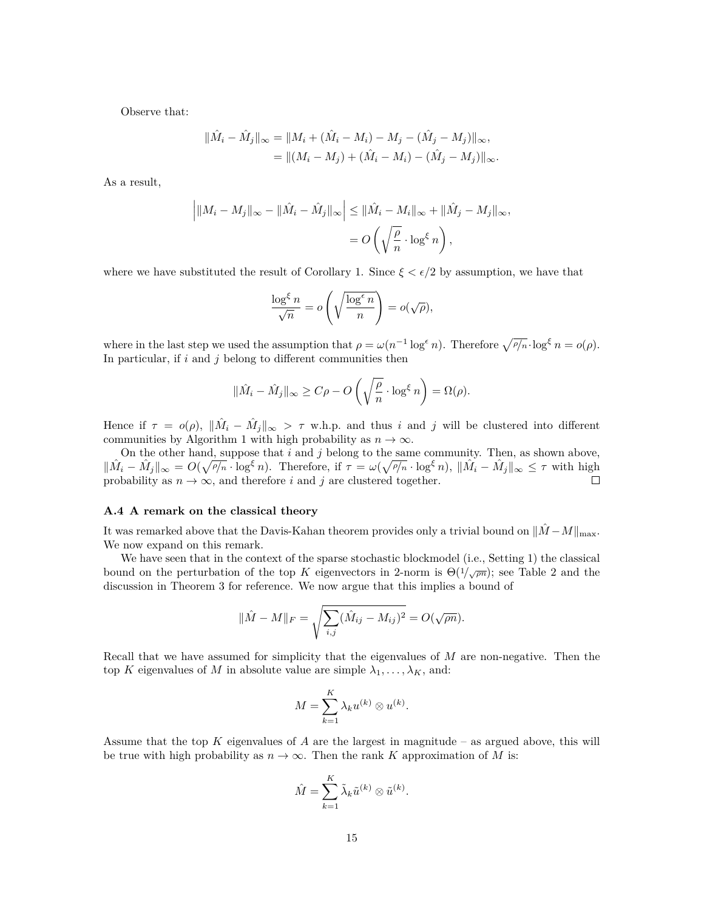Observe that:

$$
\|\hat{M}_i - \hat{M}_j\|_{\infty} = \|M_i + (\hat{M}_i - M_i) - M_j - (\hat{M}_j - M_j)\|_{\infty},
$$
  
= 
$$
\|(M_i - M_j) + (\hat{M}_i - M_i) - (\hat{M}_j - M_j)\|_{\infty}.
$$

As a result,

$$
\left| \|M_i - M_j\|_{\infty} - \|\hat{M}_i - \hat{M}_j\|_{\infty} \right| \leq \|\hat{M}_i - M_i\|_{\infty} + \|\hat{M}_j - M_j\|_{\infty},
$$
  
=  $O\left(\sqrt{\frac{\rho}{n}} \cdot \log^{\xi} n\right),$ 

where we have substituted the result of Corollary [1.](#page-5-1) Since  $\xi < \epsilon/2$  by assumption, we have that

$$
\frac{\log^{\xi} n}{\sqrt{n}} = o\left(\sqrt{\frac{\log^{\epsilon} n}{n}}\right) = o(\sqrt{\rho}),
$$

where in the last step we used the assumption that  $\rho = \omega(n^{-1} \log^{\epsilon} n)$ . Therefore  $\sqrt{\rho/n} \cdot \log^{\xi} n = o(\rho)$ . In particular, if  $i$  and  $j$  belong to different communities then

$$
\|\hat{M}_i - \hat{M}_j\|_{\infty} \ge C\rho - O\left(\sqrt{\frac{\rho}{n}} \cdot \log^{\xi} n\right) = \Omega(\rho).
$$

Hence if  $\tau = o(\rho)$ ,  $\|\hat{M}_i - \hat{M}_j\|_{\infty} > \tau$  w.h.p. and thus *i* and *j* will be clustered into different communities by Algorithm [1](#page-5-2) with high probability as  $n \to \infty$ .

On the other hand, suppose that *i* and *j* belong to the same community. Then, as shown above,  $\|\hat{M}_i - \hat{M}_j\|_{\infty} = O(\sqrt{\rho/n} \cdot \log^{\xi} n)$ . Therefore, if  $\tau = \omega(\sqrt{\rho/n} \cdot \log^{\xi} n)$ ,  $\|\hat{M}_i - \hat{M}_j\|_{\infty} \leq \tau$  with high probability as  $n \to \infty$ , and therefore *i* and *j* are clustered together.  $\Box$ 

#### <span id="page-14-0"></span>**A.4 A remark on the classical theory**

It was remarked above that the Davis-Kahan theorem provides only a trivial bound on  $||\hat{M} - M||_{\text{max}}$ . We now expand on this remark.

We have seen that in the context of the sparse stochastic blockmodel (i.e., Setting [1\)](#page-3-0) the classical bound on the perturbation of the top *K* eigenvectors in [2](#page-4-1)-norm is  $\Theta(1/\sqrt{\rho n})$ ; see Table 2 and the discussion in Theorem [3](#page-4-0) for reference. We now argue that this implies a bound of

$$
\|\hat{M} - M\|_{F} = \sqrt{\sum_{i,j} (\hat{M}_{ij} - M_{ij})^{2}} = O(\sqrt{\rho n}).
$$

Recall that we have assumed for simplicity that the eigenvalues of *M* are non-negative. Then the top *K* eigenvalues of *M* in absolute value are simple  $\lambda_1, \ldots, \lambda_K$ , and:

$$
M = \sum_{k=1}^{K} \lambda_k u^{(k)} \otimes u^{(k)}.
$$

Assume that the top *K* eigenvalues of *A* are the largest in magnitude – as argued above, this will be true with high probability as  $n \to \infty$ . Then the rank *K* approximation of *M* is:

$$
\hat{M} = \sum_{k=1}^{K} \tilde{\lambda}_k \tilde{u}^{(k)} \otimes \tilde{u}^{(k)}.
$$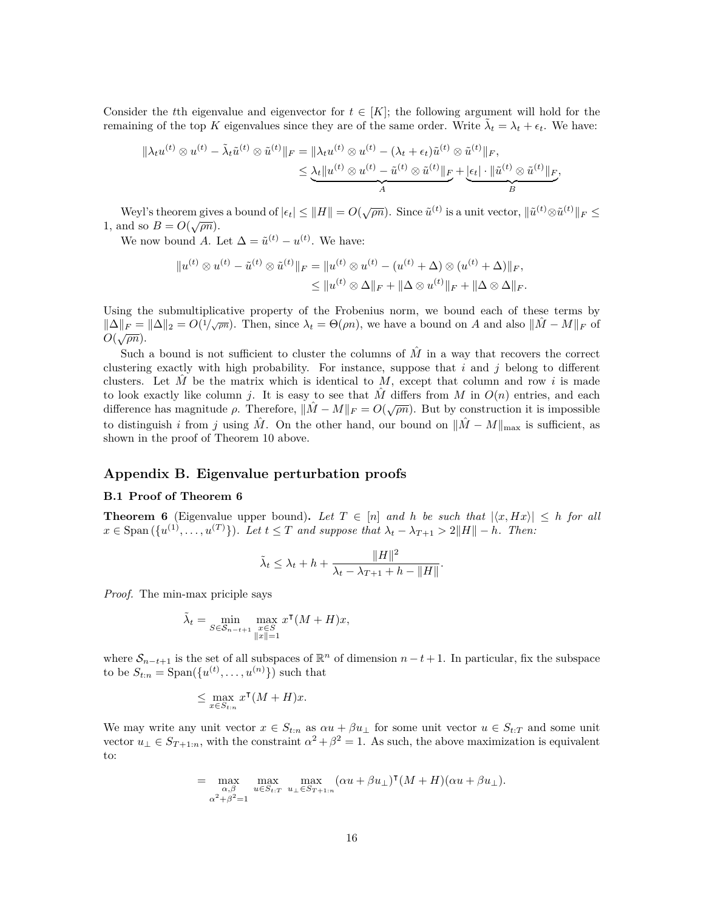Consider the *t*th eigenvalue and eigenvector for  $t \in [K]$ ; the following argument will hold for the remaining of the top *K* eigenvalues since they are of the same order. Write  $\tilde{\lambda}_t = \lambda_t + \epsilon_t$ . We have:

$$
\|\lambda_t u^{(t)} \otimes u^{(t)} - \tilde{\lambda}_t \tilde{u}^{(t)} \otimes \tilde{u}^{(t)}\|_F = \|\lambda_t u^{(t)} \otimes u^{(t)} - (\lambda_t + \epsilon_t) \tilde{u}^{(t)} \otimes \tilde{u}^{(t)}\|_F, \\
\leq \underbrace{\lambda_t \|u^{(t)} \otimes u^{(t)} - \tilde{u}^{(t)} \otimes \tilde{u}^{(t)}\|_F}_{A} + \underbrace{|\epsilon_t| \cdot \|\tilde{u}^{(t)} \otimes \tilde{u}^{(t)}\|_F}_{B},
$$

Weyl's theorem gives a bound of  $|\epsilon_t| \leq ||H|| = O(\sqrt{\rho n})$ . Since  $\tilde{u}^{(t)}$  is a unit vector,  $\|\tilde{u}^{(t)} \otimes \tilde{u}^{(t)}\|_F \leq$ 1, and so  $B = O(\sqrt{pn})$ .

We now bound *A*. Let  $\Delta = \tilde{u}^{(t)} - u^{(t)}$ . We have:

$$
||u^{(t)} \otimes u^{(t)} - \tilde{u}^{(t)} \otimes \tilde{u}^{(t)}||_F = ||u^{(t)} \otimes u^{(t)} - (u^{(t)} + \Delta) \otimes (u^{(t)} + \Delta)||_F,
$$
  

$$
\leq ||u^{(t)} \otimes \Delta||_F + ||\Delta \otimes u^{(t)}||_F + ||\Delta \otimes \Delta||_F.
$$

Using the submultiplicative property of the Frobenius norm, we bound each of these terms by  $\|\Delta\|_F = \|\Delta\|_2 = O(1/\sqrt{p\pi}).$  Then, since  $\lambda_t = \Theta(pn)$ , we have a bound on A and also  $\|\hat{M} - M\|_F$  of  $O(\sqrt{\rho n}).$ 

Such a bound is not sufficient to cluster the columns of  $\tilde{M}$  in a way that recovers the correct clustering exactly with high probability. For instance, suppose that *i* and *j* belong to different clusters. Let  $\tilde{M}$  be the matrix which is identical to  $\tilde{M}$ , except that column and row i is made to look exactly like column *j*. It is easy to see that *M* differs from *M* in  $O(n)$  entries, and each difference has magnitude *ρ*. Therefore,  $||\hat{M} - M||_F = O(\sqrt{p\pi})$ . But by construction it is impossible to distinguish *i* from *j* using  $\hat{M}$ . On the other hand, our bound on  $\|\hat{M} - M\|_{\text{max}}$  is sufficient, as shown in the proof of Theorem [10](#page-13-1) above.

# **Appendix B. Eigenvalue perturbation proofs**

#### **B.1 Proof of Theorem [6](#page-6-2)**

<span id="page-15-0"></span>**Theorem 6** (Eigenvalue upper bound). Let  $T \in [n]$  and h be such that  $|\langle x, Hx \rangle| \leq h$  for all  $x \in \text{Span}(\{u^{(1)}, \ldots, u^{(T)}\})$ . Let  $t \leq T$  and suppose that  $\lambda_t - \lambda_{T+1} > 2||H|| - h$ . Then:

$$
\tilde{\lambda}_t \leq \lambda_t + h + \frac{\|H\|^2}{\lambda_t - \lambda_{T+1} + h - \|H\|}.
$$

*Proof.* The min-max priciple says

$$
\tilde{\lambda}_t = \min_{S \in \mathcal{S}_{n-t+1}} \max_{\substack{x \in S \\ \|x\| = 1}} x^{\mathsf{T}} (M + H) x,
$$

where  $S_{n-t+1}$  is the set of all subspaces of  $\mathbb{R}^n$  of dimension  $n-t+1$ . In particular, fix the subspace to be  $S_{t:n} = \text{Span}(\{u^{(t)}, \ldots, u^{(n)}\})$  such that

$$
\leq \max_{x\in S_{t:n}} x^\intercal (M+H)x.
$$

We may write any unit vector  $x \in S_{t:n}$  as  $\alpha u + \beta u_{\perp}$  for some unit vector  $u \in S_{t:T}$  and some unit vector  $u_{\perp} \in S_{T+1:n}$ , with the constraint  $\alpha^2 + \beta^2 = 1$ . As such, the above maximization is equivalent to:

$$
= \max_{\substack{\alpha,\beta \\ \alpha^2+\beta^2=1}} \max_{u \in S_{t:T}} \max_{u_\perp \in S_{T+1:n}} (\alpha u + \beta u_\perp)^\mathsf{T} (M+H)(\alpha u + \beta u_\perp).
$$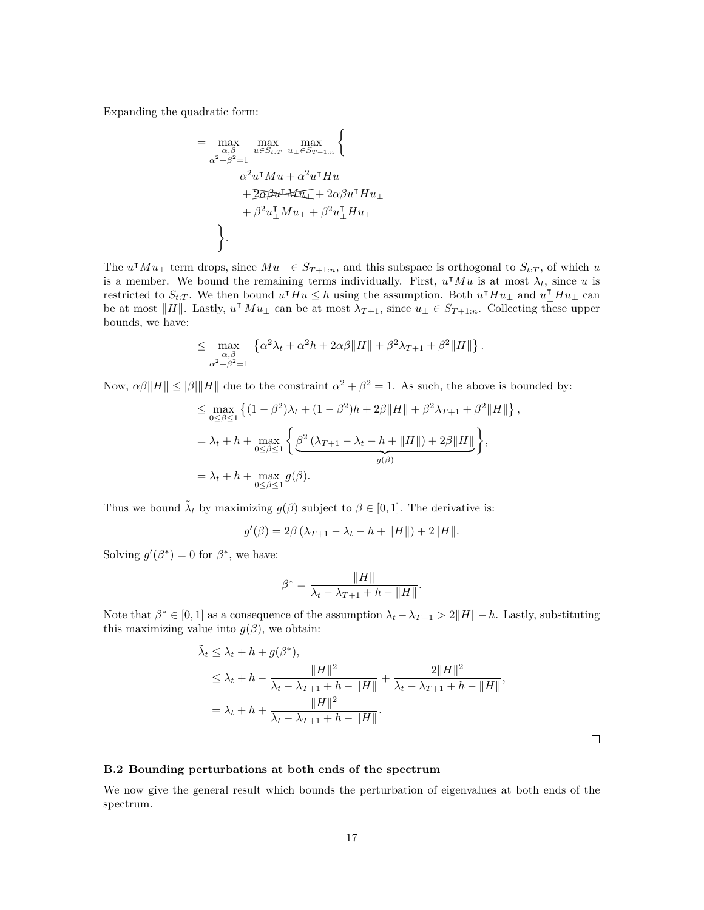Expanding the quadratic form:

$$
= \max_{\substack{\alpha,\beta \\ \alpha^2 + \beta^2 = 1}} \max_{u \in S_{t:T}} \max_{u_{\perp} \in S_{T+1:n}} \left\{ \frac{\alpha^2 u^{\intercal} M u + \alpha^2 u^{\intercal} H u}{\alpha^2 u^{\intercal} M u + \alpha^2 u^{\intercal} H u} + \frac{2 \alpha \beta u^{\intercal} H u_{\perp}}{2 \alpha^2 u^{\intercal} M u_{\perp} + \beta^2 u^{\intercal}_{\perp} H u_{\perp}} \right\}.
$$

The  $u^{\dagger}Mu_{\perp}$  term drops, since  $Mu_{\perp} \in S_{T+1:n}$ , and this subspace is orthogonal to  $S_{t:T}$ , of which *u* is a member. We bound the remaining terms individually. First,  $u^{\dagger}Mu$  is at most  $\lambda_t$ , since *u* is restricted to  $S_{t:T}$ . We then bound  $u^{\mathsf{T}}Hu \leq h$  using the assumption. Both  $u^{\mathsf{T}}Hu_\perp$  and  $u^{\mathsf{T}}_\perp Hu_\perp$  can be at most  $||H||$ . Lastly,  $u_{\perp}^{\mathsf{T}} M u_{\perp}$  can be at most  $\lambda_{T+1}$ , since  $u_{\perp} \in S_{T+1:n}$ . Collecting these upper bounds, we have:

<sup>{</sup>

$$
\leq \max_{\substack{\alpha,\beta \\ \alpha^2+\beta^2=1}} \left\{ \alpha^2 \lambda_t + \alpha^2 h + 2\alpha\beta \|H\| + \beta^2 \lambda_{T+1} + \beta^2 \|H\| \right\}.
$$

Now,  $\alpha\beta\|H\| \leq |\beta|\|H\|$  due to the constraint  $\alpha^2 + \beta^2 = 1$ . As such, the above is bounded by:

$$
\leq \max_{0 \leq \beta \leq 1} \left\{ (1 - \beta^2) \lambda_t + (1 - \beta^2) h + 2\beta ||H|| + \beta^2 \lambda_{T+1} + \beta^2 ||H|| \right\}
$$
  
=  $\lambda_t + h + \max_{0 \leq \beta \leq 1} \left\{ \underbrace{\beta^2 (\lambda_{T+1} - \lambda_t - h + ||H||) + 2\beta ||H||}_{g(\beta)} \right\},$   
=  $\lambda_t + h + \max_{0 \leq \beta \leq 1} g(\beta).$ 

*,*

Thus we bound  $\tilde{\lambda}_t$  by maximizing  $g(\beta)$  subject to  $\beta \in [0,1]$ . The derivative is:

$$
g'(\beta) = 2\beta (\lambda_{T+1} - \lambda_t - h + ||H||) + 2||H||.
$$

Solving  $g'(\beta^*) = 0$  for  $\beta^*$ , we have:

$$
\beta^* = \frac{\|H\|}{\lambda_t - \lambda_{T+1} + h - \|H\|}
$$

Note that  $\beta^* \in [0,1]$  as a consequence of the assumption  $\lambda_t - \lambda_{T+1} > 2||H|| - h$ . Lastly, substituting this maximizing value into  $g(\beta)$ , we obtain:

$$
\tilde{\lambda}_t \leq \lambda_t + h + g(\beta^*),
$$
\n
$$
\leq \lambda_t + h - \frac{\|H\|^2}{\lambda_t - \lambda_{T+1} + h - \|H\|} + \frac{2\|H\|^2}{\lambda_t - \lambda_{T+1} + h - \|H\|},
$$
\n
$$
= \lambda_t + h + \frac{\|H\|^2}{\lambda_t - \lambda_{T+1} + h - \|H\|}.
$$

*.*

### **B.2 Bounding perturbations at both ends of the spectrum**

<span id="page-16-0"></span>We now give the general result which bounds the perturbation of eigenvalues at both ends of the spectrum.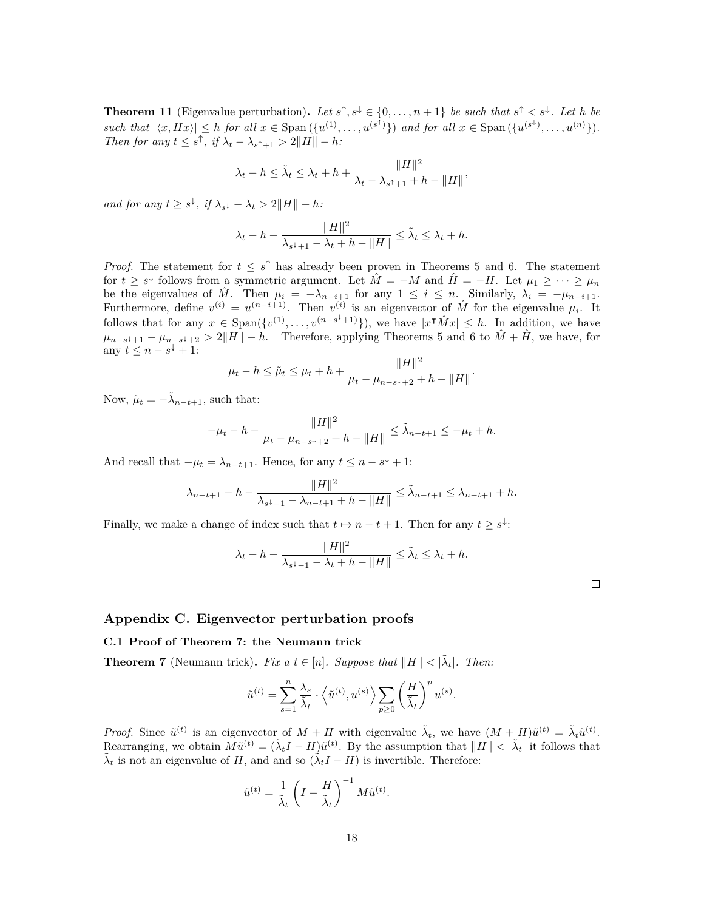**Theorem 11** (Eigenvalue perturbation). Let  $s^{\uparrow}, s^{\downarrow} \in \{0, \ldots, n+1\}$  be such that  $s^{\uparrow} < s^{\downarrow}$ . Let h be such that  $|\langle x, Hx \rangle| \leq h$  for all  $x \in \text{Span}(\{u^{(1)}, \ldots, u^{(s^T)}\})$  and for all  $x \in \text{Span}(\{u^{(s^+)}, \ldots, u^{(n)}\}).$ *Then for any*  $t \leq s^{\uparrow}$ , *if*  $\lambda_t - \lambda_{s^{\uparrow}+1} > 2||H|| - h$ :

$$
\lambda_t - h \leq \tilde{\lambda}_t \leq \lambda_t + h + \frac{\|H\|^2}{\lambda_t - \lambda_{s^\uparrow + 1} + h - \|H\|},
$$

*and for any*  $t \geq s^{\downarrow}$ , *if*  $\lambda_{s^{\downarrow}} - \lambda_{t} > 2||H|| - h$ :

$$
\lambda_t - h - \frac{\|H\|^2}{\lambda_{s^+ + 1} - \lambda_t + h - \|H\|} \le \tilde{\lambda}_t \le \lambda_t + h.
$$

*Proof.* The statement for  $t \leq s^{\uparrow}$  has already been proven in Theorems [5](#page-6-1) and [6](#page-6-2). The statement for  $t \geq s^{\downarrow}$  follows from a symmetric argument. Let  $\hat{M} = -M$  and  $\hat{H} = -H$ . Let  $\mu_1 \geq \cdots \geq \mu_n$ be the eigenvalues of  $\hat{M}$ . Then  $\mu_i = -\lambda_{n-i+1}$  for any  $1 \leq i \leq n$ . Similarly,  $\lambda_i = -\mu_{n-i+1}$ . Furthermore, define  $v^{(i)} = u^{(n-i+1)}$ . Then  $v^{(i)}$  is an eigenvector of  $\hat{M}$  for the eigenvalue  $\mu_i$ . It follows that for any  $x \in \text{Span}(\{v^{(1)}, \ldots, v^{(n-s^{\downarrow}+1)}\})$ , we have  $|x^{\uparrow} \hat{M} x| \leq h$ . In addition, we have  $\mu_{n-s+1} - \mu_{n-s+2} > 2||H|| - h$ . Therefore, applying Theorems [5](#page-6-1) and [6](#page-6-2) to  $\hat{M} + \hat{H}$ , we have, for any  $t \leq n - s^{\downarrow} + 1$ :

$$
\mu_t - h \le \tilde{\mu}_t \le \mu_t + h + \frac{\|H\|^2}{\mu_t - \mu_{n-s+2} + h - \|H\|}.
$$

Now,  $\tilde{\mu}_t = -\tilde{\lambda}_{n-t+1}$ , such that:

$$
-\mu_t - h - \frac{\|H\|^2}{\mu_t - \mu_{n-s^+ + 2} + h - \|H\|} \le \tilde{\lambda}_{n-t+1} \le -\mu_t + h.
$$

And recall that  $-\mu_t = \lambda_{n-t+1}$ . Hence, for any  $t \leq n - s^{\downarrow} + 1$ :

$$
\lambda_{n-t+1} - h - \frac{\|H\|^2}{\lambda_{s^+ - 1} - \lambda_{n-t+1} + h - \|H\|} \le \tilde{\lambda}_{n-t+1} \le \lambda_{n-t+1} + h.
$$

Finally, we make a change of index such that  $t \mapsto n - t + 1$ . Then for any  $t \geq s^{\downarrow}$ :

$$
\lambda_t - h - \frac{\|H\|^2}{\lambda_{s^{\downarrow}-1} - \lambda_t + h - \|H\|} \leq \tilde{\lambda}_t \leq \lambda_t + h.
$$

 $\Box$ 

### **Appendix C. Eigenvector perturbation proofs**

#### **C.1 Proof of Theorem [7](#page-8-1): the Neumann trick**

<span id="page-17-0"></span>**Theorem 7** (Neumann trick). Fix a  $t \in [n]$ . Suppose that  $||H|| < |\tilde{\lambda}_t|$ . Then:

$$
\tilde{u}^{(t)} = \sum_{s=1}^n \frac{\lambda_s}{\tilde{\lambda}_t} \cdot \left\langle \tilde{u}^{(t)}, u^{(s)} \right\rangle \sum_{p \geq 0} \left( \frac{H}{\tilde{\lambda}_t} \right)^p u^{(s)}.
$$

*Proof.* Since  $\tilde{u}^{(t)}$  is an eigenvector of  $M + H$  with eigenvalue  $\tilde{\lambda}_t$ , we have  $(M + H)\tilde{u}^{(t)} = \tilde{\lambda}_t \tilde{u}^{(t)}$ . Rearranging, we obtain  $\tilde{M}\tilde{u}^{(t)} = (\tilde{\lambda}_t I - H)\tilde{u}^{(t)}$ . By the assumption that  $||H|| < |\tilde{\lambda}_t|$  it follows that  $\tilde{\lambda}_t$  is not an eigenvalue of *H*, and and so  $(\tilde{\lambda}_t I - H)$  is invertible. Therefore:

$$
\tilde{u}^{(t)} = \frac{1}{\tilde{\lambda}_t} \left( I - \frac{H}{\tilde{\lambda}_t} \right)^{-1} M \tilde{u}^{(t)}.
$$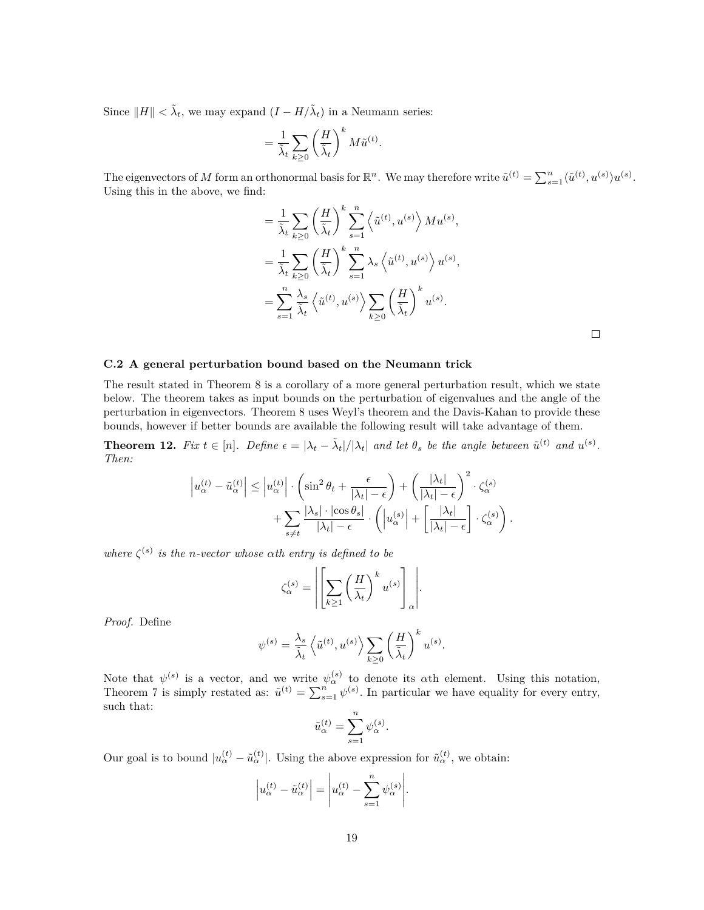Since  $||H|| < \tilde{\lambda}_t$ , we may expand  $(I - H/\tilde{\lambda}_t)$  in a Neumann series:

$$
= \frac{1}{\tilde{\lambda}_t} \sum_{k \ge 0} \left(\frac{H}{\tilde{\lambda}_t}\right)^k M \tilde{u}^{(t)}.
$$

The eigenvectors of *M* form an orthonormal basis for  $\mathbb{R}^n$ . We may therefore write  $\tilde{u}^{(t)} = \sum_{s=1}^n \langle \tilde{u}^{(t)}, u^{(s)} \rangle u^{(s)}$ . Using this in the above, we find:

$$
= \frac{1}{\tilde{\lambda}_t} \sum_{k \geq 0} \left(\frac{H}{\tilde{\lambda}_t}\right)^k \sum_{s=1}^n \left\langle \tilde{u}^{(t)}, u^{(s)} \right\rangle M u^{(s)},
$$
  

$$
= \frac{1}{\tilde{\lambda}_t} \sum_{k \geq 0} \left(\frac{H}{\tilde{\lambda}_t}\right)^k \sum_{s=1}^n \lambda_s \left\langle \tilde{u}^{(t)}, u^{(s)} \right\rangle u^{(s)},
$$
  

$$
= \sum_{s=1}^n \frac{\lambda_s}{\tilde{\lambda}_t} \left\langle \tilde{u}^{(t)}, u^{(s)} \right\rangle \sum_{k \geq 0} \left(\frac{H}{\tilde{\lambda}_t}\right)^k u^{(s)}.
$$

 $\Box$ 

#### <span id="page-18-1"></span>**C.2 A general perturbation bound based on the Neumann trick**

The result stated in Theorem [8](#page-9-1) is a corollary of a more general perturbation result, which we state below. The theorem takes as input bounds on the perturbation of eigenvalues and the angle of the perturbation in eigenvectors. Theorem [8](#page-9-1) uses Weyl's theorem and the Davis-Kahan to provide these bounds, however if better bounds are available the following result will take advantage of them.

<span id="page-18-0"></span>**Theorem 12.** Fix  $t \in [n]$ . Define  $\epsilon = |\lambda_t - \tilde{\lambda}_t|/|\lambda_t|$  and let  $\theta_s$  be the angle between  $\tilde{u}^{(t)}$  and  $u^{(s)}$ . *Then:*

$$
\left| u_{\alpha}^{(t)} - \tilde{u}_{\alpha}^{(t)} \right| \leq \left| u_{\alpha}^{(t)} \right| \cdot \left( \sin^2 \theta_t + \frac{\epsilon}{|\lambda_t| - \epsilon} \right) + \left( \frac{|\lambda_t|}{|\lambda_t| - \epsilon} \right)^2 \cdot \zeta_{\alpha}^{(s)} + \sum_{s \neq t} \frac{|\lambda_s| \cdot |\cos \theta_s|}{|\lambda_t| - \epsilon} \cdot \left( \left| u_{\alpha}^{(s)} \right| + \left[ \frac{|\lambda_t|}{|\lambda_t| - \epsilon} \right] \cdot \zeta_{\alpha}^{(s)} \right).
$$

*where*  $\zeta^{(s)}$  *is the n-vector whose*  $\alpha$ *th entry is defined to be* 

$$
\zeta_{\alpha}^{(s)} = \left| \left[ \sum_{k \geq 1} \left( \frac{H}{\lambda_t} \right)^k u^{(s)} \right]_{\alpha} \right|.
$$

*Proof.* Define

$$
\psi^{(s)} = \frac{\lambda_s}{\tilde{\lambda}_t} \left\langle \tilde{u}^{(t)}, u^{(s)} \right\rangle \sum_{k \ge 0} \left( \frac{H}{\tilde{\lambda}_t} \right)^k u^{(s)}.
$$

Note that  $\psi^{(s)}$  is a vector, and we write  $\psi^{(s)}_{\alpha}$  to denote its  $\alpha$ th element. Using this notation, Theorem [7](#page-8-1) is simply restated as:  $\tilde{u}^{(t)} = \sum_{s=1}^{n} \psi^{(s)}$ . In particular we have equality for every entry, such that:

$$
\tilde{u}_\alpha^{(t)}=\sum_{s=1}^n \psi_\alpha^{(s)}.
$$

Our goal is to bound  $|u_{\alpha}^{(t)} - \tilde{u}_{\alpha}^{(t)}|$ . Using the above expression for  $\tilde{u}_{\alpha}^{(t)}$ , we obtain:

$$
\left| u_{\alpha}^{(t)} - \tilde{u}_{\alpha}^{(t)} \right| = \left| u_{\alpha}^{(t)} - \sum_{s=1}^{n} \psi_{\alpha}^{(s)} \right|.
$$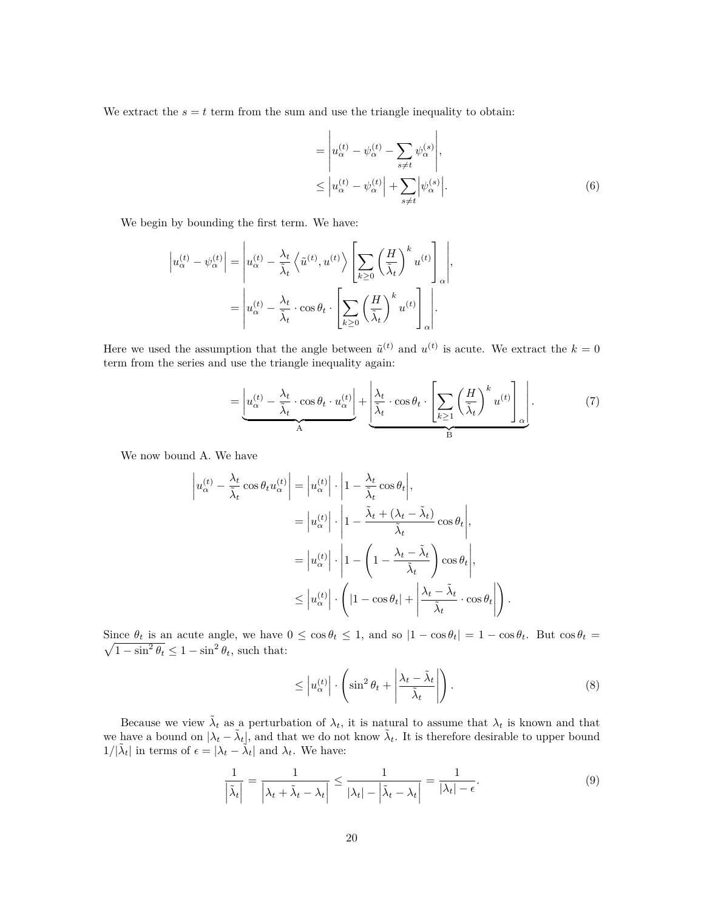We extract the  $s = t$  term from the sum and use the triangle inequality to obtain:

<span id="page-19-3"></span>
$$
= \left| u_{\alpha}^{(t)} - \psi_{\alpha}^{(t)} - \sum_{s \neq t} \psi_{\alpha}^{(s)} \right|,
$$
  

$$
\leq \left| u_{\alpha}^{(t)} - \psi_{\alpha}^{(t)} \right| + \sum_{s \neq t} \left| \psi_{\alpha}^{(s)} \right|.
$$
 (6)

We begin by bounding the first term. We have:

$$
\left| u_{\alpha}^{(t)} - \psi_{\alpha}^{(t)} \right| = \left| u_{\alpha}^{(t)} - \frac{\lambda_t}{\tilde{\lambda}_t} \left\langle \tilde{u}^{(t)}, u^{(t)} \right\rangle \left[ \sum_{k \ge 0} \left( \frac{H}{\tilde{\lambda}_t} \right)^k u^{(t)} \right]_{\alpha} \right|,
$$
  
= 
$$
\left| u_{\alpha}^{(t)} - \frac{\lambda_t}{\tilde{\lambda}_t} \cdot \cos \theta_t \cdot \left[ \sum_{k \ge 0} \left( \frac{H}{\tilde{\lambda}_t} \right)^k u^{(t)} \right]_{\alpha} \right|.
$$

Here we used the assumption that the angle between  $\tilde{u}^{(t)}$  and  $u^{(t)}$  is acute. We extract the  $k = 0$ term from the series and use the triangle inequality again:

<span id="page-19-1"></span>
$$
= \underbrace{\left| u_{\alpha}^{(t)} - \frac{\lambda_t}{\tilde{\lambda}_t} \cdot \cos \theta_t \cdot u_{\alpha}^{(t)} \right|}_{A} + \underbrace{\left| \frac{\lambda_t}{\tilde{\lambda}_t} \cdot \cos \theta_t \cdot \left[ \sum_{k \ge 1} \left( \frac{H}{\tilde{\lambda}_t} \right)^k u^{(t)} \right]_{\alpha} \right|}_{B}.
$$
 (7)

We now bound A. We have

$$
\left| u_{\alpha}^{(t)} - \frac{\lambda_t}{\tilde{\lambda}_t} \cos \theta_t u_{\alpha}^{(t)} \right| = \left| u_{\alpha}^{(t)} \right| \cdot \left| 1 - \frac{\lambda_t}{\tilde{\lambda}_t} \cos \theta_t \right|,
$$
  
\n
$$
= \left| u_{\alpha}^{(t)} \right| \cdot \left| 1 - \frac{\tilde{\lambda}_t + (\lambda_t - \tilde{\lambda}_t)}{\tilde{\lambda}_t} \cos \theta_t \right|,
$$
  
\n
$$
= \left| u_{\alpha}^{(t)} \right| \cdot \left| 1 - \left( 1 - \frac{\lambda_t - \tilde{\lambda}_t}{\tilde{\lambda}_t} \right) \cos \theta_t \right|,
$$
  
\n
$$
\leq \left| u_{\alpha}^{(t)} \right| \cdot \left( \left| 1 - \cos \theta_t \right| + \left| \frac{\lambda_t - \tilde{\lambda}_t}{\tilde{\lambda}_t} \cdot \cos \theta_t \right| \right).
$$

 $\sqrt{1-\sin^2\theta_t} \leq 1-\sin^2\theta_t$ , such that: Since  $\theta_t$  is an acute angle, we have  $0 \le \cos \theta_t \le 1$ , and so  $|1 - \cos \theta_t| = 1 - \cos \theta_t$ . But  $\cos \theta_t =$ 

<span id="page-19-0"></span>
$$
\leq \left| u_{\alpha}^{(t)} \right| \cdot \left( \sin^2 \theta_t + \left| \frac{\lambda_t - \tilde{\lambda}_t}{\tilde{\lambda}_t} \right| \right). \tag{8}
$$

<span id="page-19-2"></span>Because we view  $\tilde{\lambda}_t$  as a perturbation of  $\lambda_t$ , it is natural to assume that  $\lambda_t$  is known and that we have a bound on  $|\lambda_t - \tilde{\lambda}_t|$ , and that we do not know  $\tilde{\lambda}_t$ . It is therefore desirable to upper bound  $1/|\tilde{\lambda}_t|$  in terms of  $\epsilon = |\lambda_t - \tilde{\lambda}_t|$  and  $\lambda_t$ . We have:

$$
\frac{1}{\left|\tilde{\lambda}_t\right|} = \frac{1}{\left|\lambda_t + \tilde{\lambda}_t - \lambda_t\right|} \le \frac{1}{\left|\lambda_t\right| - \left|\tilde{\lambda}_t - \lambda_t\right|} = \frac{1}{\left|\lambda_t\right| - \epsilon}.
$$
\n(9)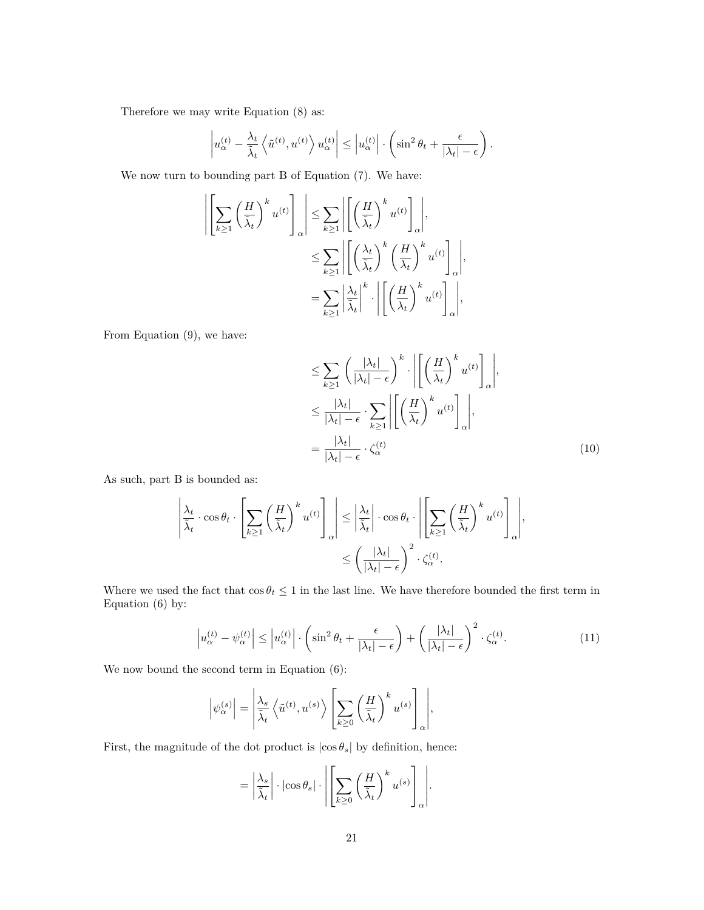Therefore we may write Equation ([8\)](#page-19-0) as:

$$
\left| u_{\alpha}^{(t)} - \frac{\lambda_t}{\tilde{\lambda}_t} \left\langle \tilde{u}^{(t)}, u^{(t)} \right\rangle u_{\alpha}^{(t)} \right| \leq \left| u_{\alpha}^{(t)} \right| \cdot \left( \sin^2 \theta_t + \frac{\epsilon}{|\lambda_t| - \epsilon} \right).
$$

We now turn to bounding part B of Equation [\(7](#page-19-1)). We have:

$$
\left| \left[ \sum_{k\geq 1} \left( \frac{H}{\tilde{\lambda}_t} \right)^k u^{(t)} \right]_{\alpha} \right| \leq \sum_{k\geq 1} \left| \left[ \left( \frac{H}{\tilde{\lambda}_t} \right)^k u^{(t)} \right]_{\alpha} \right|,
$$
  

$$
\leq \sum_{k\geq 1} \left| \left[ \left( \frac{\lambda_t}{\tilde{\lambda}_t} \right)^k \left( \frac{H}{\lambda_t} \right)^k u^{(t)} \right]_{\alpha} \right|,
$$
  

$$
= \sum_{k\geq 1} \left| \frac{\lambda_t}{\tilde{\lambda}_t} \right|^k \cdot \left| \left[ \left( \frac{H}{\lambda_t} \right)^k u^{(t)} \right]_{\alpha} \right|,
$$

From Equation [\(9](#page-19-2)), we have:

<span id="page-20-0"></span>
$$
\leq \sum_{k\geq 1} \left(\frac{|\lambda_t|}{|\lambda_t| - \epsilon}\right)^k \cdot \left| \left[ \left(\frac{H}{\lambda_t}\right)^k u^{(t)} \right]_{\alpha} \right|,
$$
\n
$$
\leq \frac{|\lambda_t|}{|\lambda_t| - \epsilon} \cdot \sum_{k\geq 1} \left| \left[ \left(\frac{H}{\lambda_t}\right)^k u^{(t)} \right]_{\alpha} \right|,
$$
\n
$$
= \frac{|\lambda_t|}{|\lambda_t| - \epsilon} \cdot \zeta_{\alpha}^{(t)} \tag{10}
$$

As such, part B is bounded as:

$$
\left| \frac{\lambda_t}{\tilde{\lambda}_t} \cdot \cos \theta_t \cdot \left[ \sum_{k \ge 1} \left( \frac{H}{\tilde{\lambda}_t} \right)^k u^{(t)} \right]_{\alpha} \right| \le \left| \frac{\lambda_t}{\tilde{\lambda}_t} \right| \cdot \cos \theta_t \cdot \left| \left[ \sum_{k \ge 1} \left( \frac{H}{\tilde{\lambda}_t} \right)^k u^{(t)} \right]_{\alpha} \right|,
$$
  

$$
\le \left( \frac{|\lambda_t|}{|\lambda_t| - \epsilon} \right)^2 \cdot \zeta_{\alpha}^{(t)}.
$$

Where we used the fact that  $\cos \theta_t \leq 1$  in the last line. We have therefore bounded the first term in Equation ([6\)](#page-19-3) by:

<span id="page-20-1"></span>
$$
\left| u_{\alpha}^{(t)} - \psi_{\alpha}^{(t)} \right| \leq \left| u_{\alpha}^{(t)} \right| \cdot \left( \sin^2 \theta_t + \frac{\epsilon}{|\lambda_t| - \epsilon} \right) + \left( \frac{|\lambda_t|}{|\lambda_t| - \epsilon} \right)^2 \cdot \zeta_{\alpha}^{(t)}.
$$
\n(11)

We now bound the second term in Equation [\(6](#page-19-3)):

$$
\left|\psi_{\alpha}^{(s)}\right| = \left|\frac{\lambda_s}{\tilde{\lambda}_t} \left\langle \tilde{u}^{(t)}, u^{(s)} \right\rangle \left[\sum_{k \geq 0} \left(\frac{H}{\tilde{\lambda}_t}\right)^k u^{(s)}\right]_{\alpha}\right|,
$$

First, the magnitude of the dot product is  $|\cos \theta_s|$  by definition, hence:

$$
= \left| \frac{\lambda_s}{\tilde{\lambda}_t} \right| \cdot \left| \cos \theta_s \right| \cdot \left| \left[ \sum_{k \geq 0} \left( \frac{H}{\tilde{\lambda}_t} \right)^k u^{(s)} \right]_{\alpha} \right|.
$$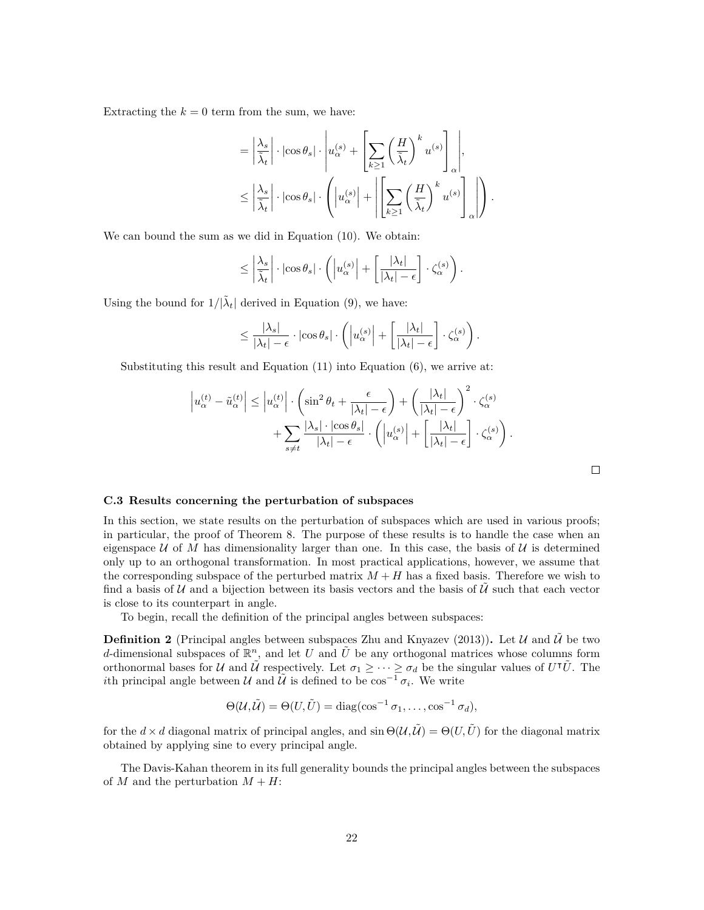Extracting the  $k = 0$  term from the sum, we have:

$$
= \left| \frac{\lambda_s}{\tilde{\lambda}_t} \right| \cdot \left| \cos \theta_s \right| \cdot \left| u_{\alpha}^{(s)} + \left[ \sum_{k \ge 1} \left( \frac{H}{\tilde{\lambda}_t} \right)^k u^{(s)} \right]_{\alpha} \right|,
$$
  

$$
\le \left| \frac{\lambda_s}{\tilde{\lambda}_t} \right| \cdot \left| \cos \theta_s \right| \cdot \left( \left| u_{\alpha}^{(s)} \right| + \left| \left[ \sum_{k \ge 1} \left( \frac{H}{\tilde{\lambda}_t} \right)^k u^{(s)} \right]_{\alpha} \right| \right).
$$

We can bound the sum as we did in Equation ([10\)](#page-20-0). We obtain:

$$
\leq \left| \frac{\lambda_s}{\tilde{\lambda}_t} \right| \cdot \left| \cos \theta_s \right| \cdot \left( \left| u_\alpha^{(s)} \right| + \left[ \frac{|\lambda_t|}{|\lambda_t| - \epsilon} \right] \cdot \zeta_\alpha^{(s)} \right).
$$

Using the bound for  $1/|\tilde{\lambda}_t|$  derived in Equation ([9\)](#page-19-2), we have:

$$
\leq \frac{|\lambda_s|}{|\lambda_t|-\epsilon} \cdot |\cos \theta_s| \cdot \left( \left| u_{\alpha}^{(s)} \right| + \left[ \frac{|\lambda_t|}{|\lambda_t|-\epsilon} \right] \cdot \zeta_{\alpha}^{(s)} \right).
$$

Substituting this result and Equation ([11](#page-20-1)) into Equation ([6\)](#page-19-3), we arrive at:

$$
\left| u_{\alpha}^{(t)} - \tilde{u}_{\alpha}^{(t)} \right| \leq \left| u_{\alpha}^{(t)} \right| \cdot \left( \sin^2 \theta_t + \frac{\epsilon}{|\lambda_t| - \epsilon} \right) + \left( \frac{|\lambda_t|}{|\lambda_t| - \epsilon} \right)^2 \cdot \zeta_{\alpha}^{(s)} + \sum_{s \neq t} \frac{|\lambda_s| \cdot |\cos \theta_s|}{|\lambda_t| - \epsilon} \cdot \left( \left| u_{\alpha}^{(s)} \right| + \left[ \frac{|\lambda_t|}{|\lambda_t| - \epsilon} \right] \cdot \zeta_{\alpha}^{(s)} \right).
$$

### **C.3 Results concerning the perturbation of subspaces**

In this section, we state results on the perturbation of subspaces which are used in various proofs; in particular, the proof of Theorem [8](#page-9-1). The purpose of these results is to handle the case when an eigenspace  $U$  of  $M$  has dimensionality larger than one. In this case, the basis of  $U$  is determined only up to an orthogonal transformation. In most practical applications, however, we assume that the corresponding subspace of the perturbed matrix  $M + H$  has a fixed basis. Therefore we wish to find a basis of *U* and a bijection between its basis vectors and the basis of *U* such that each vector is close to its counterpart in angle.

To begin, recall the definition of the principal angles between subspaces:

**Definition 2** (Principal angles between subspaces [Zhu and Knyazev](#page-11-14) [\(2013](#page-11-14))). Let  $U$  and  $\tilde{U}$  be two *d*-dimensional subspaces of  $\mathbb{R}^n$ , and let *U* and  $\tilde{U}$  be any orthogonal matrices whose columns form orthonormal bases for *U* and  $\tilde{U}$  respectively. Let  $\sigma_1 \geq \cdots \geq \sigma_d$  be the singular values of  $U^{\dagger} \tilde{U}$ . The *i*th principal angle between  $U$  and  $\tilde{U}$  is defined to be  $\cos^{-1} \sigma_i$ . We write

$$
\Theta(\mathcal{U}, \tilde{\mathcal{U}}) = \Theta(U, \tilde{U}) = \text{diag}(\cos^{-1} \sigma_1, \dots, \cos^{-1} \sigma_d),
$$

for the  $d \times d$  diagonal matrix of principal angles, and  $\sin \Theta(\mathcal{U}, \tilde{\mathcal{U}}) = \Theta(U, \tilde{U})$  for the diagonal matrix obtained by applying sine to every principal angle.

The Davis-Kahan theorem in its full generality bounds the principal angles between the subspaces of *M* and the perturbation  $M + H$ :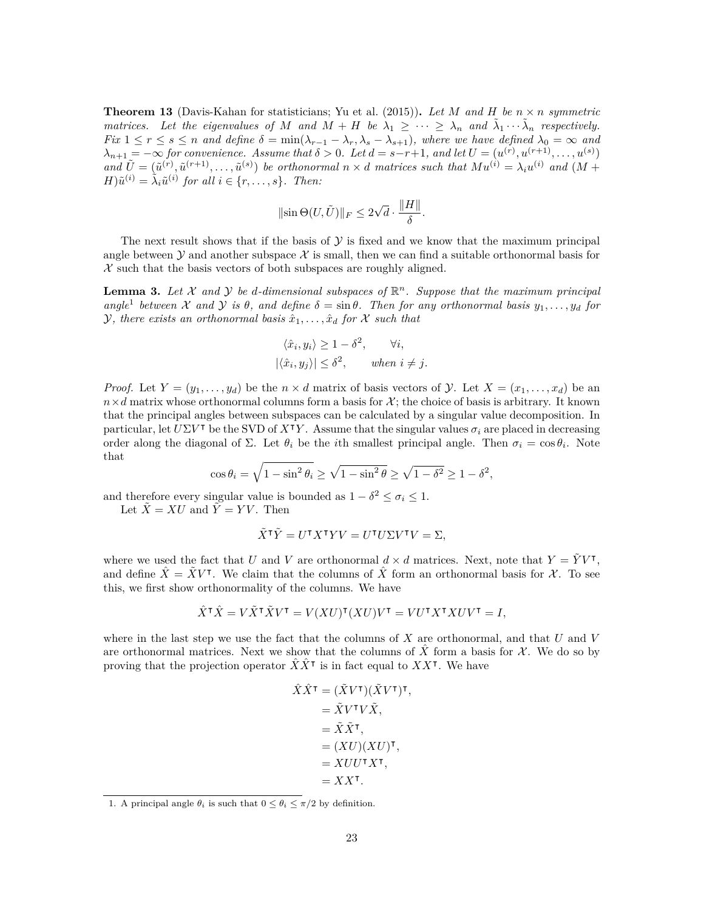**Theorem 13** (Davis-Kahan for statisticians; [Yu et al.](#page-11-15) ([2015](#page-11-15))). Let M and H be  $n \times n$  symmetric *matrices.* Let the eigenvalues of M and  $\hat{M} + H$  be  $\lambda_1 \geq \cdots \geq \lambda_n$  and  $\tilde{\lambda}_1 \cdots \tilde{\lambda}_n$  respectively. Fix  $1 \leq r \leq s \leq n$  and define  $\delta = \min(\lambda_{r-1} - \lambda_r, \lambda_s - \lambda_{s+1})$ , where we have defined  $\lambda_0 = \infty$  and  $\lambda_{n+1} = -\infty$  for convenience. Assume that  $\delta > 0$ . Let  $d = s-r+1$ , and let  $U = (u^{(r)}, u^{(r+1)}, \dots, u^{(s)})$ and  $\tilde{U} = (\tilde{u}^{(r)}, \tilde{u}^{(r+1)}, \ldots, \tilde{u}^{(s)})$  be orthonormal  $n \times d$  matrices such that  $Mu^{(i)} = \lambda_i u^{(i)}$  and  $(M + d)$  $H$ ) $\tilde{u}^{(i)} = \tilde{\lambda}_i \tilde{u}^{(i)}$  for all  $i \in \{r, \ldots, s\}$ *. Then:* 

$$
\|\mathrm{sin}\,\Theta(U,\tilde{U})\|_F\leq 2\sqrt{d}\cdot\frac{\|H\|}{\delta}
$$

*.*

The next result shows that if the basis of  $\mathcal Y$  is fixed and we know that the maximum principal angle between  $Y$  and another subspace  $X$  is small, then we can find a suitable orthonormal basis for *X* such that the basis vectors of both subspaces are roughly aligned.

<span id="page-22-1"></span>**Lemma 3.** Let  $X$  and  $Y$  be d-dimensional subspaces of  $\mathbb{R}^n$ . Suppose that the maximum principal  $angle<sup>1</sup>$  $angle<sup>1</sup>$  $angle<sup>1</sup>$  *between X* and *Y is θ,* and define  $\delta = \sin \theta$ *. Then for any orthonormal basis*  $y_1, \ldots, y_d$  *for Y, there exists an orthonormal basis*  $\hat{x}_1, \ldots, \hat{x}_d$  *for X such that* 

$$
\langle \hat{x}_i, y_i \rangle \ge 1 - \delta^2, \quad \forall i,
$$
  

$$
|\langle \hat{x}_i, y_j \rangle| \le \delta^2, \quad when \ i \ne j.
$$

*Proof.* Let  $Y = (y_1, \ldots, y_d)$  be the  $n \times d$  matrix of basis vectors of *Y*. Let  $X = (x_1, \ldots, x_d)$  be an  $n \times d$  matrix whose orthonormal columns form a basis for  $\mathcal{X}$ ; the choice of basis is arbitrary. It known that the principal angles between subspaces can be calculated by a singular value decomposition. In particular, let  $U\Sigma V^{\dagger}$  be the SVD of  $X^{\dagger}Y$ . Assume that the singular values  $\sigma_i$  are placed in decreasing order along the diagonal of  $\Sigma$ . Let  $\theta_i$  be the *i*th smallest principal angle. Then  $\sigma_i = \cos \theta_i$ . Note that

$$
\cos \theta_i = \sqrt{1 - \sin^2 \theta_i} \ge \sqrt{1 - \sin^2 \theta} \ge \sqrt{1 - \delta^2} \ge 1 - \delta^2,
$$

and therefore every singular value is bounded as  $1 - \delta^2 \leq \sigma_i \leq 1$ .

Let  $\tilde{X} = XU$  and  $\tilde{Y} = YV$ . Then

$$
\tilde{X}^{\mathsf{T}}\tilde{Y} = U^{\mathsf{T}}X^{\mathsf{T}}YV = U^{\mathsf{T}}U\Sigma V^{\mathsf{T}}V = \Sigma,
$$

where we used the fact that *U* and *V* are orthonormal  $d \times d$  matrices. Next, note that  $Y = \tilde{Y}V^{\dagger}$ , and define  $\hat{X} = \tilde{X}V^{\intercal}$ . We claim that the columns of  $\hat{X}$  form an orthonormal basis for *X*. To see this, we first show orthonormality of the columns. We have

$$
\hat{X}^{\mathsf{T}}\hat{X} = V\tilde{X}^{\mathsf{T}}\tilde{X}V^{\mathsf{T}} = V(XU)^{\mathsf{T}}(XU)V^{\mathsf{T}} = VU^{\mathsf{T}}X^{\mathsf{T}}XUV^{\mathsf{T}} = I,
$$

where in the last step we use the fact that the columns of *X* are orthonormal, and that *U* and *V* are orthonormal matrices. Next we show that the columns of  $\overline{X}$  form a basis for  $\mathcal{X}$ . We do so by proving that the projection operator  $\hat{X}\hat{X}^{\dagger}$  is in fact equal to  $XX^{\dagger}$ . We have

$$
\hat{X}\hat{X}^{\mathsf{T}} = (\tilde{X}V^{\mathsf{T}})(\tilde{X}V^{\mathsf{T}})^{\mathsf{T}}, \n= \tilde{X}V^{\mathsf{T}}V\tilde{X}, \n= \tilde{X}\tilde{X}^{\mathsf{T}}, \n= (XU)(XU)^{\mathsf{T}}, \n= XUU^{\mathsf{T}}X^{\mathsf{T}}, \n= XX^{\mathsf{T}}.
$$

<span id="page-22-0"></span><sup>1.</sup> A principal angle  $\theta_i$  is such that  $0 \leq \theta_i \leq \pi/2$  by definition.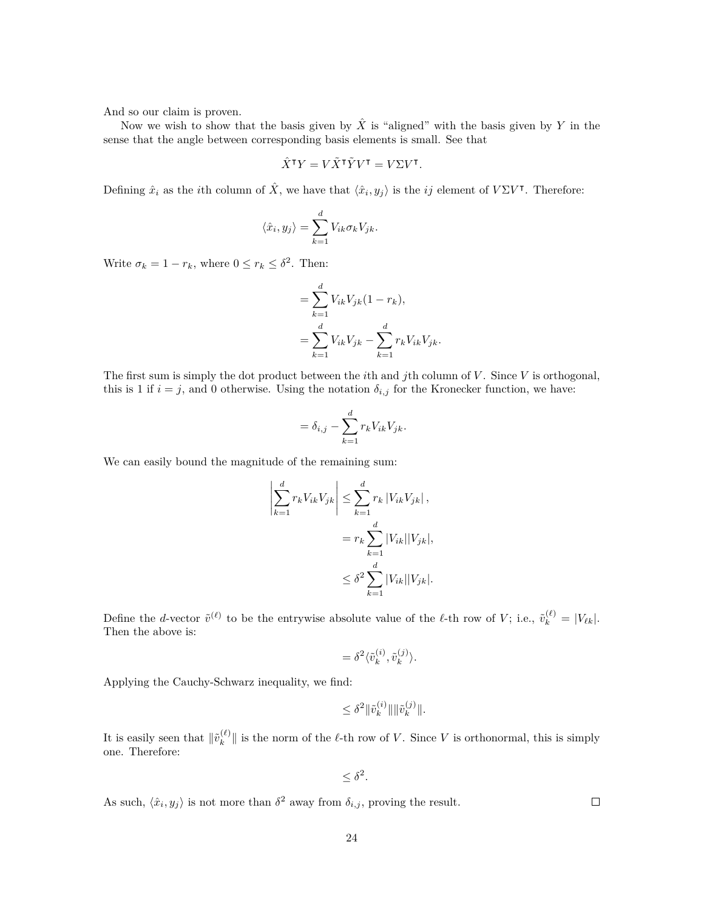And so our claim is proven.

Now we wish to show that the basis given by  $\hat{X}$  is "aligned" with the basis given by  $Y$  in the sense that the angle between corresponding basis elements is small. See that

$$
\hat{X}^{\mathsf{T}} Y = V \tilde{X}^{\mathsf{T}} \tilde{Y} V^{\mathsf{T}} = V \Sigma V^{\mathsf{T}}.
$$

Defining  $\hat{x}_i$  as the *i*th column of  $\hat{X}$ , we have that  $\langle \hat{x}_i, y_j \rangle$  is the *ij* element of  $V\Sigma V^{\intercal}$ . Therefore:

$$
\langle \hat{x}_i, y_j \rangle = \sum_{k=1}^d V_{ik} \sigma_k V_{jk}.
$$

Write  $\sigma_k = 1 - r_k$ , where  $0 \leq r_k \leq \delta^2$ . Then:

$$
= \sum_{k=1}^{d} V_{ik} V_{jk} (1 - r_k),
$$
  
= 
$$
\sum_{k=1}^{d} V_{ik} V_{jk} - \sum_{k=1}^{d} r_k V_{ik} V_{jk}.
$$

The first sum is simply the dot product between the *i*th and *j*th column of *V* . Since *V* is orthogonal, this is 1 if  $i = j$ , and 0 otherwise. Using the notation  $\delta_{i,j}$  for the Kronecker function, we have:

$$
= \delta_{i,j} - \sum_{k=1}^d r_k V_{ik} V_{jk}.
$$

We can easily bound the magnitude of the remaining sum:

 $\overline{\phantom{a}}$  $\overline{\phantom{a}}$  $\overline{\phantom{a}}$  $\overline{\phantom{a}}$  $\mid$ 

$$
\sum_{k=1}^{d} r_k V_{ik} V_{jk} \le \sum_{k=1}^{d} r_k |V_{ik} V_{jk}|,
$$
  
=  $r_k \sum_{k=1}^{d} |V_{ik}| |V_{jk}|,$   

$$
\le \delta^2 \sum_{k=1}^{d} |V_{ik}| |V_{jk}|.
$$

Define the *d*-vector  $\tilde{v}^{(\ell)}$  to be the entrywise absolute value of the  $\ell$ -th row of *V*; i.e.,  $\tilde{v}_k^{(\ell)} = |V_{\ell k}|$ . Then the above is:

$$
= \delta^2 \langle \tilde{v}_k^{(i)}, \tilde{v}_k^{(j)} \rangle.
$$

Applying the Cauchy-Schwarz inequality, we find:

$$
\leq \delta^2 \|\tilde v^{(i)}_k\| \|\tilde v^{(j)}_k\|.
$$

It is easily seen that  $\|\tilde{v}_k^{(\ell)}\|$  $\|k_{k}^{(\ell)}\|$  is the norm of the  $\ell$ -th row of *V*. Since *V* is orthonormal, this is simply one. Therefore:

$$
\leq \delta^2
$$

*.*

As such,  $\langle \hat{x}_i, y_j \rangle$  is not more than  $\delta^2$  away from  $\delta_{i,j}$ , proving the result.

 $\Box$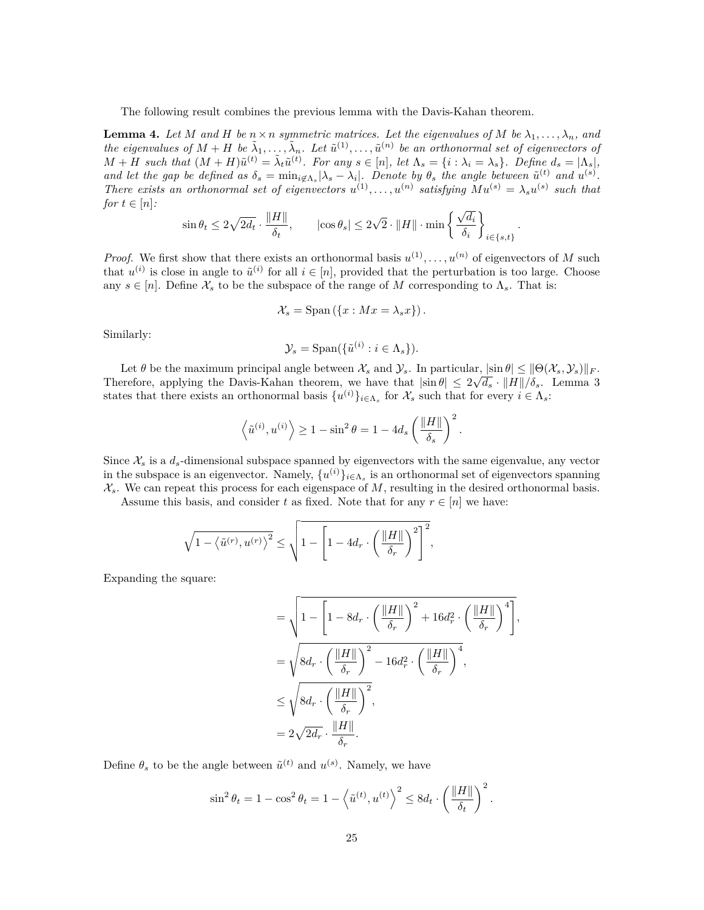The following result combines the previous lemma with the Davis-Kahan theorem.

<span id="page-24-0"></span>**Lemma 4.** Let M and H be  $n \times n$  symmetric matrices. Let the eigenvalues of M be  $\lambda_1, \ldots, \lambda_n$ , and *the eigenvalues of*  $M + H$  *be*  $\tilde{\lambda}_1, \ldots, \tilde{\lambda}_n$ . Let  $\tilde{u}^{(1)}, \ldots, \tilde{u}^{(n)}$  *be an orthonormal set of eigenvectors of*  $M + H$  such that  $(M + H)\tilde{u}^{(t)} = \tilde{\lambda}_t \tilde{u}^{(t)}$ . For any  $s \in [n]$ , let  $\Lambda_s = \{i : \lambda_i = \lambda_s\}$ . Define  $d_s = |\Lambda_s|$ , and let the gap be defined as  $\delta_s = \min_{i \notin \Lambda_s} |\lambda_s - \lambda_i|$ . Denote by  $\theta_s$  the angle between  $\tilde{u}^{(t)}$  and  $u^{(s)}$ . *There exists an orthonormal set of eigenvectors*  $u^{(1)}, \ldots, u^{(n)}$  satisfying  $Mu^{(s)} = \lambda_s u^{(s)}$  such that *for*  $t \in [n]$ *:* 

$$
\sin \theta_t \leq 2\sqrt{2d_t} \cdot \frac{\|H\|}{\delta_t}, \qquad |\!\cos \theta_s|\leq 2\sqrt 2 \cdot \|H\|\cdot \min\left\{\frac{\sqrt{d_i}}{\delta_i}\right\}_{i\in\{s,t\}}
$$

*.*

*Proof.* We first show that there exists an orthonormal basis  $u^{(1)}, \ldots, u^{(n)}$  of eigenvectors of *M* such that  $u^{(i)}$  is close in angle to  $\tilde{u}^{(i)}$  for all  $i \in [n]$ , provided that the perturbation is too large. Choose any  $s \in [n]$ . Define  $\mathcal{X}_s$  to be the subspace of the range of M corresponding to  $\Lambda_s$ . That is:

$$
\mathcal{X}_s = \text{Span}\left(\{x : Mx = \lambda_s x\}\right).
$$

Similarly:

$$
\mathcal{Y}_s = \text{Span}(\{\tilde{u}^{(i)} : i \in \Lambda_s\}).
$$

Let  $\theta$  be the maximum principal angle between  $\mathcal{X}_s$  and  $\mathcal{Y}_s$ . In particular,  $|\sin \theta| \le ||\Theta(\mathcal{X}_s, \mathcal{Y}_s)||_F$ . Therefore, applying the Davis-Kahan theorem, we have that  $|\sin \theta| \leq 2\sqrt{d_s} \cdot ||H||/\delta_s$ . Lemma [3](#page-22-1) states that there exists an orthonormal basis  $\{u^{(i)}\}_{i \in \Lambda_s}$  for  $\mathcal{X}_s$  such that for every  $i \in \Lambda_s$ :

$$
\left\langle \tilde{u}^{(i)}, u^{(i)} \right\rangle \geq 1 - \sin^2 \theta = 1 - 4d_s \left( \frac{\|H\|}{\delta_s} \right)^2.
$$

Since  $\mathcal{X}_s$  is a  $d_s$ -dimensional subspace spanned by eigenvectors with the same eigenvalue, any vector in the subspace is an eigenvector. Namely,  $\{u^{(i)}\}_{i \in \Lambda_s}$  is an orthonormal set of eigenvectors spanning  $X_s$ . We can repeat this process for each eigenspace of  $M$ , resulting in the desired orthonormal basis.

Assume this basis, and consider *t* as fixed. Note that for any  $r \in [n]$  we have:

$$
\sqrt{1-\left\langle \tilde{u}^{(r)}, {u}^{(r)} \right\rangle^2} \leq \sqrt{1- \left[1-4d_r \cdot \left(\frac{\|H\|}{\delta_r}\right)^2\right]^2},
$$

Expanding the square:

$$
= \sqrt{1 - \left[1 - 8d_r \cdot \left(\frac{\|H\|}{\delta_r}\right)^2 + 16d_r^2 \cdot \left(\frac{\|H\|}{\delta_r}\right)^4\right]},
$$
  
\n
$$
= \sqrt{8d_r \cdot \left(\frac{\|H\|}{\delta_r}\right)^2 - 16d_r^2 \cdot \left(\frac{\|H\|}{\delta_r}\right)^4},
$$
  
\n
$$
\leq \sqrt{8d_r \cdot \left(\frac{\|H\|}{\delta_r}\right)^2},
$$
  
\n
$$
= 2\sqrt{2d_r} \cdot \frac{\|H\|}{\delta_r}.
$$

Define  $\theta_s$  to be the angle between  $\tilde{u}^{(t)}$  and  $u^{(s)}$ . Namely, we have

$$
\sin^2 \theta_t = 1 - \cos^2 \theta_t = 1 - \left\langle \tilde{u}^{(t)}, u^{(t)} \right\rangle^2 \le 8d_t \cdot \left( \frac{\|H\|}{\delta_t} \right)^2.
$$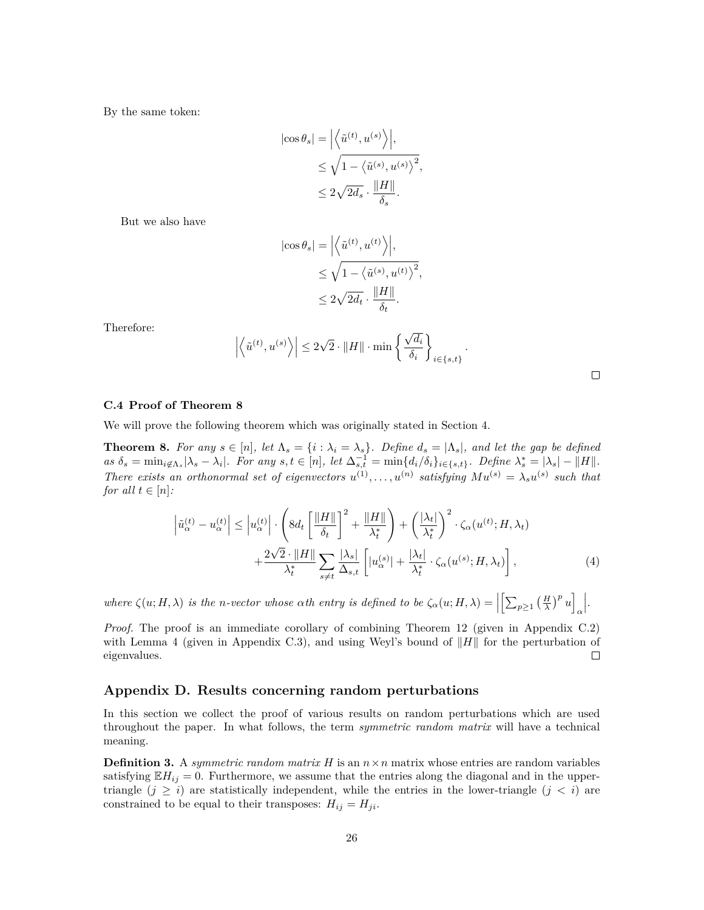By the same token:

$$
\begin{aligned} \left| \cos \theta_s \right| &= \Big| \Big\langle \tilde{u}^{(t)}, u^{(s)} \Big\rangle \Big|, \\ &\leq \sqrt{1 - \big\langle \tilde{u}^{(s)}, u^{(s)} \big\rangle^2}, \\ &\leq 2 \sqrt{2d_s} \cdot \frac{\Vert H \Vert}{\delta_s}. \end{aligned}
$$

But we also have

$$
\begin{aligned} \left|\cos\theta_s\right|&=\Big|\Big\langle \tilde{u}^{(t)},u^{(t)}\Big\rangle\Big|,\\ &\leq \sqrt{1-\big\langle \tilde{u}^{(s)},u^{(t)}\big\rangle^2},\\ &\leq 2\sqrt{2d_t}\cdot\frac{\|H\|}{\delta_t}. \end{aligned}
$$

Therefore:

$$
\left| \left\langle \tilde{u}^{(t)}, u^{(s)} \right\rangle \right| \leq 2\sqrt{2} \cdot \|H\| \cdot \min \left\{ \frac{\sqrt{d_i}}{\delta_i} \right\}_{i \in \{s, t\}}.
$$

<span id="page-25-0"></span>

#### **C.4 Proof of Theorem [8](#page-9-1)**

We will prove the following theorem which was originally stated in Section [4.](#page-7-0)

**Theorem 8.** For any  $s \in [n]$ , let  $\Lambda_s = \{i : \lambda_i = \lambda_s\}$ . Define  $d_s = |\Lambda_s|$ , and let the gap be defined as  $\delta_s = \min_{i \notin \Lambda_s} |\lambda_s - \lambda_i|$ . For any  $s, t \in [n]$ , let  $\Delta_{s,t}^{-1} = \min\{d_i/\delta_i\}_{i \in \{s,t\}}$ . Define  $\lambda_s^* = |\lambda_s| - ||H||$ . *There exists an orthonormal set of eigenvectors*  $u^{(1)}, \ldots, u^{(n)}$  satisfying  $Mu^{(s)} = \lambda_s u^{(s)}$  such that *for all*  $t \in [n]$ :

$$
\left|\tilde{u}_{\alpha}^{(t)} - u_{\alpha}^{(t)}\right| \leq \left|u_{\alpha}^{(t)}\right| \cdot \left(8d_t \left[\frac{\|H\|}{\delta_t}\right]^2 + \frac{\|H\|}{\lambda_t^*}\right) + \left(\frac{|\lambda_t|}{\lambda_t^*}\right)^2 \cdot \zeta_{\alpha}(u^{(t)}; H, \lambda_t) + \frac{2\sqrt{2} \cdot \|H\|}{\lambda_t^*} \sum_{s \neq t} \frac{|\lambda_s|}{\Delta_{s,t}} \left[|u_{\alpha}^{(s)}| + \frac{|\lambda_t|}{\lambda_t^*} \cdot \zeta_{\alpha}(u^{(s)}; H, \lambda_t)\right],\tag{4}
$$

where  $\zeta(u; H, \lambda)$  is the n-vector whose  $\alpha$ th entry is defined to be  $\zeta_{\alpha}(u; H, \lambda) = \left\|\left[\sum_{p \geq 1} \left(\frac{H}{\lambda}\right)^p u\right]\right\|$ *α .*

*Proof.* The proof is an immediate corollary of combining Theorem [12](#page-18-0) (given in Appendix [C.2](#page-18-1)) with Lemma [4](#page-24-0) (given in Appendix [C.3](#page-24-0)), and using Weyl's bound of *∥H∥* for the perturbation of eigenvalues.  $\Box$ 

# **Appendix D. Results concerning random perturbations**

In this section we collect the proof of various results on random perturbations which are used throughout the paper. In what follows, the term *symmetric random matrix* will have a technical meaning.

<span id="page-25-1"></span>**Definition 3.** A *symmetric random matrix*  $H$  is an  $n \times n$  matrix whose entries are random variables satisfying  $\mathbb{E}H_{ij} = 0$ . Furthermore, we assume that the entries along the diagonal and in the uppertriangle  $(j \geq i)$  are statistically independent, while the entries in the lower-triangle  $(j < i)$  are constrained to be equal to their transposes:  $H_{ij} = H_{ji}$ .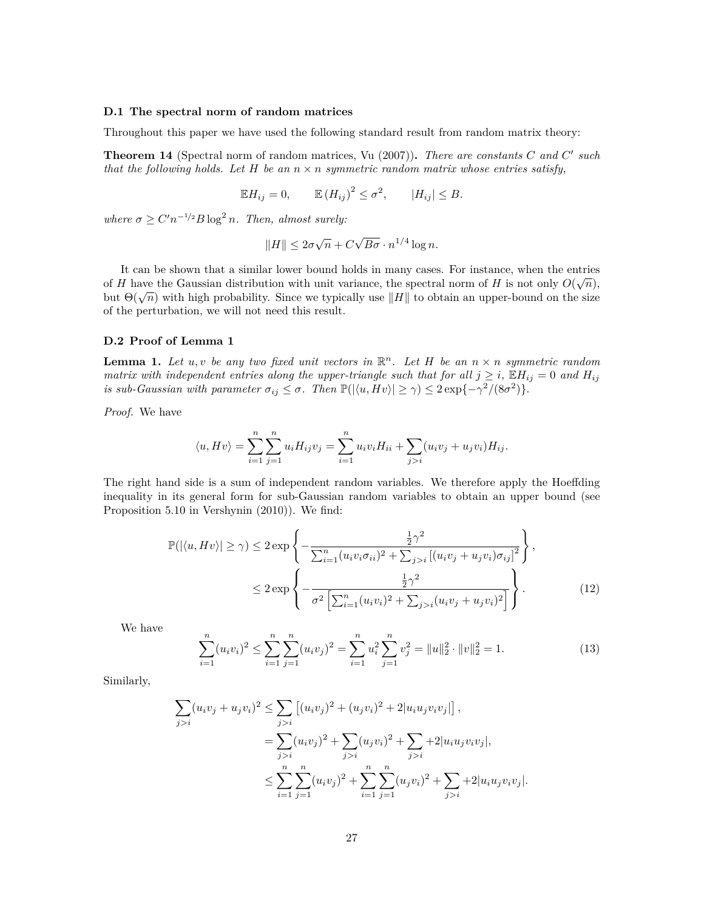#### **D.1 The spectral norm of random matrices**

Throughout this paper we have used the following standard result from random matrix theory:

<span id="page-26-0"></span>**Theorem 14** (Spectral norm of random matrices, [Vu](#page-11-16) ([2007\)](#page-11-16))**.** *There are constants C and C ′ such that the following holds. Let*  $H$  *be an*  $n \times n$  *symmetric random matrix whose entries satisfy,* 

$$
\mathbb{E}H_{ij} = 0, \qquad \mathbb{E}(H_{ij})^2 \leq \sigma^2, \qquad |H_{ij}| \leq B.
$$

*where*  $\sigma \ge C'n^{-1/2}B \log^2 n$ *. Then, almost surely:* 

$$
||H|| \le 2\sigma\sqrt{n} + C\sqrt{B\sigma} \cdot n^{1/4}\log n.
$$

It can be shown that a similar lower bound holds in many cases. For instance, when the entries of *H* have the Gaussian distribution with unit variance, the spectral norm of *H* is not only  $O(\sqrt{n})$ , but  $\Theta(\sqrt{n})$  with high probability. Since we typically use *∥H*  $\parallel$  to obtain an upper-bound on the size of the perturbation, we will not need this result.

# **D.2 Proof of Lemma [1](#page-6-3)**

<span id="page-26-1"></span>**Lemma 1.** Let  $u, v$  be any two fixed unit vectors in  $\mathbb{R}^n$ . Let H be an  $n \times n$  symmetric random *matrix with independent entries along the upper-triangle such that for all*  $j \geq i$ ,  $\mathbb{E}H_{ij} = 0$  and  $H_{ij}$ *is sub-Gaussian with parameter*  $\sigma_{ij} \leq \sigma$ . Then  $\mathbb{P}(|\langle u, Hv \rangle| \geq \gamma) \leq 2 \exp\{-\gamma^2/(8\sigma^2)\}.$ 

*Proof.* We have

$$
\langle u, Hv \rangle = \sum_{i=1}^{n} \sum_{j=1}^{n} u_i H_{ij} v_j = \sum_{i=1}^{n} u_i v_i H_{ii} + \sum_{j>i} (u_i v_j + u_j v_i) H_{ij}.
$$

The right hand side is a sum of independent random variables. We therefore apply the Hoeffding inequality in its general form for sub-Gaussian random variables to obtain an upper bound (see Proposition 5.10 in [Vershynin](#page-11-17) ([2010\)](#page-11-17)). We find:

$$
\mathbb{P}(|\langle u, Hv \rangle| \ge \gamma) \le 2 \exp \left\{ -\frac{\frac{1}{2}\gamma^2}{\sum_{i=1}^n (u_i v_i \sigma_{ii})^2 + \sum_{j>i} \left[ (u_i v_j + u_j v_i) \sigma_{ij} \right]^2} \right\},
$$
  

$$
\le 2 \exp \left\{ -\frac{\frac{1}{2}\gamma^2}{\sigma^2 \left[ \sum_{i=1}^n (u_i v_i)^2 + \sum_{j>i} (u_i v_j + u_j v_i)^2 \right]} \right\}. \tag{12}
$$

We have

<span id="page-26-3"></span><span id="page-26-2"></span>
$$
\sum_{i=1}^{n} (u_i v_i)^2 \le \sum_{i=1}^{n} \sum_{j=1}^{n} (u_i v_j)^2 = \sum_{i=1}^{n} u_i^2 \sum_{j=1}^{n} v_j^2 = ||u||_2^2 \cdot ||v||_2^2 = 1.
$$
 (13)

Similarly,

$$
\sum_{j>i} (u_i v_j + u_j v_i)^2 \le \sum_{j>i} [(u_i v_j)^2 + (u_j v_i)^2 + 2|u_i u_j v_i v_j|],
$$
  
= 
$$
\sum_{j>i} (u_i v_j)^2 + \sum_{j>i} (u_j v_i)^2 + \sum_{j>i} + 2|u_i u_j v_i v_j|,
$$
  

$$
\le \sum_{i=1}^n \sum_{j=1}^n (u_i v_j)^2 + \sum_{i=1}^n \sum_{j=1}^n (u_j v_i)^2 + \sum_{j>i} + 2|u_i u_j v_i v_j|.
$$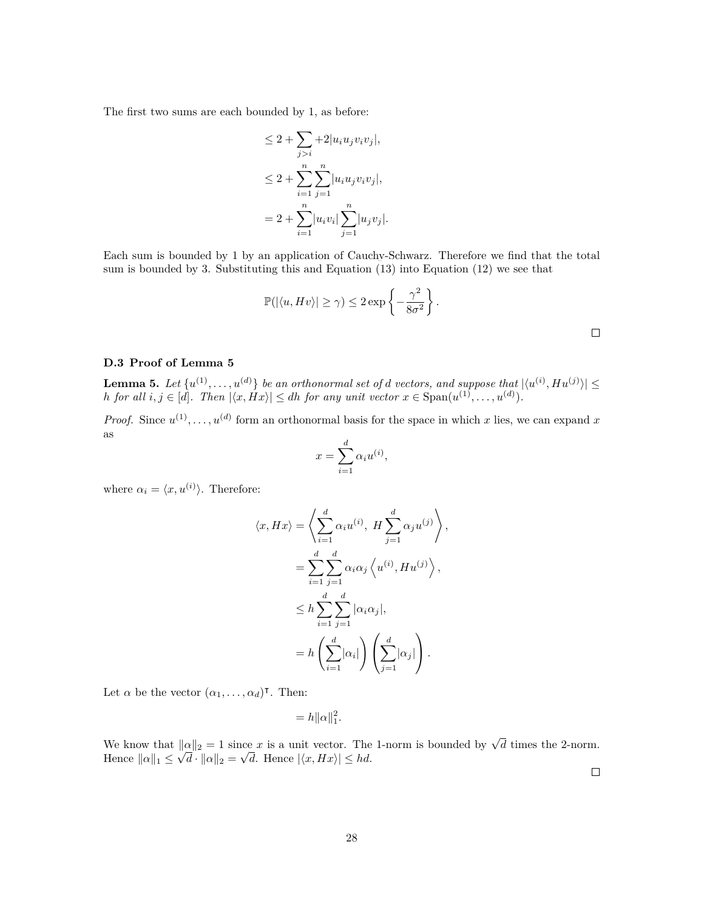The first two sums are each bounded by 1, as before:

$$
\leq 2 + \sum_{j>i} + 2|u_i u_j v_i v_j|,
$$
  
\n
$$
\leq 2 + \sum_{i=1}^n \sum_{j=1}^n |u_i u_j v_i v_j|,
$$
  
\n
$$
= 2 + \sum_{i=1}^n |u_i v_i| \sum_{j=1}^n |u_j v_j|.
$$

Each sum is bounded by 1 by an application of Cauchy-Schwarz. Therefore we find that the total sum is bounded by 3. Substituting this and Equation ([13\)](#page-26-2) into Equation ([12\)](#page-26-3) we see that

$$
\mathbb{P}(|\langle u, Hv \rangle| \ge \gamma) \le 2 \exp \left\{-\frac{\gamma^2}{8\sigma^2}\right\}.
$$

#### **D.3 Proof of Lemma [5](#page-27-0)**

<span id="page-27-0"></span>**Lemma 5.** Let  $\{u^{(1)}, \ldots, u^{(d)}\}$  be an orthonormal set of *d* vectors, and suppose that  $|\langle u^{(i)}, H u^{(j)} \rangle| \le$ *h for all*  $i, j \in [d]$ *. Then*  $|\langle x, Hx \rangle| \le dh$  *for any unit vector*  $x \in \text{Span}(u^{(1)}, \ldots, u^{(d)})$ *.* 

*Proof.* Since  $u^{(1)}, \ldots, u^{(d)}$  form an orthonormal basis for the space in which *x* lies, we can expand *x* as

$$
x = \sum_{i=1}^{d} \alpha_i u^{(i)},
$$

where  $\alpha_i = \langle x, u^{(i)} \rangle$ . Therefore:

$$
\langle x, Hx \rangle = \left\langle \sum_{i=1}^{d} \alpha_i u^{(i)}, H \sum_{j=1}^{d} \alpha_j u^{(j)} \right\rangle,
$$
  

$$
= \sum_{i=1}^{d} \sum_{j=1}^{d} \alpha_i \alpha_j \left\langle u^{(i)}, H u^{(j)} \right\rangle,
$$
  

$$
\leq h \sum_{i=1}^{d} \sum_{j=1}^{d} |\alpha_i \alpha_j|,
$$
  

$$
= h \left( \sum_{i=1}^{d} |\alpha_i| \right) \left( \sum_{j=1}^{d} |\alpha_j| \right).
$$

Let  $\alpha$  be the vector  $(\alpha_1, \ldots, \alpha_d)^\intercal$ . Then:

$$
=h\|\alpha\|_1^2.
$$

We know that  $||\alpha||_2 = 1$  since *x* is a unit vector. The 1-norm is bounded by  $\sqrt{d}$  times the 2-norm. Hence  $||\alpha||_1 \leq$ *√*  $d \cdot ||\alpha||_2 =$ *√ d*. Hence  $|\langle x, Hx \rangle| \leq hd$ .

 $\Box$ 

 $\Box$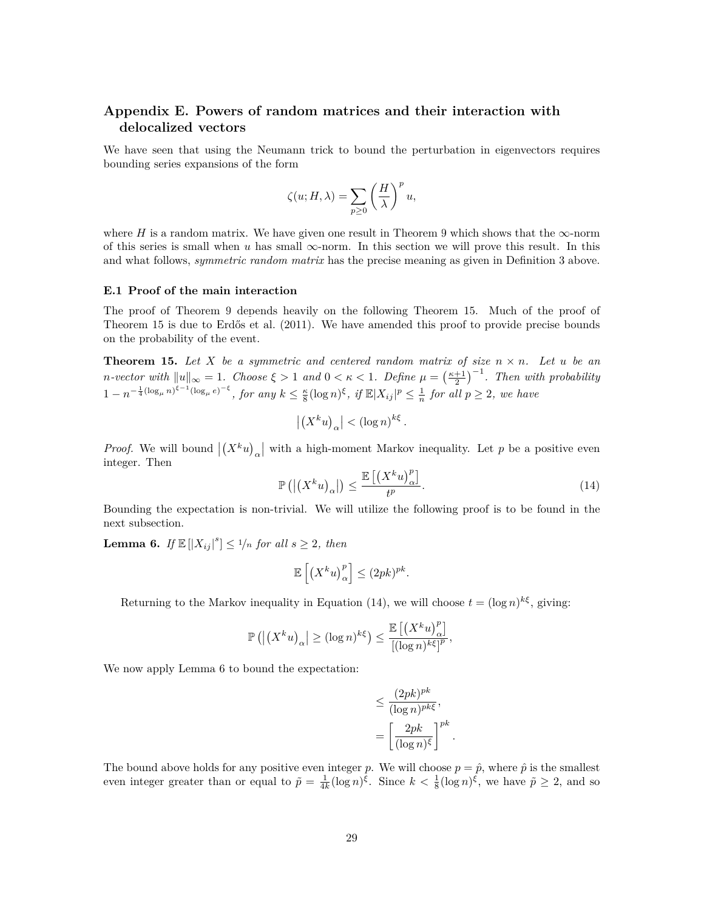# **Appendix E. Powers of random matrices and their interaction with delocalized vectors**

We have seen that using the Neumann trick to bound the perturbation in eigenvectors requires bounding series expansions of the form

$$
\zeta(u;H,\lambda)=\sum_{p\geq 0}\left(\frac{H}{\lambda}\right)^{p}u,
$$

where *H* is a random matrix. We have given one result in Theorem [9](#page-9-2) which shows that the  $\infty$ -norm of this series is small when *u* has small  $\infty$ -norm. In this section we will prove this result. In this and what follows, *symmetric random matrix* has the precise meaning as given in Definition [3](#page-25-1) above.

#### **E.1 Proof of the main interaction**

The proof of Theorem [9](#page-9-2) depends heavily on the following Theorem [15](#page-28-0). Much of the proof of Theorem [15](#page-28-0) is due to [Erdős et al.](#page-11-8) [\(2011](#page-11-8)). We have amended this proof to provide precise bounds on the probability of the event.

<span id="page-28-0"></span>**Theorem 15.** Let *X* be a symmetric and centered random matrix of size  $n \times n$ . Let *u* be an *n*-vector with  $||u||_{\infty} = 1$ . Choose  $\xi > 1$  and  $0 < \kappa < 1$ . Define  $\mu = \left(\frac{\kappa + 1}{2}\right)^{-1}$ . Then with probability  $1-n^{-\frac{1}{4}(\log_\mu n)^{\xi-1}(\log_\mu e)^{-\xi}},$  for any  $k \leq \frac{\kappa}{8}(\log n)^{\xi}$ , if  $\mathbb{E}|X_{ij}|^p \leq \frac{1}{n}$  for all  $p \geq 2$ , we have

$$
\left| \left( X^k u \right)_\alpha \right| < \left( \log n \right)^{k \xi} .
$$

<span id="page-28-1"></span>*Proof.* We will bound  $|(X^k u)_\alpha|$  with a high-moment Markov inequality. Let *p* be a positive even integer. Then

$$
\mathbb{P}\left(\left|\left(X^{k}u\right)_{\alpha}\right|\right) \leq \frac{\mathbb{E}\left[\left(X^{k}u\right)_{\alpha}^{p}\right]}{t^{p}}.\tag{14}
$$

Bounding the expectation is non-trivial. We will utilize the following proof is to be found in the next subsection.

<span id="page-28-2"></span>**Lemma 6.** *If*  $\mathbb{E}[|X_{ij}|^s] \leq \frac{1}{n}$  *for all*  $s \geq 2$ *, then* 

$$
\mathbb{E}\left[\left(X^k u\right)_\alpha^p\right] \le (2pk)^{pk}.
$$

Returning to the Markov inequality in Equation ([14\)](#page-28-1), we will choose  $t = (\log n)^{k\xi}$ , giving:

$$
\mathbb{P}\left(\left|\left(X^k u\right)_{\alpha}\right| \ge (\log n)^{k\xi}\right) \le \frac{\mathbb{E}\left[\left(X^k u\right)_{\alpha}^p\right]}{[(\log n)^{k\xi}]^p},
$$

We now apply Lemma [6](#page-28-2) to bound the expectation:

$$
\leq \frac{(2pk)^{pk}}{(\log n)^{pk\xi}},
$$

$$
= \left[\frac{2pk}{(\log n)^{\xi}}\right]^{pk}.
$$

The bound above holds for any positive even integer *p*. We will choose  $p = \hat{p}$ , where  $\hat{p}$  is the smallest even integer greater than or equal to  $\tilde{p} = \frac{1}{4k} (\log n)^{\xi}$ . Since  $k < \frac{1}{8} (\log n)^{\xi}$ , we have  $\tilde{p} \geq 2$ , and so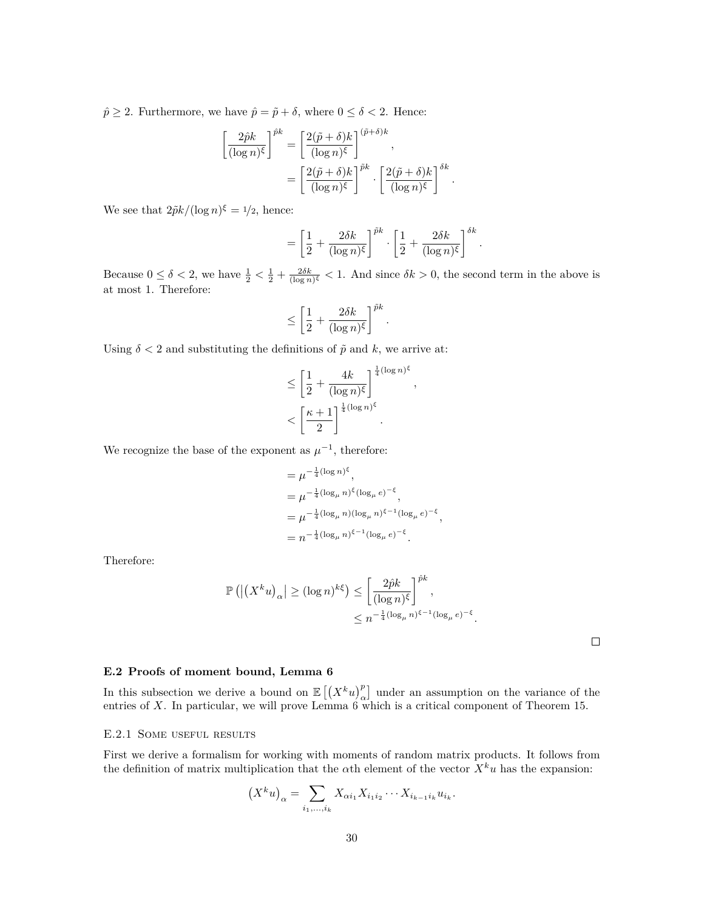$\hat{p} \geq 2$ . Furthermore, we have  $\hat{p} = \tilde{p} + \delta$ , where  $0 \leq \delta < 2$ . Hence:

$$
\left[\frac{2\hat{p}k}{(\log n)^{\xi}}\right]^{\hat{p}k} = \left[\frac{2(\tilde{p}+\delta)k}{(\log n)^{\xi}}\right]^{(\tilde{p}+\delta)k},
$$

$$
= \left[\frac{2(\tilde{p}+\delta)k}{(\log n)^{\xi}}\right]^{\tilde{p}k} \cdot \left[\frac{2(\tilde{p}+\delta)k}{(\log n)^{\xi}}\right]^{\delta k}.
$$

We see that  $2\tilde{p}k/(\log n)^{\xi} = 1/2$ , hence:

$$
= \left[\frac{1}{2} + \frac{2\delta k}{(\log n)^{\xi}}\right]^{\tilde{p}k} \cdot \left[\frac{1}{2} + \frac{2\delta k}{(\log n)^{\xi}}\right]^{\delta k}
$$

*,*

*.*

Because  $0 \le \delta < 2$ , we have  $\frac{1}{2} < \frac{1}{2} + \frac{2\delta k}{(\log n)^{\xi}} < 1$ . And since  $\delta k > 0$ , the second term in the above is at most 1. Therefore:

$$
\leq \left[\frac{1}{2} + \frac{2\delta k}{(\log n)^{\xi}}\right]^{\tilde{p}k}.
$$

Using  $\delta$  < 2 and substituting the definitions of  $\tilde{p}$  and *k*, we arrive at:

$$
\leq \left[\frac{1}{2} + \frac{4k}{(\log n)^{\xi}}\right]^{\frac{1}{4}(\log n)^{\xi}}
$$

$$
< \left[\frac{\kappa + 1}{2}\right]^{\frac{1}{4}(\log n)^{\xi}}.
$$

We recognize the base of the exponent as  $\mu^{-1}$ , therefore:

$$
= \mu^{-\frac{1}{4}(\log n)^{\xi}},
$$
  
\n
$$
= \mu^{-\frac{1}{4}(\log_{\mu} n)^{\xi}(\log_{\mu} e)^{-\xi}},
$$
  
\n
$$
= \mu^{-\frac{1}{4}(\log_{\mu} n)(\log_{\mu} n)^{\xi - 1}(\log_{\mu} e)^{-\xi}},
$$
  
\n
$$
= n^{-\frac{1}{4}(\log_{\mu} n)^{\xi - 1}(\log_{\mu} e)^{-\xi}}.
$$

Therefore:

$$
\mathbb{P}\left(\left|\left(X^k u\right)_{\alpha}\right| \ge (\log n)^{k\xi}\right) \le \left[\frac{2\hat{p}k}{(\log n)^{\xi}}\right]^{\hat{p}k},
$$
  

$$
\le n^{-\frac{1}{4}(\log_{\mu} n)^{\xi-1}(\log_{\mu} e)^{-\xi}}.
$$

 $\Box$ 

# **E.2 Proofs of moment bound, Lemma [6](#page-28-2)**

In this subsection we derive a bound on  $\mathbb{E}[(X^k u)_\alpha^p]$  under an assumption on the variance of the entries of *X*. In particular, we will prove Lemma  $6 \atop{\text{which}}$  $6 \atop{\text{which}}$  is a critical component of Theorem [15](#page-28-0).

# E.2.1 SOME USEFUL RESULTS

First we derive a formalism for working with moments of random matrix products. It follows from the definition of matrix multiplication that the  $\alpha$ th element of the vector  $X^k u$  has the expansion:

$$
(X^k u)_\alpha = \sum_{i_1, ..., i_k} X_{\alpha i_1} X_{i_1 i_2} \cdots X_{i_{k-1} i_k} u_{i_k}.
$$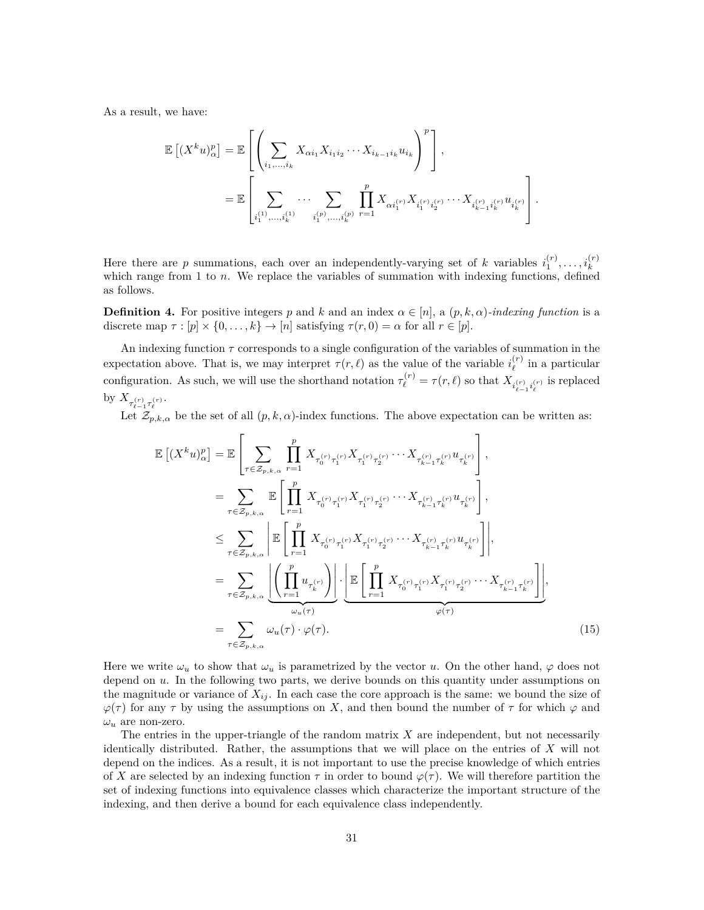As a result, we have:

$$
\mathbb{E}\left[(X^{k}u)_{\alpha}^{p}\right] = \mathbb{E}\left[\left(\sum_{i_{1},...,i_{k}}X_{\alpha i_{1}}X_{i_{1}i_{2}}\cdots X_{i_{k-1}i_{k}}u_{i_{k}}\right)^{p}\right],
$$
  

$$
= \mathbb{E}\left[\sum_{i_{1}^{(1)},...,i_{k}^{(1)}}\cdots\sum_{i_{1}^{(p)},...,i_{k}^{(p)}}\prod_{r=1}^{p}X_{\alpha i_{1}^{(r)}}X_{i_{1}^{(r)}i_{2}^{(r)}}\cdots X_{i_{k-1}^{(r)}i_{k}^{(r)}}u_{i_{k}^{(r)}}\right].
$$

Here there are *p* summations, each over an independently-varying set of *k* variables  $i_1^{(r)}, \ldots, i_k^{(r)}$ which range from 1 to *n*. We replace the variables of summation with indexing functions, defined as follows.

<span id="page-30-0"></span>**Definition 4.** For positive integers *p* and *k* and an index  $\alpha \in [n]$ , a  $(p, k, \alpha)$ *-indexing function* is a discrete map  $\tau : [p] \times \{0, \ldots, k\} \to [n]$  satisfying  $\tau(r, 0) = \alpha$  for all  $r \in [p]$ .

An indexing function  $\tau$  corresponds to a single configuration of the variables of summation in the expectation above. That is, we may interpret  $\tau(r,\ell)$  as the value of the variable  $i_{\ell}^{(r)}$  $\ell$ <sup>(r)</sup> in a particular configuration. As such, we will use the shorthand notation  $\tau_{\ell}^{(r)} = \tau(r,\ell)$  so that  $X_{i_{\ell-1}^{(r)} i_{\ell}^{(r)}}$  is replaced by  $X_{\tau_{\ell-1}^{(r)}\tau_{\ell}^{(r)}}$ .

Let  $\mathcal{Z}_{p,k,\alpha}$  be the set of all  $(p,k,\alpha)$ -index functions. The above expectation can be written as:

$$
\mathbb{E}\left[ (X^{k}u)_{\alpha}^{p} \right] = \mathbb{E}\left[ \sum_{\tau \in \mathcal{Z}_{p,k,\alpha}} \prod_{r=1}^{p} X_{\tau_{0}^{(r)}\tau_{1}^{(r)}} X_{\tau_{1}^{(r)}\tau_{2}^{(r)}} \cdots X_{\tau_{k-1}^{(r)}\tau_{k}^{(r)}} u_{\tau_{k}^{(r)}} \right],
$$
\n
$$
= \sum_{\tau \in \mathcal{Z}_{p,k,\alpha}} \mathbb{E}\left[ \prod_{r=1}^{p} X_{\tau_{0}^{(r)}\tau_{1}^{(r)}} X_{\tau_{1}^{(r)}\tau_{2}^{(r)}} \cdots X_{\tau_{k-1}^{(r)}\tau_{k}^{(r)}} u_{\tau_{k}^{(r)}} \right],
$$
\n
$$
\leq \sum_{\tau \in \mathcal{Z}_{p,k,\alpha}} \left| \mathbb{E}\left[ \prod_{r=1}^{p} X_{\tau_{0}^{(r)}\tau_{1}^{(r)}} X_{\tau_{1}^{(r)}\tau_{2}^{(r)}} \cdots X_{\tau_{k-1}^{(r)}\tau_{k}^{(r)}} u_{\tau_{k}^{(r)}} \right] \right|,
$$
\n
$$
= \sum_{\tau \in \mathcal{Z}_{p,k,\alpha}} \left| \underbrace{\left( \prod_{r=1}^{p} u_{\tau_{k}^{(r)}} \right)}_{\omega_{u}(\tau)} \right| \cdot \underbrace{\left| \mathbb{E}\left[ \prod_{r=1}^{p} X_{\tau_{0}^{(r)}\tau_{1}^{(r)}} X_{\tau_{1}^{(r)}\tau_{2}^{(r)}} \cdots X_{\tau_{k-1}^{(r)}\tau_{k}^{(r)}} \right] \right|}_{\varphi(\tau)},
$$
\n
$$
= \sum_{\tau \in \mathcal{Z}_{p,k,\alpha}} \omega_{u}(\tau) \cdot \varphi(\tau).
$$
\n(15)

Here we write  $\omega_u$  to show that  $\omega_u$  is parametrized by the vector *u*. On the other hand,  $\varphi$  does not depend on *u*. In the following two parts, we derive bounds on this quantity under assumptions on the magnitude or variance of  $X_{ij}$ . In each case the core approach is the same: we bound the size of  $\varphi(\tau)$  for any  $\tau$  by using the assumptions on *X*, and then bound the number of  $\tau$  for which  $\varphi$  and  $\omega_u$  are non-zero.

The entries in the upper-triangle of the random matrix *X* are independent, but not necessarily identically distributed. Rather, the assumptions that we will place on the entries of *X* will not depend on the indices. As a result, it is not important to use the precise knowledge of which entries of *X* are selected by an indexing function  $\tau$  in order to bound  $\varphi(\tau)$ . We will therefore partition the set of indexing functions into equivalence classes which characterize the important structure of the indexing, and then derive a bound for each equivalence class independently.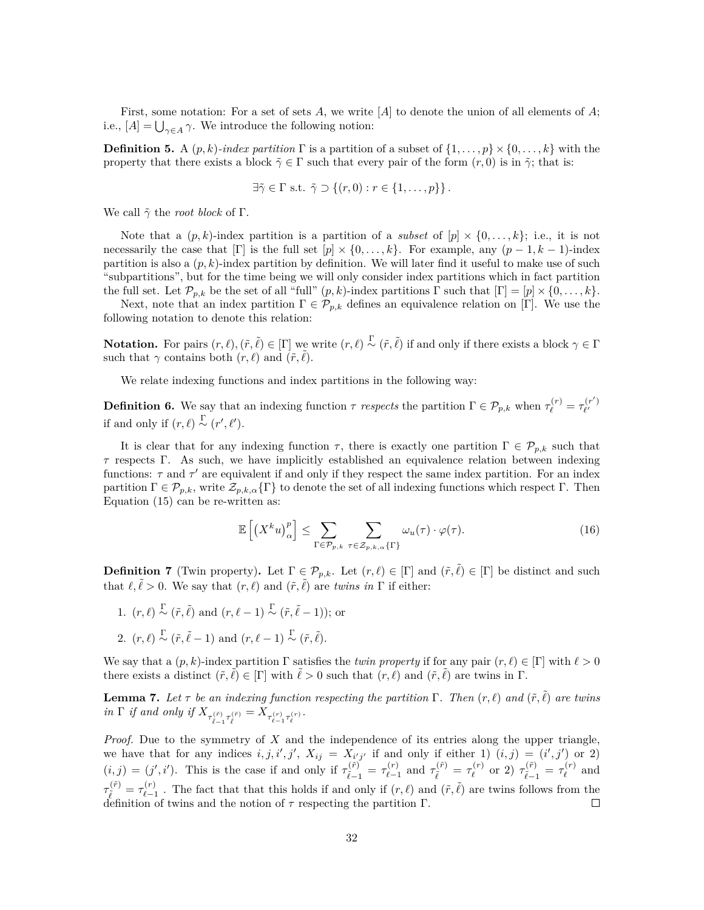First, some notation: For a set of sets *A*, we write [*A*] to denote the union of all elements of *A*; i.e.,  $[A] = \bigcup_{\gamma \in A} \gamma$ . We introduce the following notion:

**Definition 5.** A  $(p, k)$ -index partition  $\Gamma$  is a partition of a subset of  $\{1, \ldots, p\} \times \{0, \ldots, k\}$  with the property that there exists a block  $\tilde{\gamma} \in \Gamma$  such that every pair of the form  $(r, 0)$  is in  $\tilde{\gamma}$ ; that is:

$$
\exists \tilde{\gamma} \in \Gamma \text{ s.t. } \tilde{\gamma} \supset \{(r,0) : r \in \{1,\ldots,p\}\}.
$$

We call *γ*˜ the *root block* of Γ.

Note that a  $(p, k)$ -index partition is a partition of a *subset* of  $[p] \times \{0, \ldots, k\}$ ; i.e., it is not necessarily the case that  $[\Gamma]$  is the full set  $[p] \times \{0, \ldots, k\}$ . For example, any  $(p-1, k-1)$ -index partition is also a  $(p, k)$ -index partition by definition. We will later find it useful to make use of such "subpartitions", but for the time being we will only consider index partitions which in fact partition the full set. Let  $\mathcal{P}_{p,k}$  be the set of all "full"  $(p,k)$ -index partitions  $\Gamma$  such that  $[\Gamma] = [p] \times \{0, \ldots, k\}$ .

Next, note that an index partition  $\Gamma \in \mathcal{P}_{p,k}$  defines an equivalence relation on [Γ]. We use the following notation to denote this relation:

**Notation.** For pairs  $(r, \ell), (\tilde{r}, \tilde{\ell}) \in [\Gamma]$  we write  $(r, \ell) \overset{\Gamma}{\sim} (\tilde{r}, \tilde{\ell})$  if and only if there exists a block  $\gamma \in \Gamma$ such that  $\gamma$  contains both  $(r, \ell)$  and  $(\tilde{r}, \tilde{\ell})$ .

We relate indexing functions and index partitions in the following way:

**Definition 6.** We say that an indexing function  $\tau$  *respects* the partition  $\Gamma \in \mathcal{P}_{p,k}$  when  $\tau_{\ell}^{(r)} = \tau_{\ell'}^{(r')}$ *ℓ ′* if and only if  $(r, \ell) \stackrel{\Gamma}{\sim} (r', \ell').$ 

It is clear that for any indexing function  $\tau$ , there is exactly one partition  $\Gamma \in \mathcal{P}_{p,k}$  such that  $\tau$  respects Γ. As such, we have implicitly established an equivalence relation between indexing functions: *τ* and *τ ′* are equivalent if and only if they respect the same index partition. For an index partition  $\Gamma \in \mathcal{P}_{p,k}$ , write  $\mathcal{Z}_{p,k,\alpha} \{\Gamma\}$  to denote the set of all indexing functions which respect  $\Gamma$ . Then Equation ([15\)](#page-30-0) can be re-written as:

<span id="page-31-1"></span>
$$
\mathbb{E}\left[\left(X^{k}u\right)_{\alpha}^{p}\right] \leq \sum_{\Gamma \in \mathcal{P}_{p,k}} \sum_{\tau \in \mathcal{Z}_{p,k,\alpha}\{\Gamma\}} \omega_{u}(\tau) \cdot \varphi(\tau). \tag{16}
$$

**Definition 7** (Twin property). Let  $\Gamma \in \mathcal{P}_{p,k}$ . Let  $(r,\ell) \in [\Gamma]$  and  $(\tilde{r},\tilde{\ell}) \in [\Gamma]$  be distinct and such that  $\ell, \tilde{\ell} > 0$ . We say that  $(r, \ell)$  and  $(\tilde{r}, \tilde{\ell})$  are *twins in*  $\Gamma$  if either:

- 1.  $(r, \ell) \stackrel{\Gamma}{\sim} (\tilde{r}, \tilde{\ell})$  and  $(r, \ell 1) \stackrel{\Gamma}{\sim} (\tilde{r}, \tilde{\ell} 1)$ ; or
- 2.  $(r, \ell) \stackrel{\Gamma}{\sim} (\tilde{r}, \tilde{\ell} 1)$  and  $(r, \ell 1) \stackrel{\Gamma}{\sim} (\tilde{r}, \tilde{\ell}).$

We say that a  $(p, k)$ -index partition  $\Gamma$  satisfies the *twin property* if for any pair  $(r, \ell) \in [\Gamma]$  with  $\ell > 0$ there exists a distinct  $(\tilde{r}, \tilde{\ell}) \in [\Gamma]$  with  $\tilde{\ell} > 0$  such that  $(r, \ell)$  and  $(\tilde{r}, \tilde{\ell})$  are twins in  $\Gamma$ .

<span id="page-31-0"></span>**Lemma 7.** Let  $\tau$  be an indexing function respecting the partition  $\Gamma$ . Then  $(r, \ell)$  and  $(\tilde{r}, \tilde{\ell})$  are twins *in*  $\Gamma$  *if* and only *if*  $X_{\tau_{\tilde{\ell}-1}^{(\tilde{r})}\tau_{\tilde{\ell}}^{(\tilde{r})}} = X_{\tau_{\ell-1}^{(r)}\tau_{\ell}^{(r)}}$ .

*Proof.* Due to the symmetry of *X* and the independence of its entries along the upper triangle, we have that for any indices  $i, j, i', j', X_{ij} = X_{i'j'}$  if and only if either 1)  $(i, j) = (i', j')$  or 2)  $(i, j) = (j', i')$ . This is the case if and only if  $\tau_i^{(\tilde{r})}$  $\frac{1}{l}(\tilde{r}) = \tau_{\ell-1}^{(r)}$ *(r*) and  $\tau_{\tilde{\ell}}^{(\tilde{r})} = \tau_{\ell}^{(r)}$  $\tau_{\tilde{\ell}}^{(r)}$  or 2)  $\tau_{\tilde{\ell}-1}^{(\tilde{r})}$  $\frac{1}{l}(\tilde{r}) = \tau_{\ell}^{(r)}$  $\ell^{(r)}$  and  $\tau_{\tilde{\ell}}^{(\tilde{r})}=\tau_{\ell-1}^{(r)}$  $\ell$ <sup>*∤r*</sup>)  $\ell$  − 1  $\ell$  The fact that that this holds if and only if  $(r, \ell)$  and  $(\tilde{r}, \tilde{\ell})$  are twins follows from the definition of twins and the notion of  $\tau$  respecting the partition  $\Gamma$ .  $\Box$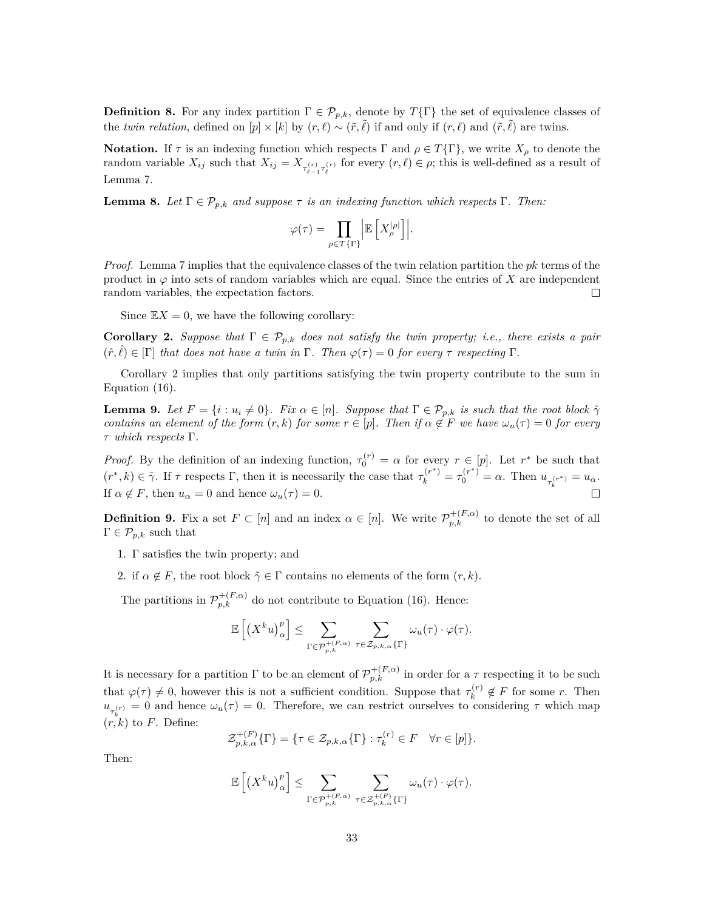**Definition 8.** For any index partition  $\Gamma \in \mathcal{P}_{p,k}$ , denote by  $T\{\Gamma\}$  the set of equivalence classes of the *twin relation*, defined on  $[p] \times [k]$  by  $(r, \ell) \sim (\tilde{r}, \tilde{\ell})$  if and only if  $(r, \ell)$  and  $(\tilde{r}, \tilde{\ell})$  are twins.

**Notation.** If  $\tau$  is an indexing function which respects  $\Gamma$  and  $\rho \in T\{\Gamma\}$ , we write  $X_{\rho}$  to denote the random variable  $X_{ij}$  such that  $X_{ij} = X_{\tau_{\ell-1}^{(r)}\tau_{\ell}^{(r)}}$  for every  $(r,\ell) \in \rho$ ; this is well-defined as a result of Lemma [7.](#page-31-0)

<span id="page-32-1"></span>**Lemma 8.** Let  $\Gamma \in \mathcal{P}_{p,k}$  and suppose  $\tau$  is an indexing function which respects  $\Gamma$ . Then:

$$
\varphi(\tau) = \prod_{\rho \in T\{\Gamma\}} \left| \mathbb{E}\left[X_{\rho}^{|\rho|}\right] \right|.
$$

*Proof.* Lemma [7](#page-31-0) implies that the equivalence classes of the twin relation partition the *pk* terms of the product in  $\varphi$  into sets of random variables which are equal. Since the entries of *X* are independent random variables, the expectation factors.  $\Box$ 

Since  $\mathbb{E}X=0$ , we have the following corollary:

<span id="page-32-0"></span>**Corollary 2.** *Suppose that*  $\Gamma \in \mathcal{P}_{p,k}$  *does not satisfy the twin property; i.e., there exists a pair*  $(\hat{r}, \hat{\ell}) \in [\Gamma]$  *that does not have a twin in*  $\Gamma$ *. Then*  $\varphi(\tau) = 0$  *for every*  $\tau$  *respecting*  $\Gamma$ *.* 

Corollary [2](#page-32-0) implies that only partitions satisfying the twin property contribute to the sum in Equation ([16\)](#page-31-1).

**Lemma 9.** Let  $F = \{i : u_i \neq 0\}$ . Fix  $\alpha \in [n]$ . Suppose that  $\Gamma \in \mathcal{P}_{p,k}$  is such that the root block  $\tilde{\gamma}$ *contains an element of the form*  $(r, k)$  *for some*  $r \in [p]$ *. Then if*  $\alpha \notin F$  *we have*  $\omega_u(\tau) = 0$  *for every τ which respects* Γ*.*

*Proof.* By the definition of an indexing function,  $\tau_0^{(r)} = \alpha$  for every  $r \in [p]$ . Let  $r^*$  be such that  $(r^*,k) \in \tilde{\gamma}$ . If  $\tau$  respects  $\Gamma$ , then it is necessarily the case that  $\tau_k^{(r^*)} = \tau_0^{(r^*)} = \alpha$ . Then  $u_{\tau_k^{(r^*)}} = u_{\alpha}$ . If  $\alpha \notin F$ , then  $u_{\alpha} = 0$  and hence  $\omega_u(\tau) = 0$ .  $\Box$ 

**Definition 9.** Fix a set  $F \subset [n]$  and an index  $\alpha \in [n]$ . We write  $\mathcal{P}_{p,k}^{+(F,\alpha)}$  to denote the set of all  $\Gamma \in \mathcal{P}_{p,k}$  such that

- 1. Γ satisfies the twin property; and
- 2. if  $\alpha \notin F$ , the root block  $\tilde{\gamma} \in \Gamma$  contains no elements of the form  $(r, k)$ .

The partitions in  $\mathcal{P}_{p,k}^{+(F,\alpha)}$  do not contribute to Equation ([16\)](#page-31-1). Hence:

$$
\mathbb{E}\left[\left(X^k u\right)_\alpha^p\right] \leq \sum_{\Gamma \in \mathcal{P}_{p,k}^{+(F,\alpha)}} \sum_{\tau \in \mathcal{Z}_{p,k,\alpha} \{\Gamma\}} \omega_u(\tau) \cdot \varphi(\tau).
$$

It is necessary for a partition  $\Gamma$  to be an element of  $\mathcal{P}_{p,k}^{+(F,\alpha)}$  in order for a  $\tau$  respecting it to be such that  $\varphi(\tau) \neq 0$ , however this is not a sufficient condition. Suppose that  $\tau_k^{(r)}$  $\mathbf{F}_k^{(r)}$  ∉ *F* for some *r*. Then  $u_{\tau_k^{(r)}} = 0$  and hence  $\omega_u(\tau) = 0$ . Therefore, we can restrict ourselves to considering  $\tau$  which map  $(r, k)$  to *F*. Define:

$$
\mathcal{Z}_{p,k,\alpha}^{+(F)}\{\Gamma\} = \{\tau \in \mathcal{Z}_{p,k,\alpha}\{\Gamma\} : \tau_k^{(r)} \in F \quad \forall r \in [p]\}.
$$

Then:

$$
\mathbb{E}\left[\left(X^k u\right)_\alpha^p\right] \leq \sum_{\Gamma \in \mathcal{P}_{p,k}^{+(F,\alpha)}} \sum_{\tau \in \mathcal{Z}_{p,k,\alpha}^{+(F)}\{\Gamma\}} \omega_u(\tau) \cdot \varphi(\tau).
$$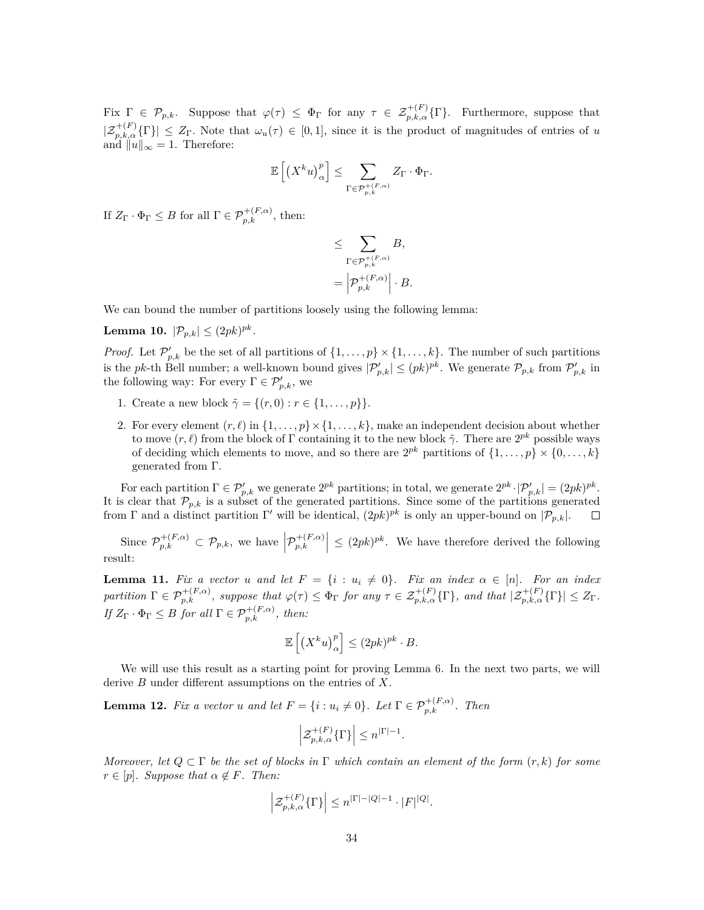Fix  $\Gamma \in \mathcal{P}_{p,k}$ . Suppose that  $\varphi(\tau) \leq \Phi_{\Gamma}$  for any  $\tau \in \mathcal{Z}_{p,k,\alpha}^{+(F)}\{\Gamma\}$ . Furthermore, suppose that  $|\mathcal{Z}_{p,k,\alpha}^{+(F)}(\Gamma)| \leq Z_{\Gamma}$ . Note that  $\omega_u(\tau) \in [0,1]$ , since it is the product of magnitudes of entries of *u* and  $||u||_{\infty} = 1$ . Therefore:

$$
\mathbb{E}\left[\left(X^k u\right)_\alpha^p\right] \leq \sum_{\Gamma \in \mathcal{P}_{p,k}^{+(F,\alpha)}} Z_\Gamma \cdot \Phi_\Gamma.
$$

If  $Z_{\Gamma} \cdot \Phi_{\Gamma} \leq B$  for all  $\Gamma \in \mathcal{P}_{p,k}^{+(F,\alpha)}$ , then:

$$
\leq \sum_{\Gamma \in \mathcal{P}_{p,k}^{+(F,\alpha)}} B,
$$
  
= 
$$
\left| \mathcal{P}_{p,k}^{+(F,\alpha)} \right| \cdot B.
$$

We can bound the number of partitions loosely using the following lemma:

Lemma 10.  $|P_{p,k}| \leq (2pk)^{pk}$ .

*Proof.* Let  $\mathcal{P}'_{p,k}$  be the set of all partitions of  $\{1,\ldots,p\} \times \{1,\ldots,k\}$ . The number of such partitions is the *pk*-th Bell number; a well-known bound gives  $|\mathcal{P}'_{p,k}| \leq (pk)^{pk}$ . We generate  $\mathcal{P}_{p,k}$  from  $\mathcal{P}'_{p,k}$  in the following way: For every  $\Gamma \in \mathcal{P}'_{p,k}$ , we

- 1. Create a new block  $\tilde{\gamma} = \{(r, 0) : r \in \{1, ..., p\}\}.$
- 2. For every element  $(r, \ell)$  in  $\{1, \ldots, p\} \times \{1, \ldots, k\}$ , make an independent decision about whether to move  $(r, \ell)$  from the block of  $\Gamma$  containing it to the new block  $\tilde{\gamma}$ . There are  $2^{pk}$  possible ways of deciding which elements to move, and so there are  $2^{pk}$  partitions of  $\{1, \ldots, p\} \times \{0, \ldots, k\}$ generated from Γ.

For each partition  $\Gamma \in \mathcal{P}'_{p,k}$  we generate  $2^{pk}$  partitions; in total, we generate  $2^{pk} \cdot |\mathcal{P}'_{p,k}| = (2pk)^{pk}$ . It is clear that  $\mathcal{P}_{p,k}$  is a subset of the generated partitions. Since some of the partitions generated from  $\Gamma$  and a distinct partition  $\Gamma'$  will be identical,  $(2pk)^{pk}$  is only an upper-bound on  $|\mathcal{P}_{p,k}|$ .  $\Box$ 

Since  $\mathcal{P}_{p,k}^{+(F,\alpha)} \subset \mathcal{P}_{p,k}$ , we have  $\left| \mathcal{P}_{p,k}^{+(F,\alpha)} \right|$  $\left| \sum_{p,k} (P_{p,k})^{p,k} \right|$   $\leq (2pk)^{pk}$ . We have therefore derived the following result:

<span id="page-33-0"></span>**Lemma 11.** Fix a vector *u* and let  $F = \{i : u_i \neq 0\}$ . Fix an index  $\alpha \in [n]$ . For an index partition  $\Gamma \in \mathcal{P}_{p,k}^{+(F,\alpha)}$ , suppose that  $\varphi(\tau) \leq \Phi_{\Gamma}$  for any  $\tau \in \mathcal{Z}_{p,k,\alpha}^{+(F)}\{\Gamma\}$ , and that  $|\mathcal{Z}_{p,k,\alpha}^{+(F)}\{\Gamma\}| \leq Z_{\Gamma}$ .  $If Z_{\Gamma} \cdot \Phi_{\Gamma} \leq B$  *for all*  $\Gamma \in \mathcal{P}_{p,k}^{+(F,\alpha)}$ , then:

$$
\mathbb{E}\left[\left(X^k u\right)_\alpha^p\right] \le (2pk)^{pk} \cdot B.
$$

We will use this result as a starting point for proving Lemma [6](#page-28-2). In the next two parts, we will derive *B* under different assumptions on the entries of *X*.

<span id="page-33-1"></span>**Lemma 12.** *Fix a vector u and let*  $F = \{i : u_i \neq 0\}$ *. Let*  $\Gamma \in \mathcal{P}_{p,k}^{+(F,\alpha)}$ *. Then* 

$$
\left| \mathcal{Z}_{p,k,\alpha}^{+(F)}\{\Gamma\} \right| \leq n^{|\Gamma|-1}.
$$

*Moreover, let*  $Q \subset \Gamma$  *be the set of blocks in*  $\Gamma$  *which contain an element of the form*  $(r, k)$  *for some*  $r \in [p]$ *. Suppose that*  $\alpha \notin F$ *. Then:* 

$$
\Big| \mathcal{Z}_{p,k,\alpha}^{+(F)}\{\Gamma\}\Big|\leq n^{|\Gamma|-|Q|-1}\cdot |F|^{|Q|}.
$$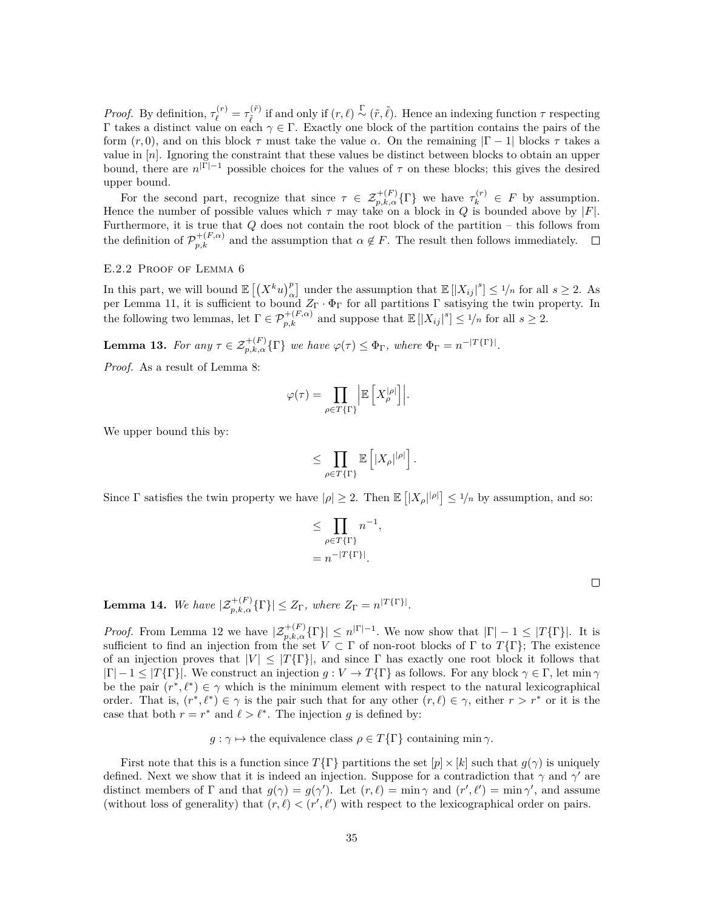*Proof.* By definition,  $\tau_{\ell}^{(r)} = \tau_{\tilde{\ell}}^{(\tilde{r})}$  *if and only if*  $(r, ℓ)$  $\stackrel{Γ}{\sim}$  $(τ, ℓ)$ *. Hence an indexing function <i>τ* respecting Γ takes a distinct value on each *γ ∈* Γ. Exactly one block of the partition contains the pairs of the form (*r,* 0), and on this block *τ* must take the value *α*. On the remaining *|*Γ *−* 1*|* blocks *τ* takes a value in [*n*]. Ignoring the constraint that these values be distinct between blocks to obtain an upper bound, there are  $n^{|\Gamma|-1}$  possible choices for the values of  $\tau$  on these blocks; this gives the desired upper bound.

For the second part, recognize that since  $\tau \in \mathcal{Z}_{p,k,\alpha}^{+(F)}\{\Gamma\}$  we have  $\tau_k^{(r)} \in F$  by assumption. Hence the number of possible values which *τ* may take on a block in *Q* is bounded above by *|F|*. Furthermore, it is true that *Q* does not contain the root block of the partition – this follows from the definition of  $\mathcal{P}_{p,k}^{+(F,\alpha)}$  and the assumption that  $\alpha \notin F$ . The result then follows immediately.  $\Box$ 

E.2.2 Proof of Lemma [6](#page-28-2)

In this part, we will bound  $\mathbb{E}[(X^k u)_\alpha^p]$  under the assumption that  $\mathbb{E}[|X_{ij}|^s] \leq \frac{1}{n}$  for all  $s \geq 2$ . As per Lemma [11](#page-33-0), it is sufficient to bound *Z*<sup>Γ</sup> *·* Φ<sup>Γ</sup> for all partitions Γ satisying the twin property. In the following two lemmas, let  $\Gamma \in \mathcal{P}_{p,k}^{+(F,\alpha)}$  and suppose that  $\mathbb{E} [|X_{ij}|^s] \leq 1/n$  for all  $s \geq 2$ .

<span id="page-34-0"></span>**Lemma 13.** For any  $\tau \in \mathcal{Z}_{p,k,\alpha}^{+(F)}\{\Gamma\}$  we have  $\varphi(\tau) \leq \Phi_{\Gamma}$ , where  $\Phi_{\Gamma} = n^{-|T\{\Gamma\}|}$ .

*Proof.* As a result of Lemma [8:](#page-32-1)

$$
\varphi(\tau) = \prod_{\rho \in T\{\Gamma\}} \left| \mathbb{E} \left[ X_{\rho}^{|\rho|} \right] \right|.
$$

We upper bound this by:

$$
\leq \prod_{\rho\in T\{\Gamma\}}\mathbb{E}\left[|X_\rho|^{|\rho|}\right].
$$

*,*

Since  $\Gamma$  satisfies the twin property we have  $|\rho| \geq 2$ . Then  $\mathbb{E} \left[ |X_{\rho}|^{|\rho|} \right] \leq 1/n$  by assumption, and so:

$$
\leq \prod_{\rho \in T\{\Gamma\}} n^{-1}
$$

$$
= n^{-|T\{\Gamma\}|}.
$$

<span id="page-34-1"></span>**Lemma 14.** We have  $|\mathcal{Z}_{p,k,\alpha}^{+(F)}\{\Gamma\}| \leq Z_{\Gamma}$ , where  $Z_{\Gamma} = n^{|T\{\Gamma\}|}$ .

*Proof.* From Lemma [12](#page-33-1) we have  $|\mathcal{Z}_{p,k,\alpha}^{+(F)}(\Gamma)| \leq n^{\Gamma|-1}$ . We now show that  $|\Gamma|-1 \leq |T\{\Gamma\}|$ . It is sufficient to find an injection from the set *V ⊂* Γ of non-root blocks of Γ to *T{*Γ*}*; The existence of an injection proves that  $|V| \leq |T\{\Gamma\}|$ , and since  $\Gamma$  has exactly one root block it follows that  $|\Gamma| - 1 \leq |T\{\Gamma\}|$ . We construct an injection *g* :  $V \to T\{\Gamma\}$  as follows. For any block  $\gamma \in \Gamma$ , let min  $\gamma$ be the pair  $(r^*, \ell^*) \in \gamma$  which is the minimum element with respect to the natural lexicographical order. That is,  $(r^*, \ell^*) \in \gamma$  is the pair such that for any other  $(r, \ell) \in \gamma$ , either  $r > r^*$  or it is the case that both  $r = r^*$  and  $\ell > \ell^*$ . The injection g is defined by:

 $g: \gamma \mapsto$  the equivalence class  $\rho \in T\{\Gamma\}$  containing min  $\gamma$ .

First note that this is a function since  $T\{\Gamma\}$  partitions the set  $[p] \times [k]$  such that  $q(\gamma)$  is uniquely defined. Next we show that it is indeed an injection. Suppose for a contradiction that  $\gamma$  and  $\gamma'$  are distinct members of  $\Gamma$  and that  $g(\gamma) = g(\gamma')$ . Let  $(r, \ell) = \min \gamma$  and  $(r', \ell') = \min \gamma'$ , and assume (without loss of generality) that  $(r, \ell) < (r', \ell')$  with respect to the lexicographical order on pairs.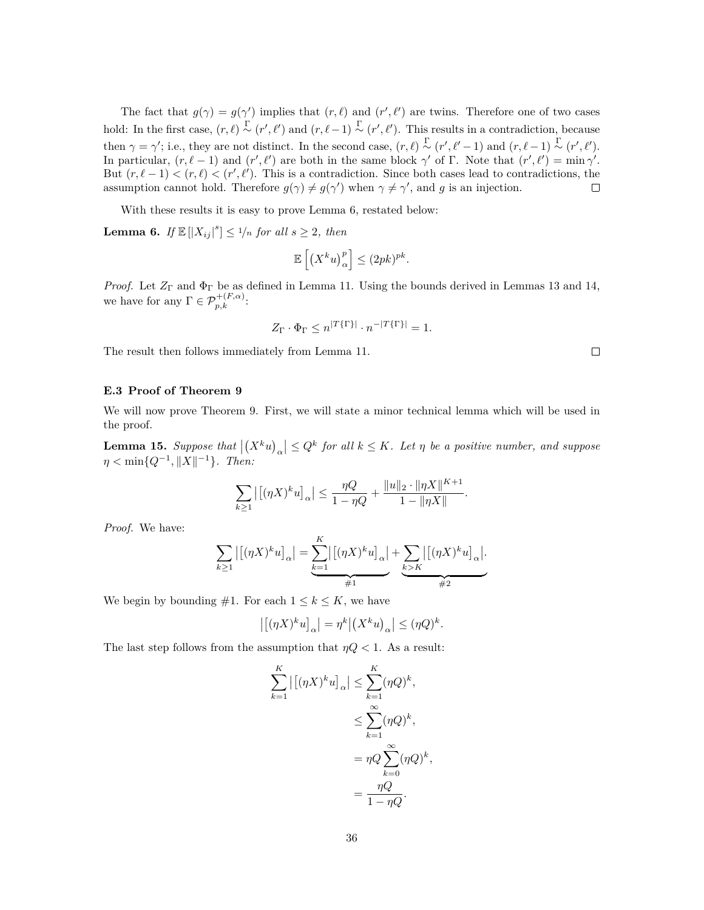The fact that  $g(\gamma) = g(\gamma')$  implies that  $(r, \ell)$  and  $(r', \ell')$  are twins. Therefore one of two cases hold: In the first case,  $(r, \ell) \stackrel{\Gamma}{\sim} (r', \ell')$  and  $(r, \ell-1) \stackrel{\Gamma}{\sim} (r', \ell')$ . This results in a contradiction, because then  $\gamma = \gamma'$ ; i.e., they are not distinct. In the second case,  $(r, \ell) \stackrel{\Gamma}{\sim} (r', \ell'-1)$  and  $(r, \ell-1) \stackrel{\Gamma}{\sim} (r', \ell').$ In particular,  $(r, \ell - 1)$  and  $(r', \ell')$  are both in the same block  $\gamma'$  of  $\Gamma$ . Note that  $(r', \ell') = \min \gamma'$ . But  $(r, \ell - 1) < (r, \ell) < (r', \ell')$ . This is a contradiction. Since both cases lead to contradictions, the assumption cannot hold. Therefore  $g(\gamma) \neq g(\gamma')$  when  $\gamma \neq \gamma'$ , and g is an injection.  $\Box$ 

With these results it is easy to prove Lemma [6](#page-28-2), restated below:

**Lemma 6.** *If*  $\mathbb{E}[|X_{ij}|^s] \leq \frac{1}{n}$  *for all*  $s \geq 2$ *, then* 

$$
\mathbb{E}\left[\left(X^k u\right)^p_\alpha\right] \leq (2pk)^{pk}.
$$

*Proof.* Let  $Z_{\Gamma}$  and  $\Phi_{\Gamma}$  be as defined in Lemma [11](#page-33-0). Using the bounds derived in Lemmas [13](#page-34-0) and [14](#page-34-1), we have for any  $\Gamma \in \mathcal{P}_{p,k}^{+(F,\alpha)}$ :

$$
Z_{\Gamma} \cdot \Phi_{\Gamma} \le n^{|T\{\Gamma\}|} \cdot n^{-|T\{\Gamma\}|} = 1.
$$

The result then follows immediately from Lemma [11](#page-33-0).

#### **E.3 Proof of Theorem [9](#page-9-2)**

We will now prove Theorem [9](#page-9-2). First, we will state a minor technical lemma which will be used in the proof.

<span id="page-35-0"></span>**Lemma 15.** Suppose that  $|(X^k u)_\alpha| \leq Q^k$  for all  $k \leq K$ . Let  $\eta$  be a positive number, and suppose  $\eta < \min\{Q^{-1}, \|X\|^{-1}\}$ *. Then:* 

$$
\sum_{k\geq 1} |[(\eta X)^k u]_{\alpha}| \leq \frac{\eta Q}{1-\eta Q} + \frac{\|u\|_2 \cdot \|\eta X\|^{K+1}}{1 - \|\eta X\|}.
$$

*Proof.* We have:

$$
\sum_{k\geq 1} |[(\eta X)^k u]_{\alpha}| = \underbrace{\sum_{k=1}^K |[(\eta X)^k u]_{\alpha}}_{\#1} + \underbrace{\sum_{k\geq K} |[(\eta X)^k u]_{\alpha}}_{\#2}.
$$

We begin by bounding  $#1$ . For each  $1 \leq k \leq K$ , we have

$$
\left| \left[ (\eta X)^k u \right]_\alpha \right| = \eta^k \left| \left( X^k u \right)_\alpha \right| \leq (\eta Q)^k.
$$

The last step follows from the assumption that  $\eta Q < 1$ . As a result:

$$
\sum_{k=1}^{K} |[(\eta X)^k u]_{\alpha}| \leq \sum_{k=1}^{K} (\eta Q)^k,
$$
  

$$
\leq \sum_{k=1}^{\infty} (\eta Q)^k,
$$
  

$$
= \eta Q \sum_{k=0}^{\infty} (\eta Q)^k,
$$
  

$$
= \frac{\eta Q}{1 - \eta Q}.
$$

 $\Box$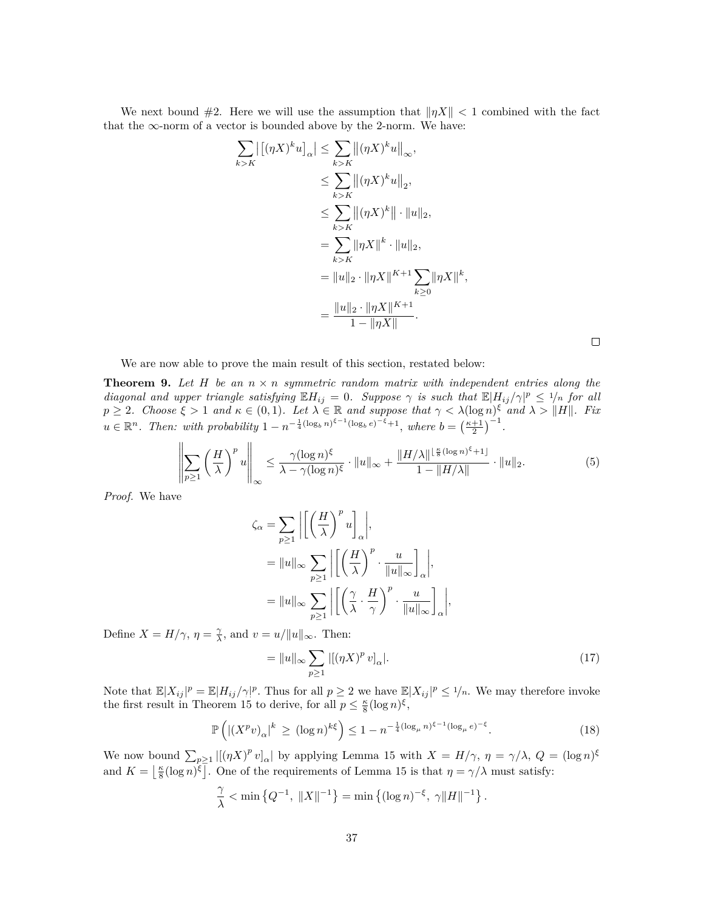We next bound  $#2$ . Here we will use the assumption that  $||\eta X|| < 1$  combined with the fact that the  $\infty$ -norm of a vector is bounded above by the 2-norm. We have:

$$
\sum_{k>K} |[(\eta X)^k u]_{\alpha}| \leq \sum_{k>K} ||(\eta X)^k u||_{\infty},
$$
  
\n
$$
\leq \sum_{k>K} ||(\eta X)^k u||_2,
$$
  
\n
$$
\leq \sum_{k>K} ||(\eta X)^k|| \cdot ||u||_2,
$$
  
\n
$$
= \sum_{k>K} ||\eta X||^k \cdot ||u||_2,
$$
  
\n
$$
= ||u||_2 \cdot ||\eta X||^{K+1} \sum_{k \geq 0} ||\eta X||^k,
$$
  
\n
$$
= \frac{||u||_2 \cdot ||\eta X||^{K+1}}{1 - ||\eta X||}.
$$

<span id="page-36-0"></span> $\Box$ 

We are now able to prove the main result of this section, restated below:

**Theorem 9.** Let  $H$  be an  $n \times n$  symmetric random matrix with independent entries along the *diagonal and upper triangle satisfying*  $\mathbb{E}[H_{ij} = 0$ *. Suppose*  $\gamma$  *is such that*  $\mathbb{E}[H_{ij}/\gamma]^p \leq \frac{1}{n}$  *for all*  $p \geq 2$ . Choose  $\xi > 1$  and  $\kappa \in (0,1)$ . Let  $\lambda \in \mathbb{R}$  and suppose that  $\gamma < \lambda(\log n)^{\xi}$  and  $\lambda > ||H||$ . Fix  $u \in \mathbb{R}^n$ . Then: with probability  $1 - n^{-\frac{1}{4}(\log_b n)^{\xi-1}(\log_b e)^{-\xi}+1}$ , where  $b = \left(\frac{\kappa+1}{2}\right)^{-1}$ .

$$
\left\| \sum_{p\geq 1} \left(\frac{H}{\lambda}\right)^p u \right\|_{\infty} \leq \frac{\gamma(\log n)^{\xi}}{\lambda - \gamma(\log n)^{\xi}} \cdot \|u\|_{\infty} + \frac{\|H/\lambda\|^{\frac{\kappa}{8}(\log n)^{\xi}+1]}}{1 - \|H/\lambda\|} \cdot \|u\|_2.
$$
 (5)

*Proof.* We have

$$
\begin{split} \zeta_{\alpha} & = \sum_{p \geq 1} \left| \left[ \left( \frac{H}{\lambda} \right)^p u \right]_{\alpha} \right|, \\ & = \|u\|_{\infty} \sum_{p \geq 1} \left| \left[ \left( \frac{H}{\lambda} \right)^p \cdot \frac{u}{\|u\|_{\infty}} \right]_{\alpha} \right|, \\ & = \|u\|_{\infty} \sum_{p \geq 1} \left| \left[ \left( \frac{\gamma}{\lambda} \cdot \frac{H}{\gamma} \right)^p \cdot \frac{u}{\|u\|_{\infty}} \right]_{\alpha} \right|, \end{split}
$$

Define  $X = H/\gamma$ ,  $\eta = \frac{\gamma}{\lambda}$ , and  $v = u/||u||_{\infty}$ . Then:

$$
= \|u\|_{\infty} \sum_{p \ge 1} |[(\eta X)^p v]_{\alpha}|. \tag{17}
$$

*.*

Note that  $\mathbb{E}|X_{ij}|^p = \mathbb{E}|H_{ij}/\gamma|^p$ . Thus for all  $p \ge 2$  we have  $\mathbb{E}|X_{ij}|^p \le 1/n$ . We may therefore invoke the first result in Theorem [15](#page-28-0) to derive, for all  $p \leq \frac{\kappa}{8} (\log n)^{\xi}$ ,

$$
\mathbb{P}\left(\left|\left(X^p v\right)_{\alpha}\right|^k \ge (\log n)^{k\xi}\right) \le 1 - n^{-\frac{1}{4}(\log_\mu n)^{\xi - 1}(\log_\mu e)^{-\xi}}.\tag{18}
$$

We now bound  $\sum_{p\geq 1} |[(\eta X)^p v]_{\alpha}|$  by applying Lemma [15](#page-35-0) with  $X = H/\gamma$ ,  $\eta = \gamma/\lambda$ ,  $Q = (\log n)^{\xi}$ and  $K = \left\lfloor \frac{\kappa}{8} (\log n)^{\zeta} \right\rfloor$ . One of the requirements of Lemma [15](#page-35-0) is that  $\eta = \gamma/\lambda$  must satisfy:

$$
\frac{\gamma}{\lambda} < \min\left\{Q^{-1}, \, \|X\|^{-1}\right\} = \min\left\{(\log n)^{-\xi}, \, \gamma \|H\|^{-1}\right\}
$$